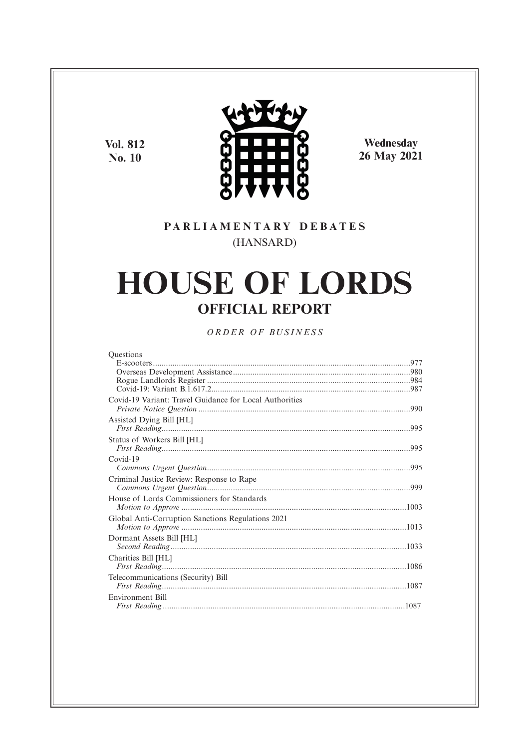**Vol. 812 No. 10**



**Wednesday 26 May 2021**

## **P A R L I A M E N T A R Y D E B A T E S** (HANSARD)

# **HOUSE OF LORDS OFFICIAL REPORT**

*O R D E R O F BU S I N E S S*

| <b>Ouestions</b>                                        |  |
|---------------------------------------------------------|--|
|                                                         |  |
|                                                         |  |
|                                                         |  |
|                                                         |  |
| Covid-19 Variant: Travel Guidance for Local Authorities |  |
|                                                         |  |
| Assisted Dying Bill [HL]                                |  |
|                                                         |  |
| Status of Workers Bill [HL]                             |  |
|                                                         |  |
| Covid-19                                                |  |
|                                                         |  |
| Criminal Justice Review: Response to Rape               |  |
|                                                         |  |
| House of Lords Commissioners for Standards              |  |
|                                                         |  |
|                                                         |  |
| Global Anti-Corruption Sanctions Regulations 2021       |  |
|                                                         |  |
| Dormant Assets Bill [HL]                                |  |
|                                                         |  |
| Charities Bill [HL]                                     |  |
|                                                         |  |
| Telecommunications (Security) Bill                      |  |
|                                                         |  |
| <b>Environment Bill</b>                                 |  |
|                                                         |  |
|                                                         |  |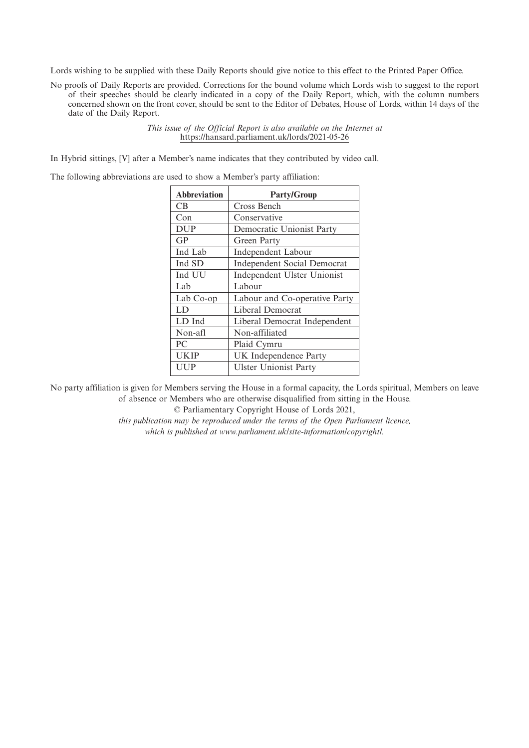Lords wishing to be supplied with these Daily Reports should give notice to this effect to the Printed Paper Office.

No proofs of Daily Reports are provided. Corrections for the bound volume which Lords wish to suggest to the report of their speeches should be clearly indicated in a copy of the Daily Report, which, with the column numbers concerned shown on the front cover, should be sent to the Editor of Debates, House of Lords, within 14 days of the date of the Daily Report.

> *This issue of the Official Report is also available on the Internet at* https://hansard.parliament.uk/lords/2021-05-26

In Hybrid sittings, [V] after a Member's name indicates that they contributed by video call.

The following abbreviations are used to show a Member's party affiliation:

| <b>Abbreviation</b> | <b>Party/Group</b>                 |
|---------------------|------------------------------------|
| CВ                  | Cross Bench                        |
| Con                 | Conservative                       |
| <b>DUP</b>          | Democratic Unionist Party          |
| GP                  | Green Party                        |
| Ind Lab             | Independent Labour                 |
| Ind SD              | <b>Independent Social Democrat</b> |
| Ind UU              | Independent Ulster Unionist        |
| Lab                 | Labour                             |
| Lab Co-op           | Labour and Co-operative Party      |
| LD                  | Liberal Democrat                   |
| LD Ind              | Liberal Democrat Independent       |
| Non-afl             | Non-affiliated                     |
| PC                  | Plaid Cymru                        |
| <b>UKIP</b>         | UK Independence Party              |
| UUP                 | <b>Ulster Unionist Party</b>       |

No party affiliation is given for Members serving the House in a formal capacity, the Lords spiritual, Members on leave of absence or Members who are otherwise disqualified from sitting in the House.

© Parliamentary Copyright House of Lords 2021,

*this publication may be reproduced under the terms of the Open Parliament licence, which is published at www.parliament.uk/site-information/copyright/.*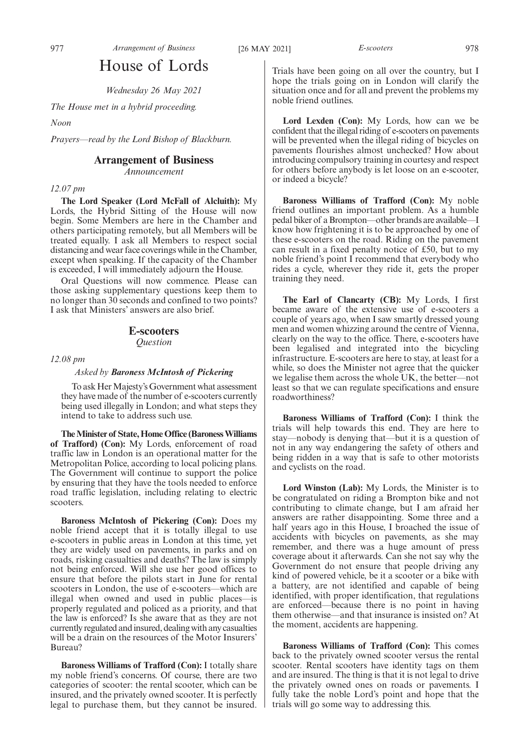## House of Lords

*Wednesday 26 May 2021*

## *The House met in a hybrid proceeding.*

*Noon*

*Prayers—read by the Lord Bishop of Blackburn.*

## **Arrangement of Business**

*Announcement*

#### *12.07 pm*

**The Lord Speaker (Lord McFall of Alcluith):** My Lords, the Hybrid Sitting of the House will now begin. Some Members are here in the Chamber and others participating remotely, but all Members will be treated equally. I ask all Members to respect social distancing and wear face coverings while in the Chamber, except when speaking. If the capacity of the Chamber is exceeded, I will immediately adjourn the House.

Oral Questions will now commence. Please can those asking supplementary questions keep them to no longer than 30 seconds and confined to two points? I ask that Ministers' answers are also brief.

#### **E-scooters**

*Question*

*12.08 pm*

#### *Asked by Baroness McIntosh of Pickering*

To ask Her Majesty's Government what assessment they have made of the number of e-scooters currently being used illegally in London; and what steps they intend to take to address such use.

**The Minister of State, Home Office (Baroness Williams of Trafford) (Con):** My Lords, enforcement of road traffic law in London is an operational matter for the Metropolitan Police, according to local policing plans. The Government will continue to support the police by ensuring that they have the tools needed to enforce road traffic legislation, including relating to electric scooters.

**Baroness McIntosh of Pickering (Con):** Does my noble friend accept that it is totally illegal to use e-scooters in public areas in London at this time, yet they are widely used on pavements, in parks and on roads, risking casualties and deaths? The law is simply not being enforced. Will she use her good offices to ensure that before the pilots start in June for rental scooters in London, the use of e-scooters—which are illegal when owned and used in public places—is properly regulated and policed as a priority, and that the law is enforced? Is she aware that as they are not currently regulated and insured, dealing with any casualties will be a drain on the resources of the Motor Insurers' Bureau?

**Baroness Williams of Trafford (Con):** I totally share my noble friend's concerns. Of course, there are two categories of scooter: the rental scooter, which can be insured, and the privately owned scooter. It is perfectly legal to purchase them, but they cannot be insured. Trials have been going on all over the country, but I hope the trials going on in London will clarify the situation once and for all and prevent the problems my noble friend outlines.

**Lord Lexden (Con):** My Lords, how can we be confident that the illegal riding of e-scooters on pavements will be prevented when the illegal riding of bicycles on pavements flourishes almost unchecked? How about introducing compulsory training in courtesy and respect for others before anybody is let loose on an e-scooter, or indeed a bicycle?

**Baroness Williams of Trafford (Con):** My noble friend outlines an important problem. As a humble pedal biker of a Brompton—other brands are available—I know how frightening it is to be approached by one of these e-scooters on the road. Riding on the pavement can result in a fixed penalty notice of £50, but to my noble friend's point I recommend that everybody who rides a cycle, wherever they ride it, gets the proper training they need.

**The Earl of Clancarty (CB):** My Lords, I first became aware of the extensive use of e-scooters a couple of years ago, when I saw smartly dressed young men and women whizzing around the centre of Vienna, clearly on the way to the office. There, e-scooters have been legalised and integrated into the bicycling infrastructure. E-scooters are here to stay, at least for a while, so does the Minister not agree that the quicker we legalise them across the whole UK, the better—not least so that we can regulate specifications and ensure roadworthiness?

**Baroness Williams of Trafford (Con):** I think the trials will help towards this end. They are here to stay—nobody is denying that—but it is a question of not in any way endangering the safety of others and being ridden in a way that is safe to other motorists and cyclists on the road.

**Lord Winston (Lab):** My Lords, the Minister is to be congratulated on riding a Brompton bike and not contributing to climate change, but I am afraid her answers are rather disappointing. Some three and a half years ago in this House, I broached the issue of accidents with bicycles on pavements, as she may remember, and there was a huge amount of press coverage about it afterwards. Can she not say why the Government do not ensure that people driving any kind of powered vehicle, be it a scooter or a bike with a battery, are not identified and capable of being identified, with proper identification, that regulations are enforced—because there is no point in having them otherwise—and that insurance is insisted on? At the moment, accidents are happening.

**Baroness Williams of Trafford (Con):** This comes back to the privately owned scooter versus the rental scooter. Rental scooters have identity tags on them and are insured. The thing is that it is not legal to drive the privately owned ones on roads or pavements. I fully take the noble Lord's point and hope that the trials will go some way to addressing this.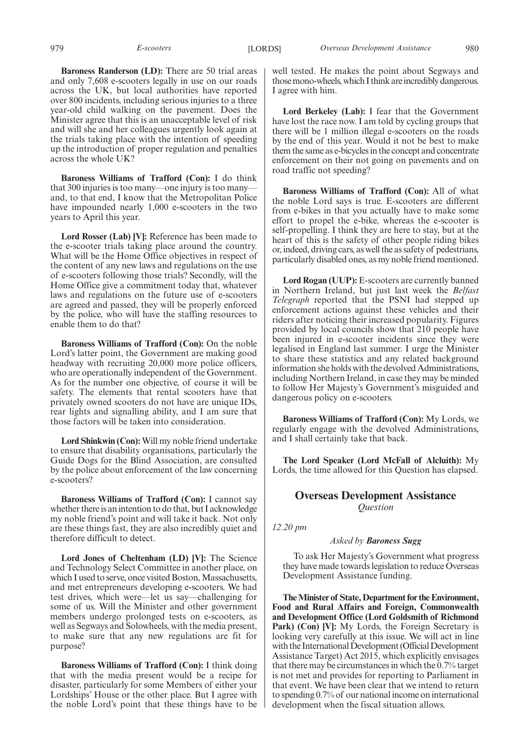**Baroness Randerson (LD):** There are 50 trial areas and only 7,608 e-scooters legally in use on our roads across the UK, but local authorities have reported over 800 incidents, including serious injuries to a three year-old child walking on the pavement. Does the Minister agree that this is an unacceptable level of risk and will she and her colleagues urgently look again at the trials taking place with the intention of speeding up the introduction of proper regulation and penalties across the whole UK?

**Baroness Williams of Trafford (Con):** I do think that 300 injuries is too many—one injury is too many and, to that end, I know that the Metropolitan Police have impounded nearly 1,000 e-scooters in the two years to April this year.

**Lord Rosser (Lab) [V]:** Reference has been made to the e-scooter trials taking place around the country. What will be the Home Office objectives in respect of the content of any new laws and regulations on the use of e-scooters following those trials? Secondly, will the Home Office give a commitment today that, whatever laws and regulations on the future use of e-scooters are agreed and passed, they will be properly enforced by the police, who will have the staffing resources to enable them to do that?

**Baroness Williams of Trafford (Con):** On the noble Lord's latter point, the Government are making good headway with recruiting 20,000 more police officers, who are operationally independent of the Government. As for the number one objective, of course it will be safety. The elements that rental scooters have that privately owned scooters do not have are unique IDs, rear lights and signalling ability, and I am sure that those factors will be taken into consideration.

**Lord Shinkwin (Con):** Will my noble friend undertake to ensure that disability organisations, particularly the Guide Dogs for the Blind Association, are consulted by the police about enforcement of the law concerning e-scooters?

**Baroness Williams of Trafford (Con):** I cannot say whether there is an intention to do that, but I acknowledge my noble friend's point and will take it back. Not only are these things fast, they are also incredibly quiet and therefore difficult to detect.

**Lord Jones of Cheltenham (LD) [V]:** The Science and Technology Select Committee in another place, on which I used to serve, once visited Boston, Massachusetts, and met entrepreneurs developing e-scooters. We had test drives, which were—let us say—challenging for some of us. Will the Minister and other government members undergo prolonged tests on e-scooters, as well as Segways and Solowheels, with the media present, to make sure that any new regulations are fit for purpose?

**Baroness Williams of Trafford (Con):** I think doing that with the media present would be a recipe for disaster, particularly for some Members of either your Lordships' House or the other place. But I agree with the noble Lord's point that these things have to be well tested. He makes the point about Segways and those mono-wheels, which I think are incredibly dangerous. I agree with him.

**Lord Berkeley (Lab):** I fear that the Government have lost the race now. I am told by cycling groups that there will be 1 million illegal e-scooters on the roads by the end of this year. Would it not be best to make them the same as e-bicycles in the concept and concentrate enforcement on their not going on pavements and on road traffic not speeding?

**Baroness Williams of Trafford (Con):** All of what the noble Lord says is true. E-scooters are different from e-bikes in that you actually have to make some effort to propel the e-bike, whereas the e-scooter is self-propelling. I think they are here to stay, but at the heart of this is the safety of other people riding bikes or, indeed, driving cars, as well the as safety of pedestrians, particularly disabled ones, as my noble friend mentioned.

**Lord Rogan (UUP):** E-scooters are currently banned in Northern Ireland, but just last week the *Belfast Telegraph* reported that the PSNI had stepped up enforcement actions against these vehicles and their riders after noticing their increased popularity. Figures provided by local councils show that 210 people have been injured in e-scooter incidents since they were legalised in England last summer. I urge the Minister to share these statistics and any related background information she holds with the devolved Administrations, including Northern Ireland, in case they may be minded to follow Her Majesty's Government's misguided and dangerous policy on e-scooters.

**Baroness Williams of Trafford (Con):** My Lords, we regularly engage with the devolved Administrations, and I shall certainly take that back.

**The Lord Speaker (Lord McFall of Alcluith):** My Lords, the time allowed for this Question has elapsed.

## **Overseas Development Assistance** *Question*

*12.20 pm*

#### *Asked by Baroness Sugg*

To ask Her Majesty's Government what progress they have made towards legislation to reduce Overseas Development Assistance funding.

**The Minister of State, Department for the Environment, Food and Rural Affairs and Foreign, Commonwealth and Development Office (Lord Goldsmith of Richmond** Park) (Con) [V]: My Lords, the Foreign Secretary is looking very carefully at this issue. We will act in line with the International Development (Official Development Assistance Target) Act 2015, which explicitly envisages that there may be circumstances in which the 0.7% target is not met and provides for reporting to Parliament in that event. We have been clear that we intend to return to spending 0.7% of our national income on international development when the fiscal situation allows.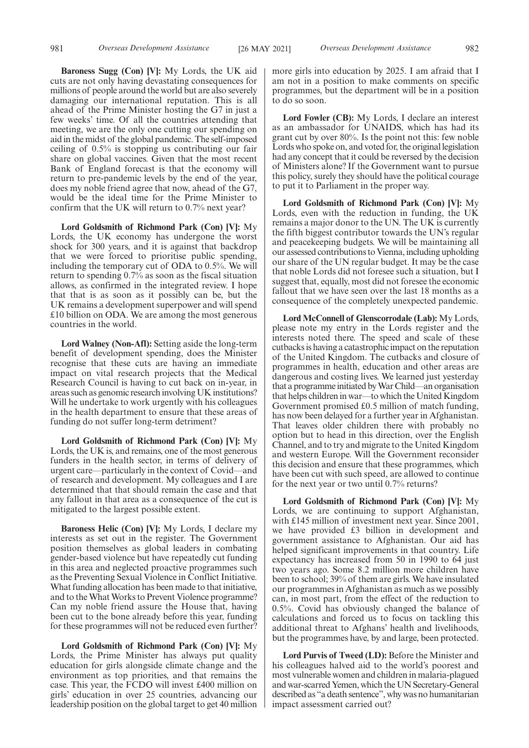**Baroness Sugg (Con) [V]:** My Lords, the UK aid cuts are not only having devastating consequences for millions of people around the world but are also severely damaging our international reputation. This is all ahead of the Prime Minister hosting the G7 in just a few weeks' time. Of all the countries attending that meeting, we are the only one cutting our spending on aid in the midst of the global pandemic. The self-imposed ceiling of 0.5% is stopping us contributing our fair share on global vaccines. Given that the most recent Bank of England forecast is that the economy will return to pre-pandemic levels by the end of the year, does my noble friend agree that now, ahead of the G7, would be the ideal time for the Prime Minister to confirm that the UK will return to 0.7% next year?

**Lord Goldsmith of Richmond Park (Con) [V]:** My Lords, the UK economy has undergone the worst shock for 300 years, and it is against that backdrop that we were forced to prioritise public spending, including the temporary cut of ODA to 0.5%. We will return to spending 0.7% as soon as the fiscal situation allows, as confirmed in the integrated review. I hope that that is as soon as it possibly can be, but the UK remains a development superpower and will spend £10 billion on ODA. We are among the most generous countries in the world.

**Lord Walney (Non-Afl):** Setting aside the long-term benefit of development spending, does the Minister recognise that these cuts are having an immediate impact on vital research projects that the Medical Research Council is having to cut back on in-year, in areas such as genomic research involving UK institutions? Will he undertake to work urgently with his colleagues in the health department to ensure that these areas of funding do not suffer long-term detriment?

**Lord Goldsmith of Richmond Park (Con) [V]:** My Lords, the UK is, and remains, one of the most generous funders in the health sector, in terms of delivery of urgent care—particularly in the context of Covid—and of research and development. My colleagues and I are determined that that should remain the case and that any fallout in that area as a consequence of the cut is mitigated to the largest possible extent.

**Baroness Helic (Con) [V]:** My Lords, I declare my interests as set out in the register. The Government position themselves as global leaders in combating gender-based violence but have repeatedly cut funding in this area and neglected proactive programmes such as the Preventing Sexual Violence in Conflict Initiative. What funding allocation has been made to that initiative, and to the What Works to Prevent Violence programme? Can my noble friend assure the House that, having been cut to the bone already before this year, funding for these programmes will not be reduced even further?

**Lord Goldsmith of Richmond Park (Con) [V]:** My Lords, the Prime Minister has always put quality education for girls alongside climate change and the environment as top priorities, and that remains the case. This year, the FCDO will invest £400 million on girls' education in over 25 countries, advancing our leadership position on the global target to get 40 million more girls into education by 2025. I am afraid that I am not in a position to make comments on specific programmes, but the department will be in a position to do so soon.

**Lord Fowler (CB):** My Lords, I declare an interest as an ambassador for UNAIDS, which has had its grant cut by over 80%. Is the point not this: few noble Lords who spoke on, and voted for, the original legislation had any concept that it could be reversed by the decision of Ministers alone? If the Government want to pursue this policy, surely they should have the political courage to put it to Parliament in the proper way.

**Lord Goldsmith of Richmond Park (Con) [V]:** My Lords, even with the reduction in funding, the UK remains a major donor to the UN. The UK is currently the fifth biggest contributor towards the UN's regular and peacekeeping budgets. We will be maintaining all our assessed contributions to Vienna, including upholding our share of the UN regular budget. It may be the case that noble Lords did not foresee such a situation, but I suggest that, equally, most did not foresee the economic fallout that we have seen over the last 18 months as a consequence of the completely unexpected pandemic.

**Lord McConnell of Glenscorrodale (Lab):** My Lords, please note my entry in the Lords register and the interests noted there. The speed and scale of these cutbacks is having a catastrophic impact on the reputation of the United Kingdom. The cutbacks and closure of programmes in health, education and other areas are dangerous and costing lives. We learned just yesterday that a programme initiated by War Child—an organisation that helps children in war—to which the United Kingdom Government promised £0.5 million of match funding, has now been delayed for a further year in Afghanistan. That leaves older children there with probably no option but to head in this direction, over the English Channel, and to try and migrate to the United Kingdom and western Europe. Will the Government reconsider this decision and ensure that these programmes, which have been cut with such speed, are allowed to continue for the next year or two until 0.7% returns?

**Lord Goldsmith of Richmond Park (Con) [V]:** My Lords, we are continuing to support Afghanistan, with £145 million of investment next year. Since 2001, we have provided £3 billion in development and government assistance to Afghanistan. Our aid has helped significant improvements in that country. Life expectancy has increased from 50 in 1990 to 64 just two years ago. Some 8.2 million more children have been to school; 39% of them are girls. We have insulated our programmes in Afghanistan as much as we possibly can, in most part, from the effect of the reduction to 0.5%. Covid has obviously changed the balance of calculations and forced us to focus on tackling this additional threat to Afghans' health and livelihoods, but the programmes have, by and large, been protected.

**Lord Purvis of Tweed (LD):** Before the Minister and his colleagues halved aid to the world's poorest and most vulnerable women and children in malaria-plagued and war-scarred Yemen, which the UN Secretary-General described as "a death sentence", why was no humanitarian impact assessment carried out?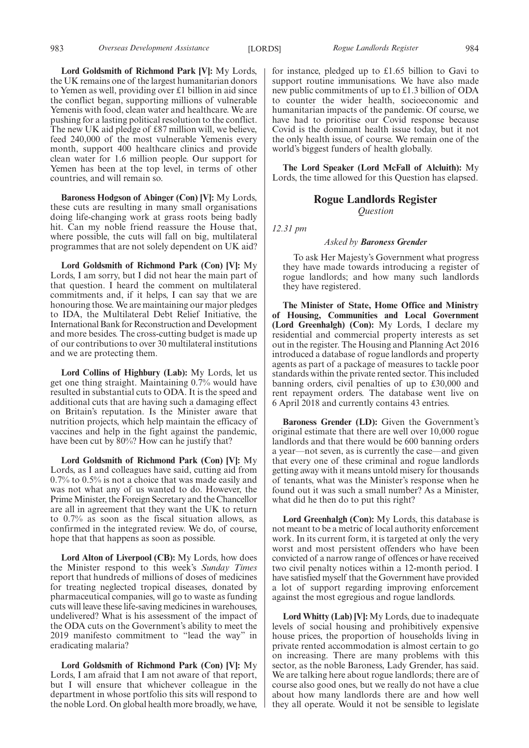**Lord Goldsmith of Richmond Park [V]:** My Lords, the UK remains one of the largest humanitarian donors to Yemen as well, providing over £1 billion in aid since the conflict began, supporting millions of vulnerable Yemenis with food, clean water and healthcare. We are pushing for a lasting political resolution to the conflict. The new UK aid pledge of £87 million will, we believe, feed 240,000 of the most vulnerable Yemenis every month, support 400 healthcare clinics and provide clean water for 1.6 million people. Our support for Yemen has been at the top level, in terms of other countries, and will remain so.

**Baroness Hodgson of Abinger (Con) [V]:** My Lords, these cuts are resulting in many small organisations doing life-changing work at grass roots being badly hit. Can my noble friend reassure the House that, where possible, the cuts will fall on big, multilateral programmes that are not solely dependent on UK aid?

**Lord Goldsmith of Richmond Park (Con) [V]:** My Lords, I am sorry, but I did not hear the main part of that question. I heard the comment on multilateral commitments and, if it helps, I can say that we are honouring those. We are maintaining our major pledges to IDA, the Multilateral Debt Relief Initiative, the International Bank for Reconstruction and Development and more besides. The cross-cutting budget is made up of our contributions to over 30 multilateral institutions and we are protecting them.

**Lord Collins of Highbury (Lab):** My Lords, let us get one thing straight. Maintaining 0.7% would have resulted in substantial cuts to ODA. It is the speed and additional cuts that are having such a damaging effect on Britain's reputation. Is the Minister aware that nutrition projects, which help maintain the efficacy of vaccines and help in the fight against the pandemic, have been cut by 80%? How can he justify that?

**Lord Goldsmith of Richmond Park (Con) [V]:** My Lords, as I and colleagues have said, cutting aid from 0.7% to 0.5% is not a choice that was made easily and was not what any of us wanted to do. However, the Prime Minister, the Foreign Secretary and the Chancellor are all in agreement that they want the UK to return to 0.7% as soon as the fiscal situation allows, as confirmed in the integrated review. We do, of course, hope that that happens as soon as possible.

**Lord Alton of Liverpool (CB):** My Lords, how does the Minister respond to this week's *Sunday Times* report that hundreds of millions of doses of medicines for treating neglected tropical diseases, donated by pharmaceutical companies, will go to waste as funding cuts will leave these life-saving medicines in warehouses, undelivered? What is his assessment of the impact of the ODA cuts on the Government's ability to meet the 2019 manifesto commitment to "lead the way" in eradicating malaria?

**Lord Goldsmith of Richmond Park (Con) [V]:** My Lords, I am afraid that I am not aware of that report, but I will ensure that whichever colleague in the department in whose portfolio this sits will respond to the noble Lord. On global health more broadly, we have,

for instance, pledged up to £1.65 billion to Gavi to support routine immunisations. We have also made new public commitments of up to £1.3 billion of ODA to counter the wider health, socioeconomic and humanitarian impacts of the pandemic. Of course, we have had to prioritise our Covid response because Covid is the dominant health issue today, but it not the only health issue, of course. We remain one of the world's biggest funders of health globally.

**The Lord Speaker (Lord McFall of Alcluith):** My Lords, the time allowed for this Question has elapsed.

## **Rogue Landlords Register** *Question*

*12.31 pm*

#### *Asked by Baroness Grender*

To ask Her Majesty's Government what progress they have made towards introducing a register of rogue landlords; and how many such landlords they have registered.

**The Minister of State, Home Office and Ministry of Housing, Communities and Local Government (Lord Greenhalgh) (Con):** My Lords, I declare my residential and commercial property interests as set out in the register. The Housing and Planning Act 2016 introduced a database of rogue landlords and property agents as part of a package of measures to tackle poor standards within the private rented sector. This included banning orders, civil penalties of up to £30,000 and rent repayment orders. The database went live on 6 April 2018 and currently contains 43 entries.

**Baroness Grender (LD):** Given the Government's original estimate that there are well over 10,000 rogue landlords and that there would be 600 banning orders a year—not seven, as is currently the case—and given that every one of these criminal and rogue landlords getting away with it means untold misery for thousands of tenants, what was the Minister's response when he found out it was such a small number? As a Minister, what did he then do to put this right?

**Lord Greenhalgh (Con):** My Lords, this database is not meant to be a metric of local authority enforcement work. In its current form, it is targeted at only the very worst and most persistent offenders who have been convicted of a narrow range of offences or have received two civil penalty notices within a 12-month period. I have satisfied myself that the Government have provided a lot of support regarding improving enforcement against the most egregious and rogue landlords.

**Lord Whitty (Lab) [V]:** My Lords, due to inadequate levels of social housing and prohibitively expensive house prices, the proportion of households living in private rented accommodation is almost certain to go on increasing. There are many problems with this sector, as the noble Baroness, Lady Grender, has said. We are talking here about rogue landlords; there are of course also good ones, but we really do not have a clue about how many landlords there are and how well they all operate. Would it not be sensible to legislate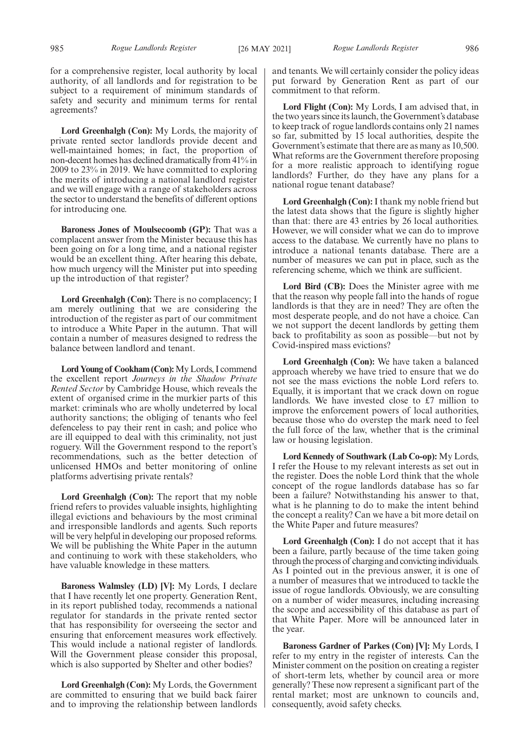for a comprehensive register, local authority by local authority, of all landlords and for registration to be subject to a requirement of minimum standards of safety and security and minimum terms for rental agreements?

**Lord Greenhalgh (Con):** My Lords, the majority of private rented sector landlords provide decent and well-maintained homes; in fact, the proportion of non-decent homes has declined dramatically from 41% in 2009 to 23% in 2019. We have committed to exploring the merits of introducing a national landlord register and we will engage with a range of stakeholders across the sector to understand the benefits of different options for introducing one.

**Baroness Jones of Moulsecoomb (GP):** That was a complacent answer from the Minister because this has been going on for a long time, and a national register would be an excellent thing. After hearing this debate, how much urgency will the Minister put into speeding up the introduction of that register?

**Lord Greenhalgh (Con):** There is no complacency; I am merely outlining that we are considering the introduction of the register as part of our commitment to introduce a White Paper in the autumn. That will contain a number of measures designed to redress the balance between landlord and tenant.

**Lord Young of Cookham (Con):**My Lords, I commend the excellent report *Journeys in the Shadow Private Rented Sector* by Cambridge House, which reveals the extent of organised crime in the murkier parts of this market: criminals who are wholly undeterred by local authority sanctions; the obliging of tenants who feel defenceless to pay their rent in cash; and police who are ill equipped to deal with this criminality, not just roguery. Will the Government respond to the report's recommendations, such as the better detection of unlicensed HMOs and better monitoring of online platforms advertising private rentals?

**Lord Greenhalgh (Con):** The report that my noble friend refers to provides valuable insights, highlighting illegal evictions and behaviours by the most criminal and irresponsible landlords and agents. Such reports will be very helpful in developing our proposed reforms. We will be publishing the White Paper in the autumn and continuing to work with these stakeholders, who have valuable knowledge in these matters.

**Baroness Walmsley (LD) [V]:** My Lords, I declare that I have recently let one property. Generation Rent, in its report published today, recommends a national regulator for standards in the private rented sector that has responsibility for overseeing the sector and ensuring that enforcement measures work effectively. This would include a national register of landlords. Will the Government please consider this proposal, which is also supported by Shelter and other bodies?

**Lord Greenhalgh (Con):** My Lords, the Government are committed to ensuring that we build back fairer and to improving the relationship between landlords and tenants. We will certainly consider the policy ideas put forward by Generation Rent as part of our commitment to that reform.

**Lord Flight (Con):** My Lords, I am advised that, in the two years since its launch, the Government's database to keep track of rogue landlords contains only 21 names so far, submitted by 15 local authorities, despite the Government's estimate that there are as many as 10,500. What reforms are the Government therefore proposing for a more realistic approach to identifying rogue landlords? Further, do they have any plans for a national rogue tenant database?

**Lord Greenhalgh (Con):** I thank my noble friend but the latest data shows that the figure is slightly higher than that: there are 43 entries by 26 local authorities. However, we will consider what we can do to improve access to the database. We currently have no plans to introduce a national tenants database. There are a number of measures we can put in place, such as the referencing scheme, which we think are sufficient.

Lord Bird (CB): Does the Minister agree with me that the reason why people fall into the hands of rogue landlords is that they are in need? They are often the most desperate people, and do not have a choice. Can we not support the decent landlords by getting them back to profitability as soon as possible—but not by Covid-inspired mass evictions?

**Lord Greenhalgh (Con):** We have taken a balanced approach whereby we have tried to ensure that we do not see the mass evictions the noble Lord refers to. Equally, it is important that we crack down on rogue landlords. We have invested close to £7 million to improve the enforcement powers of local authorities, because those who do overstep the mark need to feel the full force of the law, whether that is the criminal law or housing legislation.

**Lord Kennedy of Southwark (Lab Co-op):** My Lords, I refer the House to my relevant interests as set out in the register. Does the noble Lord think that the whole concept of the rogue landlords database has so far been a failure? Notwithstanding his answer to that, what is he planning to do to make the intent behind the concept a reality? Can we have a bit more detail on the White Paper and future measures?

**Lord Greenhalgh (Con):** I do not accept that it has been a failure, partly because of the time taken going through the process of charging and convicting individuals. As I pointed out in the previous answer, it is one of a number of measures that we introduced to tackle the issue of rogue landlords. Obviously, we are consulting on a number of wider measures, including increasing the scope and accessibility of this database as part of that White Paper. More will be announced later in the year.

**Baroness Gardner of Parkes (Con) [V]:** My Lords, I refer to my entry in the register of interests. Can the Minister comment on the position on creating a register of short-term lets, whether by council area or more generally? These now represent a significant part of the rental market; most are unknown to councils and, consequently, avoid safety checks.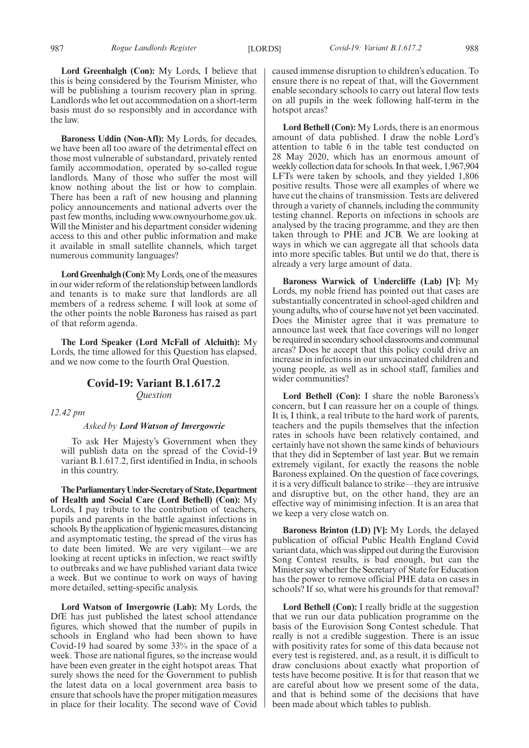**Lord Greenhalgh (Con):** My Lords, I believe that this is being considered by the Tourism Minister, who will be publishing a tourism recovery plan in spring. Landlords who let out accommodation on a short-term basis must do so responsibly and in accordance with the law.

**Baroness Uddin (Non-Afl):** My Lords, for decades, we have been all too aware of the detrimental effect on those most vulnerable of substandard, privately rented family accommodation, operated by so-called rogue landlords. Many of those who suffer the most will know nothing about the list or how to complain. There has been a raft of new housing and planning policy announcements and national adverts over the past few months, including www.ownyourhome.gov.uk. Will the Minister and his department consider widening access to this and other public information and make it available in small satellite channels, which target numerous community languages?

**Lord Greenhalgh (Con):**My Lords, one of the measures in our wider reform of the relationship between landlords and tenants is to make sure that landlords are all members of a redress scheme. I will look at some of the other points the noble Baroness has raised as part of that reform agenda.

**The Lord Speaker (Lord McFall of Alcluith):** My Lords, the time allowed for this Question has elapsed, and we now come to the fourth Oral Question.

## **Covid-19: Variant B.1.617.2** *Question*

*12.42 pm*

#### *Asked by Lord Watson of Invergowrie*

To ask Her Majesty's Government when they will publish data on the spread of the Covid-19 variant B.1.617.2, first identified in India, in schools in this country.

**TheParliamentaryUnder-Secretaryof State,Department of Health and Social Care (Lord Bethell) (Con):** My Lords, I pay tribute to the contribution of teachers, pupils and parents in the battle against infections in schools. By the application of hygienic measures, distancing and asymptomatic testing, the spread of the virus has to date been limited. We are very vigilant—we are looking at recent upticks in infection, we react swiftly to outbreaks and we have published variant data twice a week. But we continue to work on ways of having more detailed, setting-specific analysis.

**Lord Watson of Invergowrie (Lab):** My Lords, the DfE has just published the latest school attendance figures, which showed that the number of pupils in schools in England who had been shown to have Covid-19 had soared by some 33% in the space of a week. Those are national figures, so the increase would have been even greater in the eight hotspot areas. That surely shows the need for the Government to publish the latest data on a local government area basis to ensure that schools have the proper mitigation measures in place for their locality. The second wave of Covid caused immense disruption to children's education. To ensure there is no repeat of that, will the Government enable secondary schools to carry out lateral flow tests on all pupils in the week following half-term in the hotspot areas?

**Lord Bethell (Con):** My Lords, there is an enormous amount of data published. I draw the noble Lord's attention to table 6 in the table test conducted on 28 May 2020, which has an enormous amount of weekly collection data for schools. In that week, 1,967,904 LFTs were taken by schools, and they yielded 1,806 positive results. Those were all examples of where we have cut the chains of transmission. Tests are delivered through a variety of channels, including the community testing channel. Reports on infections in schools are analysed by the tracing programme, and they are then taken through to PHE and JCB. We are looking at ways in which we can aggregate all that schools data into more specific tables. But until we do that, there is already a very large amount of data.

**Baroness Warwick of Undercliffe (Lab) [V]:** My Lords, my noble friend has pointed out that cases are substantially concentrated in school-aged children and young adults, who of course have not yet been vaccinated. Does the Minister agree that it was premature to announce last week that face coverings will no longer be required in secondary school classrooms and communal areas? Does he accept that this policy could drive an increase in infections in our unvaccinated children and young people, as well as in school staff, families and wider communities?

**Lord Bethell (Con):** I share the noble Baroness's concern, but I can reassure her on a couple of things. It is, I think, a real tribute to the hard work of parents, teachers and the pupils themselves that the infection rates in schools have been relatively contained, and certainly have not shown the same kinds of behaviours that they did in September of last year. But we remain extremely vigilant, for exactly the reasons the noble Baroness explained. On the question of face coverings, it is a very difficult balance to strike—they are intrusive and disruptive but, on the other hand, they are an effective way of minimising infection. It is an area that we keep a very close watch on.

**Baroness Brinton (LD) [V]:** My Lords, the delayed publication of official Public Health England Covid variant data, which was slipped out during the Eurovision Song Contest results, is bad enough, but can the Minister say whether the Secretary of State for Education has the power to remove official PHE data on cases in schools? If so, what were his grounds for that removal?

**Lord Bethell (Con):** I really bridle at the suggestion that we run our data publication programme on the basis of the Eurovision Song Contest schedule. That really is not a credible suggestion. There is an issue with positivity rates for some of this data because not every test is registered, and, as a result, it is difficult to draw conclusions about exactly what proportion of tests have become positive. It is for that reason that we are careful about how we present some of the data, and that is behind some of the decisions that have been made about which tables to publish.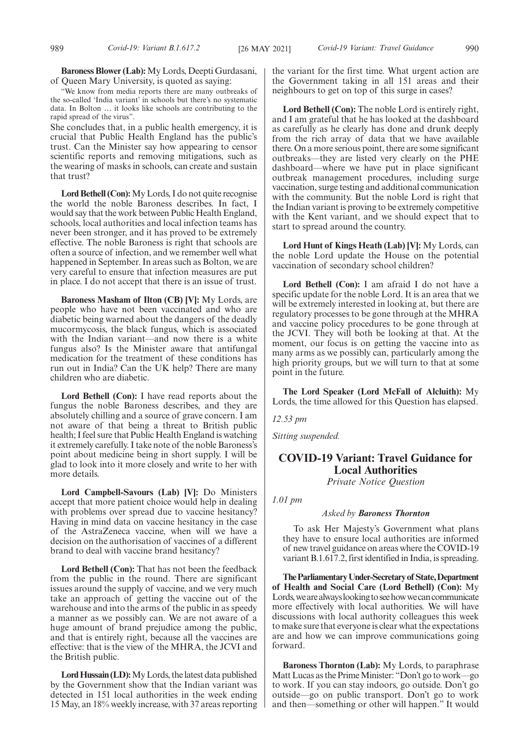**Baroness Blower (Lab):** My Lords, Deepti Gurdasani, of Queen Mary University, is quoted as saying:

"We know from media reports there are many outbreaks of the so-called 'India variant' in schools but there's no systematic data. In Bolton … it looks like schools are contributing to the rapid spread of the virus".

She concludes that, in a public health emergency, it is crucial that Public Health England has the public's trust. Can the Minister say how appearing to censor scientific reports and removing mitigations, such as the wearing of masks in schools, can create and sustain that trust?

**Lord Bethell (Con):**My Lords, I do not quite recognise the world the noble Baroness describes. In fact, I would say that the work between Public Health England, schools, local authorities and local infection teams has never been stronger, and it has proved to be extremely effective. The noble Baroness is right that schools are often a source of infection, and we remember well what happened in September. In areas such as Bolton, we are very careful to ensure that infection measures are put in place. I do not accept that there is an issue of trust.

**Baroness Masham of Ilton (CB) [V]:** My Lords, are people who have not been vaccinated and who are diabetic being warned about the dangers of the deadly mucormycosis, the black fungus, which is associated with the Indian variant—and now there is a white fungus also? Is the Minister aware that antifungal medication for the treatment of these conditions has run out in India? Can the UK help? There are many children who are diabetic.

**Lord Bethell (Con):** I have read reports about the fungus the noble Baroness describes, and they are absolutely chilling and a source of grave concern. I am not aware of that being a threat to British public health; I feel sure that Public Health England is watching it extremely carefully. I take note of the noble Baroness's point about medicine being in short supply. I will be glad to look into it more closely and write to her with more details.

**Lord Campbell-Savours (Lab) [V]:** Do Ministers accept that more patient choice would help in dealing with problems over spread due to vaccine hesitancy? Having in mind data on vaccine hesitancy in the case of the AstraZeneca vaccine, when will we have a decision on the authorisation of vaccines of a different brand to deal with vaccine brand hesitancy?

**Lord Bethell (Con):** That has not been the feedback from the public in the round. There are significant issues around the supply of vaccine, and we very much take an approach of getting the vaccine out of the warehouse and into the arms of the public in as speedy a manner as we possibly can. We are not aware of a huge amount of brand prejudice among the public, and that is entirely right, because all the vaccines are effective: that is the view of the MHRA, the JCVI and the British public.

**Lord Hussain (LD):**My Lords, the latest data published by the Government show that the Indian variant was detected in 151 local authorities in the week ending 15 May, an 18% weekly increase, with 37 areas reporting the variant for the first time. What urgent action are the Government taking in all 151 areas and their neighbours to get on top of this surge in cases?

**Lord Bethell (Con):** The noble Lord is entirely right, and I am grateful that he has looked at the dashboard as carefully as he clearly has done and drunk deeply from the rich array of data that we have available there. On a more serious point, there are some significant outbreaks—they are listed very clearly on the PHE dashboard—where we have put in place significant outbreak management procedures, including surge vaccination, surge testing and additional communication with the community. But the noble Lord is right that the Indian variant is proving to be extremely competitive with the Kent variant, and we should expect that to start to spread around the country.

**Lord Hunt of Kings Heath (Lab) [V]:** My Lords, can the noble Lord update the House on the potential vaccination of secondary school children?

**Lord Bethell (Con):** I am afraid I do not have a specific update for the noble Lord. It is an area that we will be extremely interested in looking at, but there are regulatory processes to be gone through at the MHRA and vaccine policy procedures to be gone through at the JCVI. They will both be looking at that. At the moment, our focus is on getting the vaccine into as many arms as we possibly can, particularly among the high priority groups, but we will turn to that at some point in the future.

**The Lord Speaker (Lord McFall of Alcluith):** My Lords, the time allowed for this Question has elapsed.

*12.53 pm*

*Sitting suspended.*

## **COVID-19 Variant: Travel Guidance for Local Authorities**

*Private Notice Question*

## *1.01 pm*

#### *Asked by Baroness Thornton*

To ask Her Majesty's Government what plans they have to ensure local authorities are informed of new travel guidance on areas where the COVID-19 variant B.1.617.2, first identified in India, is spreading.

**TheParliamentaryUnder-Secretaryof State,Department of Health and Social Care (Lord Bethell) (Con):** My Lords, we are always looking to see how we can communicate more effectively with local authorities. We will have discussions with local authority colleagues this week to make sure that everyone is clear what the expectations are and how we can improve communications going forward.

**Baroness Thornton (Lab):** My Lords, to paraphrase Matt Lucas as the Prime Minister: "Don't go to work—go to work. If you can stay indoors, go outside. Don't go outside—go on public transport. Don't go to work and then—something or other will happen." It would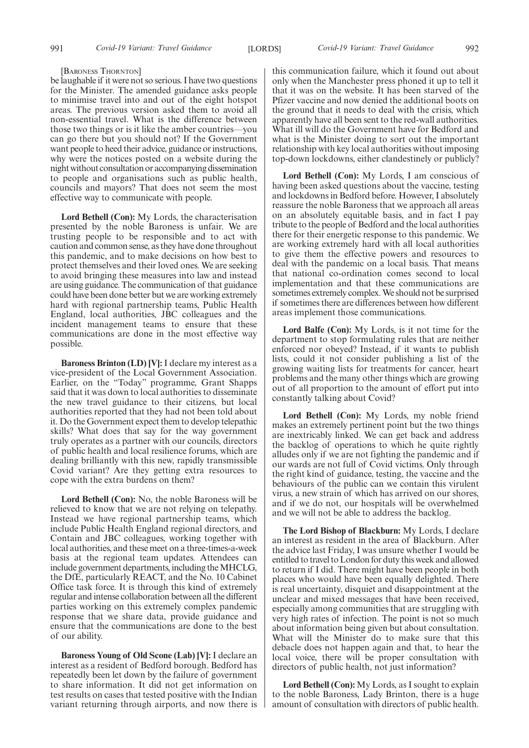#### [BARONESS THORNTON]

be laughable if it were not so serious. I have two questions for the Minister. The amended guidance asks people to minimise travel into and out of the eight hotspot areas. The previous version asked them to avoid all non-essential travel. What is the difference between those two things or is it like the amber countries—you can go there but you should not? If the Government want people to heed their advice, guidance or instructions, why were the notices posted on a website during the night without consultation or accompanying dissemination to people and organisations such as public health, councils and mayors? That does not seem the most effective way to communicate with people.

**Lord Bethell (Con):** My Lords, the characterisation presented by the noble Baroness is unfair. We are trusting people to be responsible and to act with caution and common sense, as they have done throughout this pandemic, and to make decisions on how best to protect themselves and their loved ones. We are seeking to avoid bringing these measures into law and instead are using guidance. The communication of that guidance could have been done better but we are working extremely hard with regional partnership teams, Public Health England, local authorities, JBC colleagues and the incident management teams to ensure that these communications are done in the most effective way possible.

**Baroness Brinton (LD) [V]:** I declare my interest as a vice-president of the Local Government Association. Earlier, on the "Today" programme, Grant Shapps said that it was down to local authorities to disseminate the new travel guidance to their citizens, but local authorities reported that they had not been told about it. Do the Government expect them to develop telepathic skills? What does that say for the way government truly operates as a partner with our councils, directors of public health and local resilience forums, which are dealing brilliantly with this new, rapidly transmissible Covid variant? Are they getting extra resources to cope with the extra burdens on them?

**Lord Bethell (Con):** No, the noble Baroness will be relieved to know that we are not relying on telepathy. Instead we have regional partnership teams, which include Public Health England regional directors, and Contain and JBC colleagues, working together with local authorities, and these meet on a three-times-a-week basis at the regional team updates. Attendees can include government departments, including the MHCLG, the DfE, particularly REACT, and the No. 10 Cabinet Office task force. It is through this kind of extremely regular and intense collaboration between all the different parties working on this extremely complex pandemic response that we share data, provide guidance and ensure that the communications are done to the best of our ability.

**Baroness Young of Old Scone (Lab) [V]:** I declare an interest as a resident of Bedford borough. Bedford has repeatedly been let down by the failure of government to share information. It did not get information on test results on cases that tested positive with the Indian variant returning through airports, and now there is this communication failure, which it found out about only when the Manchester press phoned it up to tell it that it was on the website. It has been starved of the Pfizer vaccine and now denied the additional boots on the ground that it needs to deal with the crisis, which apparently have all been sent to the red-wall authorities. What ill will do the Government have for Bedford and what is the Minister doing to sort out the important relationship with key local authorities without imposing top-down lockdowns, either clandestinely or publicly?

**Lord Bethell (Con):** My Lords, I am conscious of having been asked questions about the vaccine, testing and lockdowns in Bedford before. However, I absolutely reassure the noble Baroness that we approach all areas on an absolutely equitable basis, and in fact I pay tribute to the people of Bedford and the local authorities there for their energetic response to this pandemic. We are working extremely hard with all local authorities to give them the effective powers and resources to deal with the pandemic on a local basis. That means that national co-ordination comes second to local implementation and that these communications are sometimes extremely complex. We should not be surprised if sometimes there are differences between how different areas implement those communications.

**Lord Balfe (Con):** My Lords, is it not time for the department to stop formulating rules that are neither enforced nor obeyed? Instead, if it wants to publish lists, could it not consider publishing a list of the growing waiting lists for treatments for cancer, heart problems and the many other things which are growing out of all proportion to the amount of effort put into constantly talking about Covid?

**Lord Bethell (Con):** My Lords, my noble friend makes an extremely pertinent point but the two things are inextricably linked. We can get back and address the backlog of operations to which he quite rightly alludes only if we are not fighting the pandemic and if our wards are not full of Covid victims. Only through the right kind of guidance, testing, the vaccine and the behaviours of the public can we contain this virulent virus, a new strain of which has arrived on our shores, and if we do not, our hospitals will be overwhelmed and we will not be able to address the backlog.

**The Lord Bishop of Blackburn:** My Lords, I declare an interest as resident in the area of Blackburn. After the advice last Friday, I was unsure whether I would be entitled to travel to London for duty this week and allowed to return if I did. There might have been people in both places who would have been equally delighted. There is real uncertainty, disquiet and disappointment at the unclear and mixed messages that have been received, especially among communities that are struggling with very high rates of infection. The point is not so much about information being given but about consultation. What will the Minister do to make sure that this debacle does not happen again and that, to hear the local voice, there will be proper consultation with directors of public health, not just information?

**Lord Bethell (Con):** My Lords, as I sought to explain to the noble Baroness, Lady Brinton, there is a huge amount of consultation with directors of public health.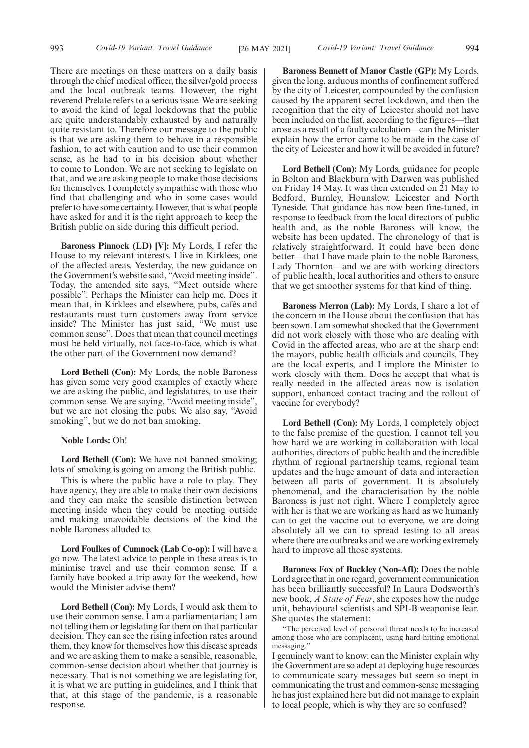There are meetings on these matters on a daily basis through the chief medical officer, the silver/gold process and the local outbreak teams. However, the right reverend Prelate refers to a serious issue. We are seeking to avoid the kind of legal lockdowns that the public are quite understandably exhausted by and naturally quite resistant to. Therefore our message to the public is that we are asking them to behave in a responsible fashion, to act with caution and to use their common sense, as he had to in his decision about whether to come to London. We are not seeking to legislate on that, and we are asking people to make those decisions for themselves. I completely sympathise with those who find that challenging and who in some cases would prefer to have some certainty. However, that is what people have asked for and it is the right approach to keep the British public on side during this difficult period.

**Baroness Pinnock (LD) [V]:** My Lords, I refer the House to my relevant interests. I live in Kirklees, one of the affected areas. Yesterday, the new guidance on the Government's website said, "Avoid meeting inside". Today, the amended site says, "Meet outside where possible". Perhaps the Minister can help me. Does it mean that, in Kirklees and elsewhere, pubs, cafés and restaurants must turn customers away from service inside? The Minister has just said, "We must use common sense". Does that mean that council meetings must be held virtually, not face-to-face, which is what the other part of the Government now demand?

**Lord Bethell (Con):** My Lords, the noble Baroness has given some very good examples of exactly where we are asking the public, and legislatures, to use their common sense. We are saying, "Avoid meeting inside", but we are not closing the pubs. We also say, "Avoid smoking", but we do not ban smoking.

#### **Noble Lords:** Oh!

**Lord Bethell (Con):** We have not banned smoking; lots of smoking is going on among the British public.

This is where the public have a role to play. They have agency, they are able to make their own decisions and they can make the sensible distinction between meeting inside when they could be meeting outside and making unavoidable decisions of the kind the noble Baroness alluded to.

**Lord Foulkes of Cumnock (Lab Co-op):** I will have a go now. The latest advice to people in these areas is to minimise travel and use their common sense. If a family have booked a trip away for the weekend, how would the Minister advise them?

**Lord Bethell (Con):** My Lords, I would ask them to use their common sense. I am a parliamentarian; I am not telling them or legislating for them on that particular decision. They can see the rising infection rates around them, they know for themselves how this disease spreads and we are asking them to make a sensible, reasonable, common-sense decision about whether that journey is necessary. That is not something we are legislating for, it is what we are putting in guidelines, and I think that that, at this stage of the pandemic, is a reasonable response.

**Baroness Bennett of Manor Castle (GP):** My Lords, given the long, arduous months of confinement suffered by the city of Leicester, compounded by the confusion caused by the apparent secret lockdown, and then the recognition that the city of Leicester should not have been included on the list, according to the figures—that arose as a result of a faulty calculation—can the Minister explain how the error came to be made in the case of the city of Leicester and how it will be avoided in future?

**Lord Bethell (Con):** My Lords, guidance for people in Bolton and Blackburn with Darwen was published on Friday 14 May. It was then extended on 21 May to Bedford, Burnley, Hounslow, Leicester and North Tyneside. That guidance has now been fine-tuned, in response to feedback from the local directors of public health and, as the noble Baroness will know, the website has been updated. The chronology of that is relatively straightforward. It could have been done better—that I have made plain to the noble Baroness, Lady Thornton—and we are with working directors of public health, local authorities and others to ensure that we get smoother systems for that kind of thing.

**Baroness Merron (Lab):** My Lords, I share a lot of the concern in the House about the confusion that has been sown. I am somewhat shocked that the Government did not work closely with those who are dealing with Covid in the affected areas, who are at the sharp end: the mayors, public health officials and councils. They are the local experts, and I implore the Minister to work closely with them. Does he accept that what is really needed in the affected areas now is isolation support, enhanced contact tracing and the rollout of vaccine for everybody?

**Lord Bethell (Con):** My Lords, I completely object to the false premise of the question. I cannot tell you how hard we are working in collaboration with local authorities, directors of public health and the incredible rhythm of regional partnership teams, regional team updates and the huge amount of data and interaction between all parts of government. It is absolutely phenomenal, and the characterisation by the noble Baroness is just not right. Where I completely agree with her is that we are working as hard as we humanly can to get the vaccine out to everyone, we are doing absolutely all we can to spread testing to all areas where there are outbreaks and we are working extremely hard to improve all those systems.

**Baroness Fox of Buckley (Non-Afl):** Does the noble Lord agree that in one regard, government communication has been brilliantly successful? In Laura Dodsworth's new book, *A State of Fear*, she exposes how the nudge unit, behavioural scientists and SPI-B weaponise fear. She quotes the statement:

"The perceived level of personal threat needs to be increased among those who are complacent, using hard-hitting emotional messaging."

I genuinely want to know: can the Minister explain why the Government are so adept at deploying huge resources to communicate scary messages but seem so inept in communicating the trust and common-sense messaging he has just explained here but did not manage to explain to local people, which is why they are so confused?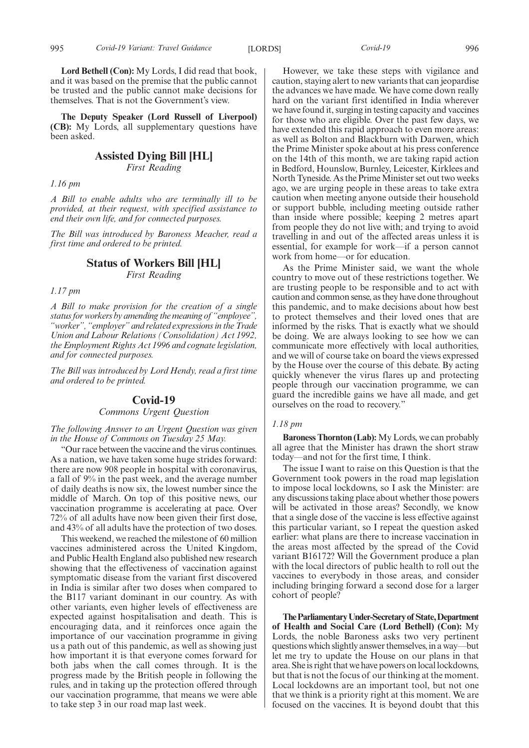**Lord Bethell (Con):** My Lords, I did read that book, and it was based on the premise that the public cannot be trusted and the public cannot make decisions for themselves. That is not the Government's view.

**The Deputy Speaker (Lord Russell of Liverpool) (CB):** My Lords, all supplementary questions have been asked.

## **Assisted Dying Bill [HL]**

*First Reading*

*1.16 pm*

*A Bill to enable adults who are terminally ill to be provided, at their request, with specified assistance to end their own life, and for connected purposes.*

*The Bill was introduced by Baroness Meacher, read a first time and ordered to be printed.*

## **Status of Workers Bill [HL]**

*First Reading*

*1.17 pm*

*A Bill to make provision for the creation of a single status for workers by amending the meaning of "employee", "worker", "employer" and related expressions in the Trade Union and Labour Relations (Consolidation) Act 1992, the Employment Rights Act 1996 and cognate legislation, and for connected purposes.*

*The Bill was introduced by Lord Hendy, read a first time and ordered to be printed.*

#### **Covid-19**

#### *Commons Urgent Question*

*The following Answer to an Urgent Question was given in the House of Commons on Tuesday 25 May.*

"Our race between the vaccine and the virus continues. As a nation, we have taken some huge strides forward: there are now 908 people in hospital with coronavirus, a fall of 9% in the past week, and the average number of daily deaths is now six, the lowest number since the middle of March. On top of this positive news, our vaccination programme is accelerating at pace. Over 72% of all adults have now been given their first dose, and 43% of all adults have the protection of two doses.

This weekend, we reached the milestone of 60 million vaccines administered across the United Kingdom, and Public Health England also published new research showing that the effectiveness of vaccination against symptomatic disease from the variant first discovered in India is similar after two doses when compared to the B117 variant dominant in our country. As with other variants, even higher levels of effectiveness are expected against hospitalisation and death. This is encouraging data, and it reinforces once again the importance of our vaccination programme in giving us a path out of this pandemic, as well as showing just how important it is that everyone comes forward for both jabs when the call comes through. It is the progress made by the British people in following the rules, and in taking up the protection offered through our vaccination programme, that means we were able to take step 3 in our road map last week.

However, we take these steps with vigilance and caution, staying alert to new variants that can jeopardise the advances we have made. We have come down really hard on the variant first identified in India wherever we have found it, surging in testing capacity and vaccines for those who are eligible. Over the past few days, we have extended this rapid approach to even more areas:

as well as Bolton and Blackburn with Darwen, which the Prime Minister spoke about at his press conference on the 14th of this month, we are taking rapid action in Bedford, Hounslow, Burnley, Leicester, Kirklees and North Tyneside. As the Prime Minister set out two weeks ago, we are urging people in these areas to take extra caution when meeting anyone outside their household or support bubble, including meeting outside rather than inside where possible; keeping 2 metres apart from people they do not live with; and trying to avoid travelling in and out of the affected areas unless it is essential, for example for work—if a person cannot work from home—or for education.

As the Prime Minister said, we want the whole country to move out of these restrictions together. We are trusting people to be responsible and to act with caution and common sense, as they have done throughout this pandemic, and to make decisions about how best to protect themselves and their loved ones that are informed by the risks. That is exactly what we should be doing. We are always looking to see how we can communicate more effectively with local authorities, and we will of course take on board the views expressed by the House over the course of this debate. By acting quickly whenever the virus flares up and protecting people through our vaccination programme, we can guard the incredible gains we have all made, and get ourselves on the road to recovery."

#### *1.18 pm*

**Baroness Thornton (Lab):** My Lords, we can probably all agree that the Minister has drawn the short straw today—and not for the first time, I think.

The issue I want to raise on this Question is that the Government took powers in the road map legislation to impose local lockdowns, so I ask the Minister: are any discussions taking place about whether those powers will be activated in those areas? Secondly, we know that a single dose of the vaccine is less effective against this particular variant, so I repeat the question asked earlier: what plans are there to increase vaccination in the areas most affected by the spread of the Covid variant B16172? Will the Government produce a plan with the local directors of public health to roll out the vaccines to everybody in those areas, and consider including bringing forward a second dose for a larger cohort of people?

**TheParliamentaryUnder-Secretaryof State,Department of Health and Social Care (Lord Bethell) (Con):** My Lords, the noble Baroness asks two very pertinent questions which slightly answer themselves, in a way—but let me try to update the House on our plans in that area. She is right that we have powers on local lockdowns, but that is not the focus of our thinking at the moment. Local lockdowns are an important tool, but not one that we think is a priority right at this moment. We are focused on the vaccines. It is beyond doubt that this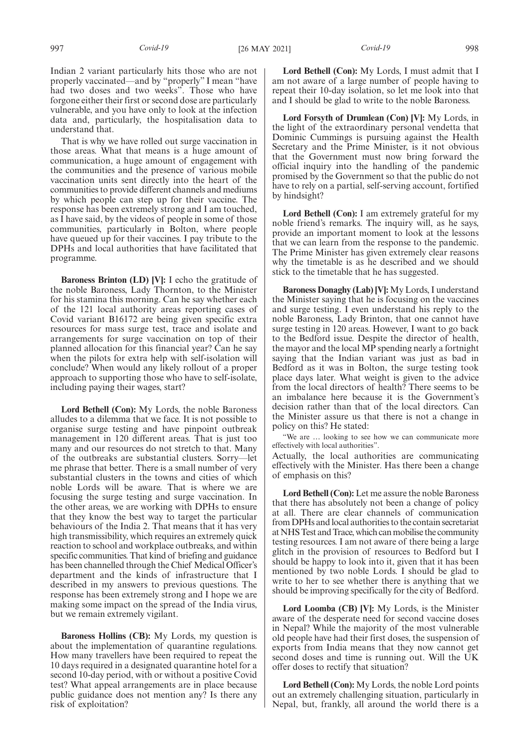Indian 2 variant particularly hits those who are not properly vaccinated—and by "properly" I mean "have had two doses and two weeks". Those who have forgone either their first or second dose are particularly vulnerable, and you have only to look at the infection data and, particularly, the hospitalisation data to understand that.

That is why we have rolled out surge vaccination in those areas. What that means is a huge amount of communication, a huge amount of engagement with the communities and the presence of various mobile vaccination units sent directly into the heart of the communities to provide different channels and mediums by which people can step up for their vaccine. The response has been extremely strong and I am touched, as I have said, by the videos of people in some of those communities, particularly in Bolton, where people have queued up for their vaccines. I pay tribute to the DPHs and local authorities that have facilitated that programme.

**Baroness Brinton (LD) [V]:** I echo the gratitude of the noble Baroness, Lady Thornton, to the Minister for his stamina this morning. Can he say whether each of the 121 local authority areas reporting cases of Covid variant B16172 are being given specific extra resources for mass surge test, trace and isolate and arrangements for surge vaccination on top of their planned allocation for this financial year? Can he say when the pilots for extra help with self-isolation will conclude? When would any likely rollout of a proper approach to supporting those who have to self-isolate, including paying their wages, start?

**Lord Bethell (Con):** My Lords, the noble Baroness alludes to a dilemma that we face. It is not possible to organise surge testing and have pinpoint outbreak management in 120 different areas. That is just too many and our resources do not stretch to that. Many of the outbreaks are substantial clusters. Sorry—let me phrase that better. There is a small number of very substantial clusters in the towns and cities of which noble Lords will be aware. That is where we are focusing the surge testing and surge vaccination. In the other areas, we are working with DPHs to ensure that they know the best way to target the particular behaviours of the India 2. That means that it has very high transmissibility, which requires an extremely quick reaction to school and workplace outbreaks, and within specific communities. That kind of briefing and guidance has been channelled through the Chief Medical Officer's department and the kinds of infrastructure that I described in my answers to previous questions. The response has been extremely strong and I hope we are making some impact on the spread of the India virus, but we remain extremely vigilant.

**Baroness Hollins (CB):** My Lords, my question is about the implementation of quarantine regulations. How many travellers have been required to repeat the 10 days required in a designated quarantine hotel for a second 10-day period, with or without a positive Covid test? What appeal arrangements are in place because public guidance does not mention any? Is there any risk of exploitation?

**Lord Bethell (Con):** My Lords, I must admit that I am not aware of a large number of people having to repeat their 10-day isolation, so let me look into that and I should be glad to write to the noble Baroness.

**Lord Forsyth of Drumlean (Con) [V]:** My Lords, in the light of the extraordinary personal vendetta that Dominic Cummings is pursuing against the Health Secretary and the Prime Minister, is it not obvious that the Government must now bring forward the official inquiry into the handling of the pandemic promised by the Government so that the public do not have to rely on a partial, self-serving account, fortified by hindsight?

**Lord Bethell (Con):** I am extremely grateful for my noble friend's remarks. The inquiry will, as he says, provide an important moment to look at the lessons that we can learn from the response to the pandemic. The Prime Minister has given extremely clear reasons why the timetable is as he described and we should stick to the timetable that he has suggested.

**Baroness Donaghy (Lab) [V]:** My Lords, I understand the Minister saying that he is focusing on the vaccines and surge testing. I even understand his reply to the noble Baroness, Lady Brinton, that one cannot have surge testing in 120 areas. However, I want to go back to the Bedford issue. Despite the director of health, the mayor and the local MP spending nearly a fortnight saying that the Indian variant was just as bad in Bedford as it was in Bolton, the surge testing took place days later. What weight is given to the advice from the local directors of health? There seems to be an imbalance here because it is the Government's decision rather than that of the local directors. Can the Minister assure us that there is not a change in policy on this? He stated:

"We are … looking to see how we can communicate more effectively with local authorities".

Actually, the local authorities are communicating effectively with the Minister. Has there been a change of emphasis on this?

**Lord Bethell (Con):** Let me assure the noble Baroness that there has absolutely not been a change of policy at all. There are clear channels of communication from DPHs and local authorities to the contain secretariat at NHS Test and Trace, which can mobilise the community testing resources. I am not aware of there being a large glitch in the provision of resources to Bedford but I should be happy to look into it, given that it has been mentioned by two noble Lords. I should be glad to write to her to see whether there is anything that we should be improving specifically for the city of Bedford.

**Lord Loomba (CB) [V]:** My Lords, is the Minister aware of the desperate need for second vaccine doses in Nepal? While the majority of the most vulnerable old people have had their first doses, the suspension of exports from India means that they now cannot get second doses and time is running out. Will the UK offer doses to rectify that situation?

**Lord Bethell (Con):** My Lords, the noble Lord points out an extremely challenging situation, particularly in Nepal, but, frankly, all around the world there is a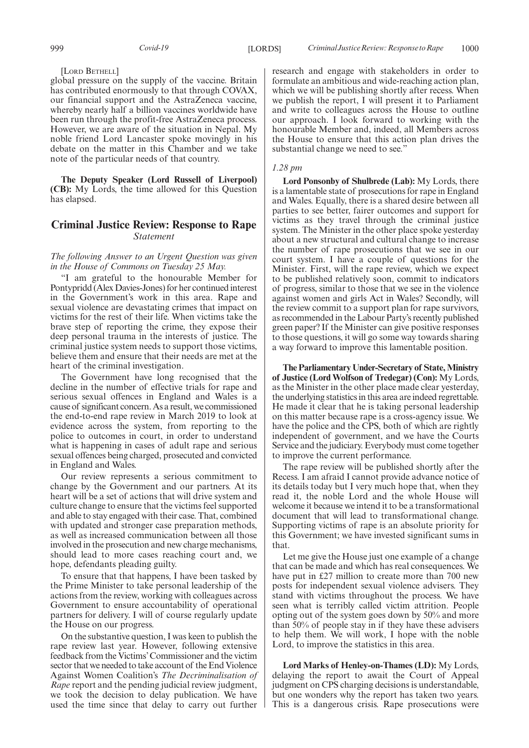#### [LORD BETHELL]

global pressure on the supply of the vaccine. Britain has contributed enormously to that through COVAX, our financial support and the AstraZeneca vaccine, whereby nearly half a billion vaccines worldwide have been run through the profit-free AstraZeneca process. However, we are aware of the situation in Nepal. My noble friend Lord Lancaster spoke movingly in his debate on the matter in this Chamber and we take note of the particular needs of that country.

**The Deputy Speaker (Lord Russell of Liverpool) (CB):** My Lords, the time allowed for this Question has elapsed.

## **Criminal Justice Review: Response to Rape** *Statement*

#### *The following Answer to an Urgent Question was given in the House of Commons on Tuesday 25 May.*

"I am grateful to the honourable Member for Pontypridd (Alex Davies-Jones) for her continued interest in the Government's work in this area. Rape and sexual violence are devastating crimes that impact on victims for the rest of their life. When victims take the brave step of reporting the crime, they expose their deep personal trauma in the interests of justice. The criminal justice system needs to support those victims, believe them and ensure that their needs are met at the heart of the criminal investigation.

The Government have long recognised that the decline in the number of effective trials for rape and serious sexual offences in England and Wales is a cause of significant concern. As a result, we commissioned the end-to-end rape review in March 2019 to look at evidence across the system, from reporting to the police to outcomes in court, in order to understand what is happening in cases of adult rape and serious sexual offences being charged, prosecuted and convicted in England and Wales.

Our review represents a serious commitment to change by the Government and our partners. At its heart will be a set of actions that will drive system and culture change to ensure that the victims feel supported and able to stay engaged with their case. That, combined with updated and stronger case preparation methods, as well as increased communication between all those involved in the prosecution and new charge mechanisms, should lead to more cases reaching court and, we hope, defendants pleading guilty.

To ensure that that happens, I have been tasked by the Prime Minister to take personal leadership of the actions from the review, working with colleagues across Government to ensure accountability of operational partners for delivery. I will of course regularly update the House on our progress.

On the substantive question, I was keen to publish the rape review last year. However, following extensive feedback from the Victims'Commissioner and the victim sector that we needed to take account of the End Violence Against Women Coalition's *The Decriminalisation of Rape* report and the pending judicial review judgment, we took the decision to delay publication. We have used the time since that delay to carry out further

research and engage with stakeholders in order to formulate an ambitious and wide-reaching action plan, which we will be publishing shortly after recess. When we publish the report, I will present it to Parliament and write to colleagues across the House to outline our approach. I look forward to working with the honourable Member and, indeed, all Members across the House to ensure that this action plan drives the substantial change we need to see."

#### *1.28 pm*

**Lord Ponsonby of Shulbrede (Lab):** My Lords, there is a lamentable state of prosecutions for rape in England and Wales. Equally, there is a shared desire between all parties to see better, fairer outcomes and support for victims as they travel through the criminal justice system. The Minister in the other place spoke yesterday about a new structural and cultural change to increase the number of rape prosecutions that we see in our court system. I have a couple of questions for the Minister. First, will the rape review, which we expect to be published relatively soon, commit to indicators of progress, similar to those that we see in the violence against women and girls Act in Wales? Secondly, will the review commit to a support plan for rape survivors, as recommended in the Labour Party's recently published green paper? If the Minister can give positive responses to those questions, it will go some way towards sharing a way forward to improve this lamentable position.

**The Parliamentary Under-Secretary of State, Ministry of Justice (Lord Wolfson of Tredegar) (Con):** My Lords, as the Minister in the other place made clear yesterday, the underlying statistics in this area are indeed regrettable. He made it clear that he is taking personal leadership on this matter because rape is a cross-agency issue. We have the police and the CPS, both of which are rightly independent of government, and we have the Courts Service and the judiciary. Everybody must come together to improve the current performance.

The rape review will be published shortly after the Recess. I am afraid I cannot provide advance notice of its details today but I very much hope that, when they read it, the noble Lord and the whole House will welcome it because we intend it to be a transformational document that will lead to transformational change. Supporting victims of rape is an absolute priority for this Government; we have invested significant sums in that.

Let me give the House just one example of a change that can be made and which has real consequences. We have put in £27 million to create more than 700 new posts for independent sexual violence advisers. They stand with victims throughout the process. We have seen what is terribly called victim attrition. People opting out of the system goes down by 50% and more than 50% of people stay in if they have these advisers to help them. We will work, I hope with the noble Lord, to improve the statistics in this area.

**Lord Marks of Henley-on-Thames (LD):** My Lords, delaying the report to await the Court of Appeal judgment on CPS charging decisions is understandable, but one wonders why the report has taken two years. This is a dangerous crisis. Rape prosecutions were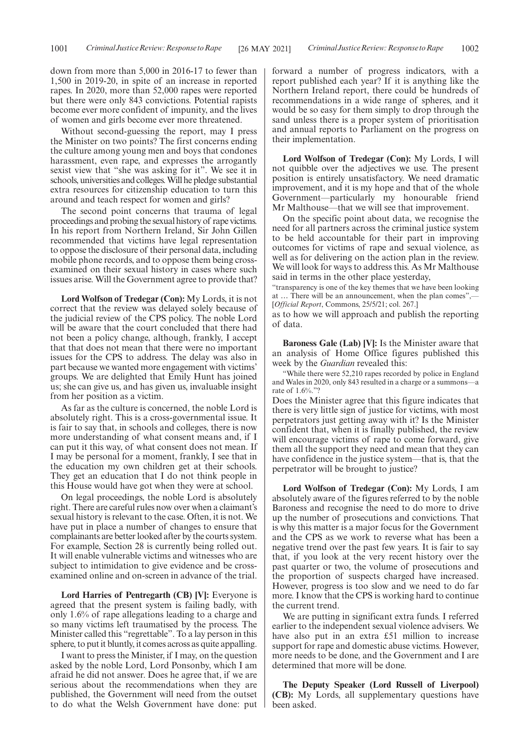down from more than 5,000 in 2016-17 to fewer than 1,500 in 2019-20, in spite of an increase in reported rapes. In 2020, more than 52,000 rapes were reported but there were only 843 convictions. Potential rapists become ever more confident of impunity, and the lives of women and girls become ever more threatened.

Without second-guessing the report, may I press the Minister on two points? The first concerns ending the culture among young men and boys that condones harassment, even rape, and expresses the arrogantly sexist view that "she was asking for it". We see it in schools, universities and colleges. Will he pledge substantial extra resources for citizenship education to turn this around and teach respect for women and girls?

The second point concerns that trauma of legal proceedings and probing the sexual history of rape victims. In his report from Northern Ireland, Sir John Gillen recommended that victims have legal representation to oppose the disclosure of their personal data, including mobile phone records, and to oppose them being crossexamined on their sexual history in cases where such issues arise. Will the Government agree to provide that?

**Lord Wolfson of Tredegar (Con):** My Lords, it is not correct that the review was delayed solely because of the judicial review of the CPS policy. The noble Lord will be aware that the court concluded that there had not been a policy change, although, frankly, I accept that that does not mean that there were no important issues for the CPS to address. The delay was also in part because we wanted more engagement with victims' groups. We are delighted that Emily Hunt has joined us; she can give us, and has given us, invaluable insight from her position as a victim.

As far as the culture is concerned, the noble Lord is absolutely right. This is a cross-governmental issue. It is fair to say that, in schools and colleges, there is now more understanding of what consent means and, if I can put it this way, of what consent does not mean. If I may be personal for a moment, frankly, I see that in the education my own children get at their schools. They get an education that I do not think people in this House would have got when they were at school.

On legal proceedings, the noble Lord is absolutely right. There are careful rules now over when a claimant's sexual history is relevant to the case. Often, it is not. We have put in place a number of changes to ensure that complainants are better looked after by the courts system. For example, Section 28 is currently being rolled out. It will enable vulnerable victims and witnesses who are subject to intimidation to give evidence and be crossexamined online and on-screen in advance of the trial.

**Lord Harries of Pentregarth (CB) [V]:** Everyone is agreed that the present system is failing badly, with only 1.6% of rape allegations leading to a charge and so many victims left traumatised by the process. The Minister called this "regrettable". To a lay person in this sphere, to put it bluntly, it comes across as quite appalling.

I want to press the Minister, if I may, on the question asked by the noble Lord, Lord Ponsonby, which I am afraid he did not answer. Does he agree that, if we are serious about the recommendations when they are published, the Government will need from the outset to do what the Welsh Government have done: put forward a number of progress indicators, with a report published each year? If it is anything like the Northern Ireland report, there could be hundreds of recommendations in a wide range of spheres, and it would be so easy for them simply to drop through the sand unless there is a proper system of prioritisation and annual reports to Parliament on the progress on their implementation.

**Lord Wolfson of Tredegar (Con):** My Lords, I will not quibble over the adjectives we use. The present position is entirely unsatisfactory. We need dramatic improvement, and it is my hope and that of the whole Government—particularly my honourable friend Mr Malthouse—that we will see that improvement.

On the specific point about data, we recognise the need for all partners across the criminal justice system to be held accountable for their part in improving outcomes for victims of rape and sexual violence, as well as for delivering on the action plan in the review. We will look for ways to address this. As Mr Malthouse said in terms in the other place yesterday,

"transparency is one of the key themes that we have been looking at ... There will be an announcement, when the plan comes",-[*Official Report*, Commons, 25/5/21; col. 267.] as to how we will approach and publish the reporting

of data.

**Baroness Gale (Lab) [V]:** Is the Minister aware that an analysis of Home Office figures published this week by the *Guardian* revealed this:

While there were 52,210 rapes recorded by police in England and Wales in 2020, only 843 resulted in a charge or a summons—a rate of 1.6%."?

Does the Minister agree that this figure indicates that there is very little sign of justice for victims, with most perpetrators just getting away with it? Is the Minister confident that, when it is finally published, the review will encourage victims of rape to come forward, give them all the support they need and mean that they can have confidence in the justice system—that is, that the perpetrator will be brought to justice?

**Lord Wolfson of Tredegar (Con):** My Lords, I am absolutely aware of the figures referred to by the noble Baroness and recognise the need to do more to drive up the number of prosecutions and convictions. That is why this matter is a major focus for the Government and the CPS as we work to reverse what has been a negative trend over the past few years. It is fair to say that, if you look at the very recent history over the past quarter or two, the volume of prosecutions and the proportion of suspects charged have increased. However, progress is too slow and we need to do far more. I know that the CPS is working hard to continue the current trend.

We are putting in significant extra funds. I referred earlier to the independent sexual violence advisers. We have also put in an extra £51 million to increase support for rape and domestic abuse victims. However, more needs to be done, and the Government and I are determined that more will be done.

**The Deputy Speaker (Lord Russell of Liverpool) (CB):** My Lords, all supplementary questions have been asked.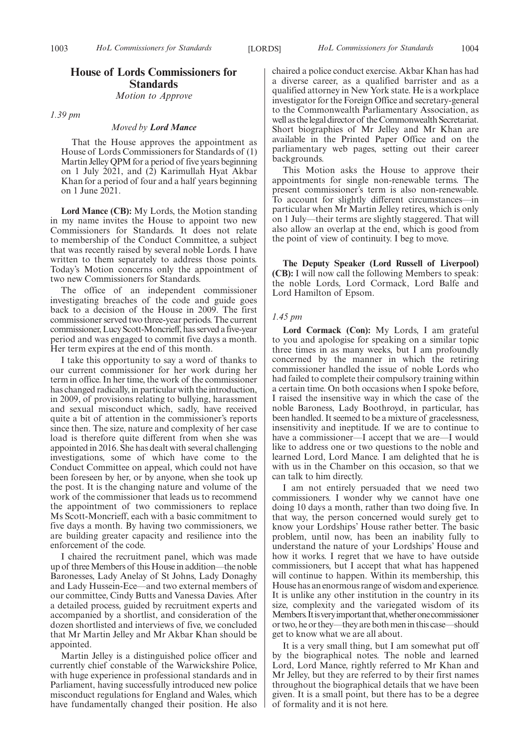## **House of Lords Commissioners for Standards**

*Motion to Approve*

*1.39 pm*

#### *Moved by Lord Mance*

That the House approves the appointment as House of Lords Commissioners for Standards of (1) Martin Jelley QPM for a period of five years beginning on 1 July 2021, and (2) Karimullah Hyat Akbar Khan for a period of four and a half years beginning on 1 June 2021.

**Lord Mance (CB):** My Lords, the Motion standing in my name invites the House to appoint two new Commissioners for Standards. It does not relate to membership of the Conduct Committee, a subject that was recently raised by several noble Lords. I have written to them separately to address those points. Today's Motion concerns only the appointment of two new Commissioners for Standards.

The office of an independent commissioner investigating breaches of the code and guide goes back to a decision of the House in 2009. The first commissioner served two three-year periods. The current commissioner, Lucy Scott-Moncrieff, has served a five-year period and was engaged to commit five days a month. Her term expires at the end of this month.

I take this opportunity to say a word of thanks to our current commissioner for her work during her term in office. In her time, the work of the commissioner has changed radically, in particular with the introduction, in 2009, of provisions relating to bullying, harassment and sexual misconduct which, sadly, have received quite a bit of attention in the commissioner's reports since then. The size, nature and complexity of her case load is therefore quite different from when she was appointed in 2016. She has dealt with several challenging investigations, some of which have come to the Conduct Committee on appeal, which could not have been foreseen by her, or by anyone, when she took up the post. It is the changing nature and volume of the work of the commissioner that leads us to recommend the appointment of two commissioners to replace Ms Scott-Moncrieff, each with a basic commitment to five days a month. By having two commissioners, we are building greater capacity and resilience into the enforcement of the code.

I chaired the recruitment panel, which was made up of three Members of this House in addition—the noble Baronesses, Lady Anelay of St Johns, Lady Donaghy and Lady Hussein-Ece—and two external members of our committee, Cindy Butts and Vanessa Davies. After a detailed process, guided by recruitment experts and accompanied by a shortlist, and consideration of the dozen shortlisted and interviews of five, we concluded that Mr Martin Jelley and Mr Akbar Khan should be appointed.

Martin Jelley is a distinguished police officer and currently chief constable of the Warwickshire Police, with huge experience in professional standards and in Parliament, having successfully introduced new police misconduct regulations for England and Wales, which have fundamentally changed their position. He also

chaired a police conduct exercise. Akbar Khan has had a diverse career, as a qualified barrister and as a qualified attorney in New York state. He is a workplace investigator for the Foreign Office and secretary-general to the Commonwealth Parliamentary Association, as well as the legal director of the Commonwealth Secretariat. Short biographies of Mr Jelley and Mr Khan are available in the Printed Paper Office and on the parliamentary web pages, setting out their career backgrounds.

This Motion asks the House to approve their appointments for single non-renewable terms. The present commissioner's term is also non-renewable. To account for slightly different circumstances—in particular when Mr Martin Jelley retires, which is only on 1 July—their terms are slightly staggered. That will also allow an overlap at the end, which is good from the point of view of continuity. I beg to move.

**The Deputy Speaker (Lord Russell of Liverpool) (CB):** I will now call the following Members to speak: the noble Lords, Lord Cormack, Lord Balfe and Lord Hamilton of Epsom.

#### *1.45 pm*

**Lord Cormack (Con):** My Lords, I am grateful to you and apologise for speaking on a similar topic three times in as many weeks, but I am profoundly concerned by the manner in which the retiring commissioner handled the issue of noble Lords who had failed to complete their compulsory training within a certain time. On both occasions when I spoke before, I raised the insensitive way in which the case of the noble Baroness, Lady Boothroyd, in particular, has been handled. It seemed to be a mixture of gracelessness, insensitivity and ineptitude. If we are to continue to have a commissioner—I accept that we are—I would like to address one or two questions to the noble and learned Lord, Lord Mance. I am delighted that he is with us in the Chamber on this occasion, so that we can talk to him directly.

I am not entirely persuaded that we need two commissioners. I wonder why we cannot have one doing 10 days a month, rather than two doing five. In that way, the person concerned would surely get to know your Lordships' House rather better. The basic problem, until now, has been an inability fully to understand the nature of your Lordships' House and how it works. I regret that we have to have outside commissioners, but I accept that what has happened will continue to happen. Within its membership, this House has an enormous range of wisdom and experience. It is unlike any other institution in the country in its size, complexity and the variegated wisdom of its Members. It is very important that, whether one commissioner or two, he or they—they are both men in this case—should get to know what we are all about.

It is a very small thing, but I am somewhat put off by the biographical notes. The noble and learned Lord, Lord Mance, rightly referred to Mr Khan and Mr Jelley, but they are referred to by their first names throughout the biographical details that we have been given. It is a small point, but there has to be a degree of formality and it is not here.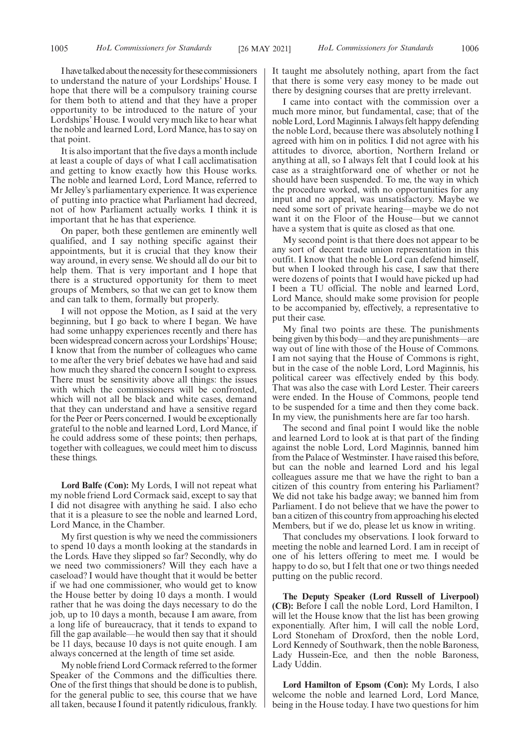I have talked about the necessity for these commissioners to understand the nature of your Lordships' House. I hope that there will be a compulsory training course for them both to attend and that they have a proper opportunity to be introduced to the nature of your Lordships' House. I would very much like to hear what the noble and learned Lord, Lord Mance, has to say on that point.

It is also important that the five days a month include at least a couple of days of what I call acclimatisation and getting to know exactly how this House works. The noble and learned Lord, Lord Mance, referred to Mr Jelley's parliamentary experience. It was experience of putting into practice what Parliament had decreed, not of how Parliament actually works. I think it is important that he has that experience.

On paper, both these gentlemen are eminently well qualified, and I say nothing specific against their appointments, but it is crucial that they know their way around, in every sense. We should all do our bit to help them. That is very important and I hope that there is a structured opportunity for them to meet groups of Members, so that we can get to know them and can talk to them, formally but properly.

I will not oppose the Motion, as I said at the very beginning, but I go back to where I began. We have had some unhappy experiences recently and there has been widespread concern across your Lordships' House; I know that from the number of colleagues who came to me after the very brief debates we have had and said how much they shared the concern I sought to express. There must be sensitivity above all things: the issues with which the commissioners will be confronted, which will not all be black and white cases, demand that they can understand and have a sensitive regard for the Peer or Peers concerned. I would be exceptionally grateful to the noble and learned Lord, Lord Mance, if he could address some of these points; then perhaps, together with colleagues, we could meet him to discuss these things.

**Lord Balfe (Con):** My Lords, I will not repeat what my noble friend Lord Cormack said, except to say that I did not disagree with anything he said. I also echo that it is a pleasure to see the noble and learned Lord, Lord Mance, in the Chamber.

My first question is why we need the commissioners to spend 10 days a month looking at the standards in the Lords. Have they slipped so far? Secondly, why do we need two commissioners? Will they each have a caseload? I would have thought that it would be better if we had one commissioner, who would get to know the House better by doing 10 days a month. I would rather that he was doing the days necessary to do the job, up to 10 days a month, because I am aware, from a long life of bureaucracy, that it tends to expand to fill the gap available—he would then say that it should be 11 days, because 10 days is not quite enough. I am always concerned at the length of time set aside.

My noble friend Lord Cormack referred to the former Speaker of the Commons and the difficulties there. One of the first things that should be done is to publish, for the general public to see, this course that we have all taken, because I found it patently ridiculous, frankly. It taught me absolutely nothing, apart from the fact that there is some very easy money to be made out there by designing courses that are pretty irrelevant.

I came into contact with the commission over a much more minor, but fundamental, case; that of the noble Lord, Lord Maginnis. I always felt happy defending the noble Lord, because there was absolutely nothing I agreed with him on in politics. I did not agree with his attitudes to divorce, abortion, Northern Ireland or anything at all, so I always felt that I could look at his case as a straightforward one of whether or not he should have been suspended. To me, the way in which the procedure worked, with no opportunities for any input and no appeal, was unsatisfactory. Maybe we need some sort of private hearing—maybe we do not want it on the Floor of the House—but we cannot have a system that is quite as closed as that one.

My second point is that there does not appear to be any sort of decent trade union representation in this outfit. I know that the noble Lord can defend himself, but when I looked through his case, I saw that there were dozens of points that I would have picked up had I been a TU official. The noble and learned Lord, Lord Mance, should make some provision for people to be accompanied by, effectively, a representative to put their case.

My final two points are these. The punishments being given by this body—and they are punishments—are way out of line with those of the House of Commons. I am not saying that the House of Commons is right, but in the case of the noble Lord, Lord Maginnis, his political career was effectively ended by this body. That was also the case with Lord Lester. Their careers were ended. In the House of Commons, people tend to be suspended for a time and then they come back. In my view, the punishments here are far too harsh.

The second and final point I would like the noble and learned Lord to look at is that part of the finding against the noble Lord, Lord Maginnis, banned him from the Palace of Westminster. I have raised this before, but can the noble and learned Lord and his legal colleagues assure me that we have the right to ban a citizen of this country from entering his Parliament? We did not take his badge away; we banned him from Parliament. I do not believe that we have the power to ban a citizen of this country from approaching his elected Members, but if we do, please let us know in writing.

That concludes my observations. I look forward to meeting the noble and learned Lord. I am in receipt of one of his letters offering to meet me. I would be happy to do so, but I felt that one or two things needed putting on the public record.

**The Deputy Speaker (Lord Russell of Liverpool) (CB):** Before I call the noble Lord, Lord Hamilton, I will let the House know that the list has been growing exponentially. After him, I will call the noble Lord, Lord Stoneham of Droxford, then the noble Lord, Lord Kennedy of Southwark, then the noble Baroness, Lady Hussein-Ece, and then the noble Baroness, Lady Uddin.

**Lord Hamilton of Epsom (Con):** My Lords, I also welcome the noble and learned Lord, Lord Mance, being in the House today. I have two questions for him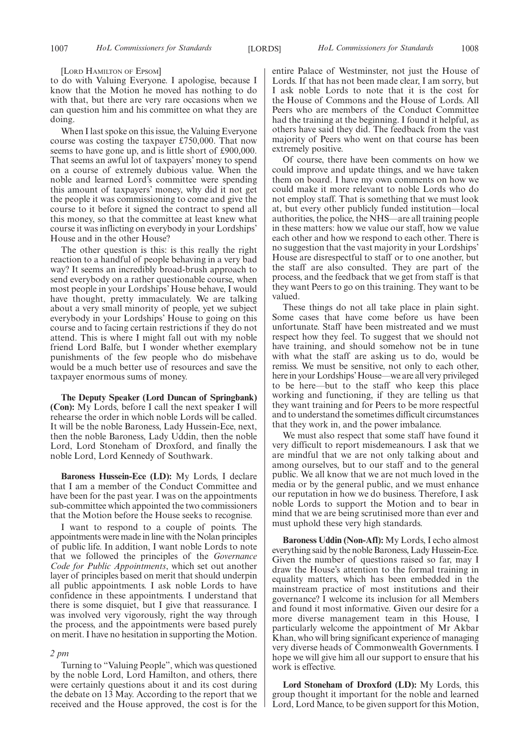#### [LORD HAMILTON OF EPSOM]

to do with Valuing Everyone. I apologise, because I know that the Motion he moved has nothing to do with that, but there are very rare occasions when we can question him and his committee on what they are doing.

When I last spoke on this issue, the Valuing Everyone course was costing the taxpayer £750,000. That now seems to have gone up, and is little short of £900,000. That seems an awful lot of taxpayers' money to spend on a course of extremely dubious value. When the noble and learned Lord's committee were spending this amount of taxpayers' money, why did it not get the people it was commissioning to come and give the course to it before it signed the contract to spend all this money, so that the committee at least knew what course it was inflicting on everybody in your Lordships' House and in the other House?

The other question is this: is this really the right reaction to a handful of people behaving in a very bad way? It seems an incredibly broad-brush approach to send everybody on a rather questionable course, when most people in your Lordships' House behave, I would have thought, pretty immaculately. We are talking about a very small minority of people, yet we subject everybody in your Lordships' House to going on this course and to facing certain restrictions if they do not attend. This is where I might fall out with my noble friend Lord Balfe, but I wonder whether exemplary punishments of the few people who do misbehave would be a much better use of resources and save the taxpayer enormous sums of money.

**The Deputy Speaker (Lord Duncan of Springbank) (Con):** My Lords, before I call the next speaker I will rehearse the order in which noble Lords will be called. It will be the noble Baroness, Lady Hussein-Ece, next, then the noble Baroness, Lady Uddin, then the noble Lord, Lord Stoneham of Droxford, and finally the noble Lord, Lord Kennedy of Southwark.

**Baroness Hussein-Ece (LD):** My Lords, I declare that I am a member of the Conduct Committee and have been for the past year. I was on the appointments sub-committee which appointed the two commissioners that the Motion before the House seeks to recognise.

I want to respond to a couple of points. The appointments were made in line with the Nolan principles of public life. In addition, I want noble Lords to note that we followed the principles of the *Governance Code for Public Appointments*, which set out another layer of principles based on merit that should underpin all public appointments. I ask noble Lords to have confidence in these appointments. I understand that there is some disquiet, but I give that reassurance. I was involved very vigorously, right the way through the process, and the appointments were based purely on merit. I have no hesitation in supporting the Motion.

#### *2 pm*

Turning to "Valuing People", which was questioned by the noble Lord, Lord Hamilton, and others, there were certainly questions about it and its cost during the debate on 13 May. According to the report that we received and the House approved, the cost is for the entire Palace of Westminster, not just the House of Lords. If that has not been made clear, I am sorry, but I ask noble Lords to note that it is the cost for the House of Commons and the House of Lords. All Peers who are members of the Conduct Committee had the training at the beginning. I found it helpful, as others have said they did. The feedback from the vast majority of Peers who went on that course has been extremely positive.

Of course, there have been comments on how we could improve and update things, and we have taken them on board. I have my own comments on how we could make it more relevant to noble Lords who do not employ staff. That is something that we must look at, but every other publicly funded institution—local authorities, the police, the NHS—are all training people in these matters: how we value our staff, how we value each other and how we respond to each other. There is no suggestion that the vast majority in your Lordships' House are disrespectful to staff or to one another, but the staff are also consulted. They are part of the process, and the feedback that we get from staff is that they want Peers to go on this training. They want to be valued.

These things do not all take place in plain sight. Some cases that have come before us have been unfortunate. Staff have been mistreated and we must respect how they feel. To suggest that we should not have training, and should somehow not be in tune with what the staff are asking us to do, would be remiss. We must be sensitive, not only to each other, here in your Lordships'House—we are all very privileged to be here—but to the staff who keep this place working and functioning, if they are telling us that they want training and for Peers to be more respectful and to understand the sometimes difficult circumstances that they work in, and the power imbalance.

We must also respect that some staff have found it very difficult to report misdemeanours. I ask that we are mindful that we are not only talking about and among ourselves, but to our staff and to the general public. We all know that we are not much loved in the media or by the general public, and we must enhance our reputation in how we do business. Therefore, I ask noble Lords to support the Motion and to bear in mind that we are being scrutinised more than ever and must uphold these very high standards.

**Baroness Uddin (Non-Afl):** My Lords, I echo almost everything said by the noble Baroness, Lady Hussein-Ece. Given the number of questions raised so far, may I draw the House's attention to the formal training in equality matters, which has been embedded in the mainstream practice of most institutions and their governance? I welcome its inclusion for all Members and found it most informative. Given our desire for a more diverse management team in this House, I particularly welcome the appointment of Mr Akbar Khan, who will bring significant experience of managing very diverse heads of Commonwealth Governments. I hope we will give him all our support to ensure that his work is effective.

**Lord Stoneham of Droxford (LD):** My Lords, this group thought it important for the noble and learned Lord, Lord Mance, to be given support for this Motion,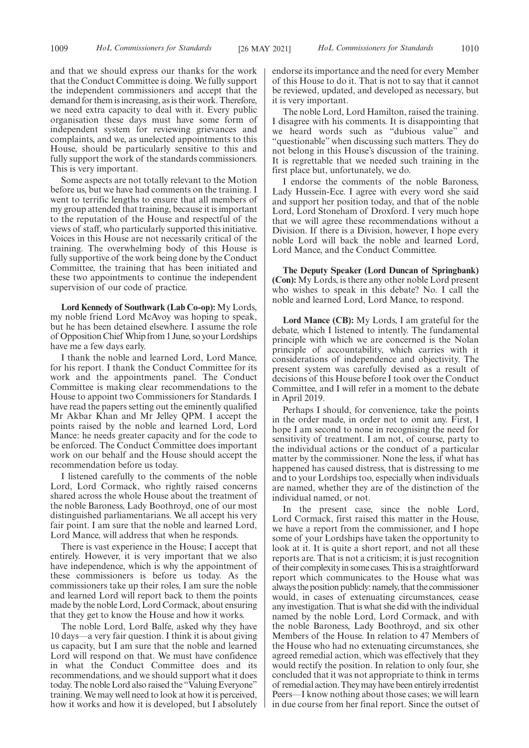and that we should express our thanks for the work that the Conduct Committee is doing. We fully support the independent commissioners and accept that the demand for them is increasing, as is their work. Therefore, we need extra capacity to deal with it. Every public organisation these days must have some form of independent system for reviewing grievances and complaints, and we, as unelected appointments to this House, should be particularly sensitive to this and fully support the work of the standards commissioners. This is very important.

Some aspects are not totally relevant to the Motion before us, but we have had comments on the training. I went to terrific lengths to ensure that all members of my group attended that training, because it is important to the reputation of the House and respectful of the views of staff, who particularly supported this initiative. Voices in this House are not necessarily critical of the training. The overwhelming body of this House is fully supportive of the work being done by the Conduct Committee, the training that has been initiated and these two appointments to continue the independent supervision of our code of practice.

**Lord Kennedy of Southwark (Lab Co-op):** My Lords, my noble friend Lord McAvoy was hoping to speak, but he has been detained elsewhere. I assume the role of Opposition Chief Whip from 1 June, so your Lordships have me a few days early.

I thank the noble and learned Lord, Lord Mance, for his report. I thank the Conduct Committee for its work and the appointments panel. The Conduct Committee is making clear recommendations to the House to appoint two Commissioners for Standards. I have read the papers setting out the eminently qualified Mr Akbar Khan and Mr Jelley QPM. I accept the points raised by the noble and learned Lord, Lord Mance: he needs greater capacity and for the code to be enforced. The Conduct Committee does important work on our behalf and the House should accept the recommendation before us today.

I listened carefully to the comments of the noble Lord, Lord Cormack, who rightly raised concerns shared across the whole House about the treatment of the noble Baroness, Lady Boothroyd, one of our most distinguished parliamentarians. We all accept his very fair point. I am sure that the noble and learned Lord, Lord Mance, will address that when he responds.

There is vast experience in the House; I accept that entirely. However, it is very important that we also have independence, which is why the appointment of these commissioners is before us today. As the commissioners take up their roles, I am sure the noble and learned Lord will report back to them the points made by the noble Lord, Lord Cormack, about ensuring that they get to know the House and how it works.

The noble Lord, Lord Balfe, asked why they have 10 days—a very fair question. I think it is about giving us capacity, but I am sure that the noble and learned Lord will respond on that. We must have confidence in what the Conduct Committee does and its recommendations, and we should support what it does today. The noble Lord also raised the "Valuing Everyone" training. We may well need to look at how it is perceived, how it works and how it is developed, but I absolutely endorse its importance and the need for every Member of this House to do it. That is not to say that it cannot be reviewed, updated, and developed as necessary, but it is very important.

The noble Lord, Lord Hamilton, raised the training. I disagree with his comments. It is disappointing that we heard words such as "dubious value" and "questionable" when discussing such matters. They do not belong in this House's discussion of the training. It is regrettable that we needed such training in the first place but, unfortunately, we do.

I endorse the comments of the noble Baroness, Lady Hussein-Ece. I agree with every word she said and support her position today, and that of the noble Lord, Lord Stoneham of Droxford. I very much hope that we will agree these recommendations without a Division. If there is a Division, however, I hope every noble Lord will back the noble and learned Lord, Lord Mance, and the Conduct Committee.

**The Deputy Speaker (Lord Duncan of Springbank) (Con):** My Lords, is there any other noble Lord present who wishes to speak in this debate? No. I call the noble and learned Lord, Lord Mance, to respond.

**Lord Mance (CB):** My Lords, I am grateful for the debate, which I listened to intently. The fundamental principle with which we are concerned is the Nolan principle of accountability, which carries with it considerations of independence and objectivity. The present system was carefully devised as a result of decisions of this House before I took over the Conduct Committee, and I will refer in a moment to the debate in April 2019.

Perhaps I should, for convenience, take the points in the order made, in order not to omit any. First, I hope I am second to none in recognising the need for sensitivity of treatment. I am not, of course, party to the individual actions or the conduct of a particular matter by the commissioner. None the less, if what has happened has caused distress, that is distressing to me and to your Lordships too, especially when individuals are named, whether they are of the distinction of the individual named, or not.

In the present case, since the noble Lord, Lord Cormack, first raised this matter in the House, we have a report from the commissioner, and I hope some of your Lordships have taken the opportunity to look at it. It is quite a short report, and not all these reports are. That is not a criticism; it is just recognition of their complexity in some cases. This is a straightforward report which communicates to the House what was always the position publicly: namely, that the commissioner would, in cases of extenuating circumstances, cease any investigation. That is what she did with the individual named by the noble Lord, Lord Cormack, and with the noble Baroness, Lady Boothroyd, and six other Members of the House. In relation to 47 Members of the House who had no extenuating circumstances, she agreed remedial action, which was effectively that they would rectify the position. In relation to only four, she concluded that it was not appropriate to think in terms of remedial action. They may have been entirely irredentist Peers—I know nothing about those cases; we will learn in due course from her final report. Since the outset of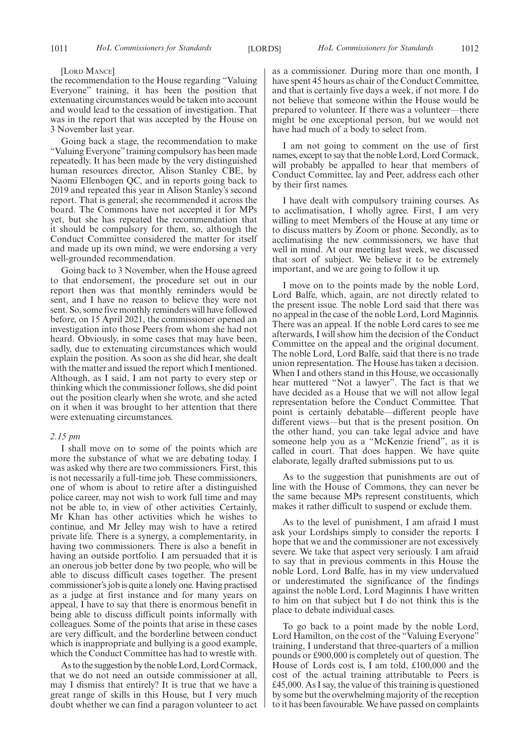#### [LORD MANCE]

the recommendation to the House regarding "Valuing Everyone" training, it has been the position that extenuating circumstances would be taken into account and would lead to the cessation of investigation. That was in the report that was accepted by the House on 3 November last year.

Going back a stage, the recommendation to make "Valuing Everyone" training compulsory has been made repeatedly. It has been made by the very distinguished human resources director, Alison Stanley CBE, by Naomi Ellenbogen QC, and in reports going back to 2019 and repeated this year in Alison Stanley's second report. That is general; she recommended it across the board. The Commons have not accepted it for MPs yet, but she has repeated the recommendation that it should be compulsory for them, so, although the Conduct Committee considered the matter for itself and made up its own mind, we were endorsing a very well-grounded recommendation.

Going back to 3 November, when the House agreed to that endorsement, the procedure set out in our report then was that monthly reminders would be sent, and I have no reason to believe they were not sent. So, some five monthly reminders will have followed before, on 15 April 2021, the commissioner opened an investigation into those Peers from whom she had not heard. Obviously, in some cases that may have been, sadly, due to extenuating circumstances which would explain the position. As soon as she did hear, she dealt with the matter and issued the report which I mentioned. Although, as I said, I am not party to every step or thinking which the commissioner follows, she did point out the position clearly when she wrote, and she acted on it when it was brought to her attention that there were extenuating circumstances.

#### *2.15 pm*

I shall move on to some of the points which are more the substance of what we are debating today. I was asked why there are two commissioners. First, this is not necessarily a full-time job. These commissioners, one of whom is about to retire after a distinguished police career, may not wish to work full time and may not be able to, in view of other activities. Certainly, Mr Khan has other activities which he wishes to continue, and Mr Jelley may wish to have a retired private life. There is a synergy, a complementarity, in having two commissioners. There is also a benefit in having an outside portfolio. I am persuaded that it is an onerous job better done by two people, who will be able to discuss difficult cases together. The present commissioner's job is quite a lonely one. Having practised as a judge at first instance and for many years on appeal, I have to say that there is enormous benefit in being able to discuss difficult points informally with colleagues. Some of the points that arise in these cases are very difficult, and the borderline between conduct which is inappropriate and bullying is a good example, which the Conduct Committee has had to wrestle with.

As to the suggestion by the noble Lord, Lord Cormack, that we do not need an outside commissioner at all, may I dismiss that entirely? It is true that we have a great range of skills in this House, but I very much doubt whether we can find a paragon volunteer to act as a commissioner. During more than one month, I have spent 45 hours as chair of the Conduct Committee, and that is certainly five days a week, if not more. I do not believe that someone within the House would be prepared to volunteer. If there was a volunteer—there might be one exceptional person, but we would not have had much of a body to select from.

I am not going to comment on the use of first names, except to say that the noble Lord, Lord Cormack, will probably be appalled to hear that members of Conduct Committee, lay and Peer, address each other by their first names.

I have dealt with compulsory training courses. As to acclimatisation, I wholly agree. First, I am very willing to meet Members of the House at any time or to discuss matters by Zoom or phone. Secondly, as to acclimatising the new commissioners, we have that well in mind. At our meeting last week, we discussed that sort of subject. We believe it to be extremely important, and we are going to follow it up.

I move on to the points made by the noble Lord, Lord Balfe, which, again, are not directly related to the present issue. The noble Lord said that there was no appeal in the case of the noble Lord, Lord Maginnis. There was an appeal. If the noble Lord cares to see me afterwards, I will show him the decision of the Conduct Committee on the appeal and the original document. The noble Lord, Lord Balfe, said that there is no trade union representation. The House has taken a decision. When I and others stand in this House, we occasionally hear muttered "Not a lawyer". The fact is that we have decided as a House that we will not allow legal representation before the Conduct Committee. That point is certainly debatable—different people have different views—but that is the present position. On the other hand, you can take legal advice and have someone help you as a "McKenzie friend", as it is called in court. That does happen. We have quite elaborate, legally drafted submissions put to us.

As to the suggestion that punishments are out of line with the House of Commons, they can never be the same because MPs represent constituents, which makes it rather difficult to suspend or exclude them.

As to the level of punishment, I am afraid I must ask your Lordships simply to consider the reports. I hope that we and the commissioner are not excessively severe. We take that aspect very seriously. I am afraid to say that in previous comments in this House the noble Lord, Lord Balfe, has in my view undervalued or underestimated the significance of the findings against the noble Lord, Lord Maginnis. I have written to him on that subject but I do not think this is the place to debate individual cases.

To go back to a point made by the noble Lord, Lord Hamilton, on the cost of the "Valuing Everyone" training, I understand that three-quarters of a million pounds or £900,000 is completely out of question. The House of Lords cost is, I am told, £100,000 and the cost of the actual training attributable to Peers is £45,000. As I say, the value of this training is questioned by some but the overwhelming majority of the reception to it has been favourable. We have passed on complaints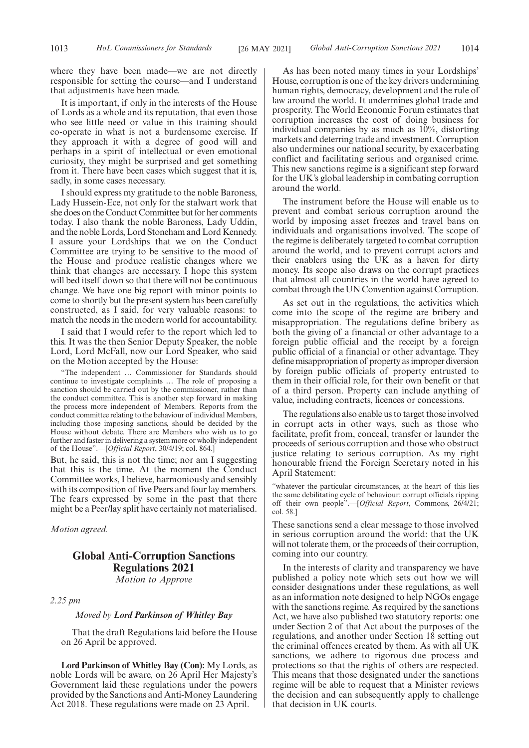where they have been made—we are not directly responsible for setting the course—and I understand that adjustments have been made.

It is important, if only in the interests of the House of Lords as a whole and its reputation, that even those who see little need or value in this training should co-operate in what is not a burdensome exercise. If they approach it with a degree of good will and perhaps in a spirit of intellectual or even emotional curiosity, they might be surprised and get something from it. There have been cases which suggest that it is, sadly, in some cases necessary.

I should express my gratitude to the noble Baroness, Lady Hussein-Ece, not only for the stalwart work that she does on the Conduct Committee but for her comments today. I also thank the noble Baroness, Lady Uddin, and the noble Lords, Lord Stoneham and Lord Kennedy. I assure your Lordships that we on the Conduct Committee are trying to be sensitive to the mood of the House and produce realistic changes where we think that changes are necessary. I hope this system will bed itself down so that there will not be continuous change. We have one big report with minor points to come to shortly but the present system has been carefully constructed, as I said, for very valuable reasons: to match the needs in the modern world for accountability.

I said that I would refer to the report which led to this. It was the then Senior Deputy Speaker, the noble Lord, Lord McFall, now our Lord Speaker, who said on the Motion accepted by the House:

"The independent … Commissioner for Standards should continue to investigate complaints … The role of proposing a sanction should be carried out by the commissioner, rather than the conduct committee. This is another step forward in making the process more independent of Members. Reports from the conduct committee relating to the behaviour of individual Members, including those imposing sanctions, should be decided by the House without debate. There are Members who wish us to go further and faster in delivering a system more or wholly independent of the House".—[*Official Report*, 30/4/19; col. 864.]

But, he said, this is not the time; nor am I suggesting that this is the time. At the moment the Conduct Committee works, I believe, harmoniously and sensibly with its composition of five Peers and four lay members. The fears expressed by some in the past that there might be a Peer/lay split have certainly not materialised.

*Motion agreed.*

## **Global Anti-Corruption Sanctions Regulations 2021**

*Motion to Approve*

*2.25 pm*

*Moved by Lord Parkinson of Whitley Bay*

That the draft Regulations laid before the House on 26 April be approved.

**Lord Parkinson of Whitley Bay (Con):** My Lords, as noble Lords will be aware, on 26 April Her Majesty's Government laid these regulations under the powers provided by the Sanctions and Anti-Money Laundering Act 2018. These regulations were made on 23 April.

As has been noted many times in your Lordships' House, corruption is one of the key drivers undermining human rights, democracy, development and the rule of law around the world. It undermines global trade and prosperity. The World Economic Forum estimates that corruption increases the cost of doing business for individual companies by as much as 10%, distorting markets and deterring trade and investment. Corruption also undermines our national security, by exacerbating conflict and facilitating serious and organised crime. This new sanctions regime is a significant step forward for the UK's global leadership in combating corruption around the world.

The instrument before the House will enable us to prevent and combat serious corruption around the world by imposing asset freezes and travel bans on individuals and organisations involved. The scope of the regime is deliberately targeted to combat corruption around the world, and to prevent corrupt actors and their enablers using the UK as a haven for dirty money. Its scope also draws on the corrupt practices that almost all countries in the world have agreed to combat through the UN Convention against Corruption.

As set out in the regulations, the activities which come into the scope of the regime are bribery and misappropriation. The regulations define bribery as both the giving of a financial or other advantage to a foreign public official and the receipt by a foreign public official of a financial or other advantage. They define misappropriation of property as improper diversion by foreign public officials of property entrusted to them in their official role, for their own benefit or that of a third person. Property can include anything of value, including contracts, licences or concessions.

The regulations also enable us to target those involved in corrupt acts in other ways, such as those who facilitate, profit from, conceal, transfer or launder the proceeds of serious corruption and those who obstruct justice relating to serious corruption. As my right honourable friend the Foreign Secretary noted in his April Statement:

"whatever the particular circumstances, at the heart of this lies the same debilitating cycle of behaviour: corrupt officials ripping off their own people".—[*Official Report*, Commons, 26/4/21; col. 58.]

These sanctions send a clear message to those involved in serious corruption around the world: that the UK will not tolerate them, or the proceeds of their corruption, coming into our country.

In the interests of clarity and transparency we have published a policy note which sets out how we will consider designations under these regulations, as well as an information note designed to help NGOs engage with the sanctions regime. As required by the sanctions Act, we have also published two statutory reports: one under Section 2 of that Act about the purposes of the regulations, and another under Section 18 setting out the criminal offences created by them. As with all UK sanctions, we adhere to rigorous due process and protections so that the rights of others are respected. This means that those designated under the sanctions regime will be able to request that a Minister reviews the decision and can subsequently apply to challenge that decision in UK courts.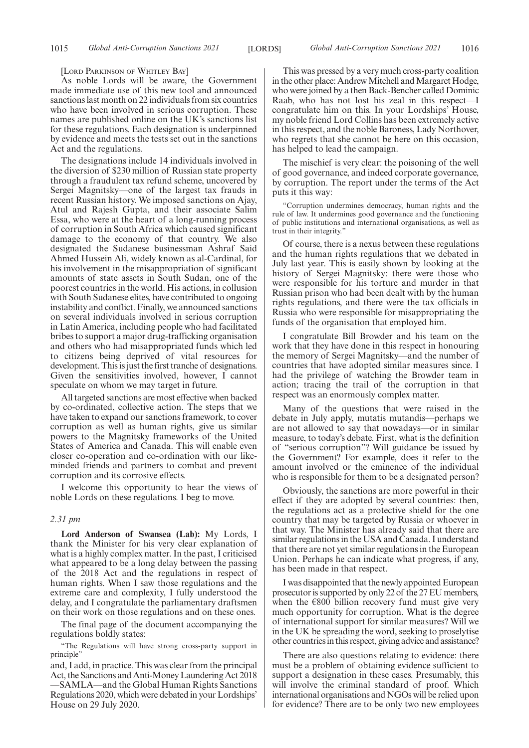[LORD PARKINSON OF WHITLEY BAY]

As noble Lords will be aware, the Government made immediate use of this new tool and announced sanctions last month on 22 individuals from six countries who have been involved in serious corruption. These names are published online on the UK's sanctions list for these regulations. Each designation is underpinned by evidence and meets the tests set out in the sanctions Act and the regulations.

The designations include 14 individuals involved in the diversion of \$230 million of Russian state property through a fraudulent tax refund scheme, uncovered by Sergei Magnitsky—one of the largest tax frauds in recent Russian history. We imposed sanctions on Ajay, Atul and Rajesh Gupta, and their associate Salim Essa, who were at the heart of a long-running process of corruption in South Africa which caused significant damage to the economy of that country. We also designated the Sudanese businessman Ashraf Said Ahmed Hussein Ali, widely known as al-Cardinal, for his involvement in the misappropriation of significant amounts of state assets in South Sudan, one of the poorest countries in the world. His actions, in collusion with South Sudanese elites, have contributed to ongoing instability and conflict. Finally, we announced sanctions on several individuals involved in serious corruption in Latin America, including people who had facilitated bribes to support a major drug-trafficking organisation and others who had misappropriated funds which led to citizens being deprived of vital resources for development. This is just the first tranche of designations. Given the sensitivities involved, however, I cannot speculate on whom we may target in future.

All targeted sanctions are most effective when backed by co-ordinated, collective action. The steps that we have taken to expand our sanctions framework, to cover corruption as well as human rights, give us similar powers to the Magnitsky frameworks of the United States of America and Canada. This will enable even closer co-operation and co-ordination with our likeminded friends and partners to combat and prevent corruption and its corrosive effects.

I welcome this opportunity to hear the views of noble Lords on these regulations. I beg to move.

#### *2.31 pm*

**Lord Anderson of Swansea (Lab):** My Lords, I thank the Minister for his very clear explanation of what is a highly complex matter. In the past, I criticised what appeared to be a long delay between the passing of the 2018 Act and the regulations in respect of human rights. When I saw those regulations and the extreme care and complexity, I fully understood the delay, and I congratulate the parliamentary draftsmen on their work on those regulations and on these ones.

The final page of the document accompanying the regulations boldly states:

"The Regulations will have strong cross-party support in principle"

and, I add, in practice. This was clear from the principal Act, the Sanctions and Anti-Money Laundering Act 2018 —SAMLA—and the Global Human Rights Sanctions Regulations 2020, which were debated in your Lordships' House on 29 July 2020.

This was pressed by a very much cross-party coalition in the other place: Andrew Mitchell and Margaret Hodge, who were joined by a then Back-Bencher called Dominic Raab, who has not lost his zeal in this respect—I congratulate him on this. In your Lordships' House, my noble friend Lord Collins has been extremely active in this respect, and the noble Baroness, Lady Northover, who regrets that she cannot be here on this occasion, has helped to lead the campaign.

The mischief is very clear: the poisoning of the well of good governance, and indeed corporate governance, by corruption. The report under the terms of the Act puts it this way:

"Corruption undermines democracy, human rights and the rule of law. It undermines good governance and the functioning of public institutions and international organisations, as well as trust in their integrity."

Of course, there is a nexus between these regulations and the human rights regulations that we debated in July last year. This is easily shown by looking at the history of Sergei Magnitsky: there were those who were responsible for his torture and murder in that Russian prison who had been dealt with by the human rights regulations, and there were the tax officials in Russia who were responsible for misappropriating the funds of the organisation that employed him.

I congratulate Bill Browder and his team on the work that they have done in this respect in honouring the memory of Sergei Magnitsky—and the number of countries that have adopted similar measures since. I had the privilege of watching the Browder team in action; tracing the trail of the corruption in that respect was an enormously complex matter.

Many of the questions that were raised in the debate in July apply, mutatis mutandis—perhaps we are not allowed to say that nowadays—or in similar measure, to today's debate. First, what is the definition of "serious corruption"? Will guidance be issued by the Government? For example, does it refer to the amount involved or the eminence of the individual who is responsible for them to be a designated person?

Obviously, the sanctions are more powerful in their effect if they are adopted by several countries: then, the regulations act as a protective shield for the one country that may be targeted by Russia or whoever in that way. The Minister has already said that there are similar regulations in the USA and Canada. I understand that there are not yet similar regulations in the European Union. Perhaps he can indicate what progress, if any, has been made in that respect.

I was disappointed that the newly appointed European prosecutor is supported by only 22 of the 27 EU members, when the  $\epsilon$ 800 billion recovery fund must give very much opportunity for corruption. What is the degree of international support for similar measures? Will we in the UK be spreading the word, seeking to proselytise other countries in this respect, giving advice and assistance?

There are also questions relating to evidence: there must be a problem of obtaining evidence sufficient to support a designation in these cases. Presumably, this will involve the criminal standard of proof. Which international organisations and NGOs will be relied upon for evidence? There are to be only two new employees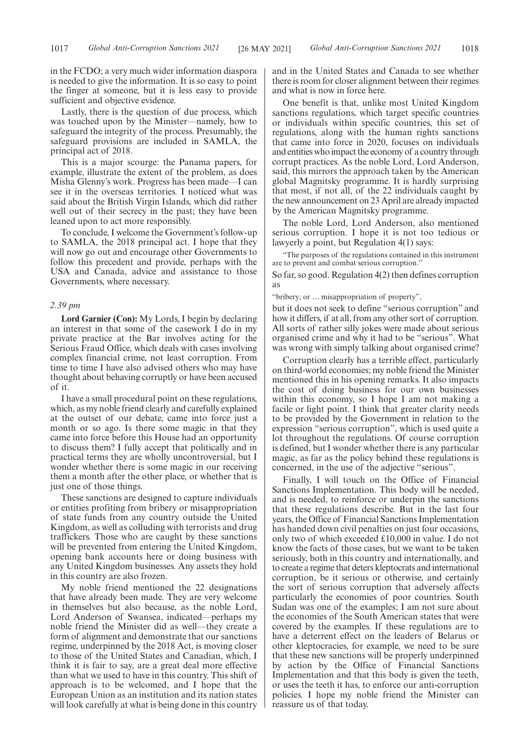in the FCDO; a very much wider information diaspora is needed to give the information. It is so easy to point the finger at someone, but it is less easy to provide sufficient and objective evidence.

Lastly, there is the question of due process, which was touched upon by the Minister—namely, how to safeguard the integrity of the process. Presumably, the safeguard provisions are included in SAMLA, the principal act of 2018.

This is a major scourge: the Panama papers, for example, illustrate the extent of the problem, as does Misha Glenny's work. Progress has been made—I can see it in the overseas territories. I noticed what was said about the British Virgin Islands, which did rather well out of their secrecy in the past; they have been leaned upon to act more responsibly.

To conclude, I welcome the Government's follow-up to SAMLA, the 2018 principal act. I hope that they will now go out and encourage other Governments to follow this precedent and provide, perhaps with the USA and Canada, advice and assistance to those Governments, where necessary.

#### *2.39 pm*

**Lord Garnier (Con):** My Lords, I begin by declaring an interest in that some of the casework I do in my private practice at the Bar involves acting for the Serious Fraud Office, which deals with cases involving complex financial crime, not least corruption. From time to time I have also advised others who may have thought about behaving corruptly or have been accused of it.

I have a small procedural point on these regulations, which, as my noble friend clearly and carefully explained at the outset of our debate, came into force just a month or so ago. Is there some magic in that they came into force before this House had an opportunity to discuss them? I fully accept that politically and in practical terms they are wholly uncontroversial, but I wonder whether there is some magic in our receiving them a month after the other place, or whether that is just one of those things.

These sanctions are designed to capture individuals or entities profiting from bribery or misappropriation of state funds from any country outside the United Kingdom, as well as colluding with terrorists and drug traffickers. Those who are caught by these sanctions will be prevented from entering the United Kingdom, opening bank accounts here or doing business with any United Kingdom businesses. Any assets they hold in this country are also frozen.

My noble friend mentioned the 22 designations that have already been made. They are very welcome in themselves but also because, as the noble Lord, Lord Anderson of Swansea, indicated—perhaps my noble friend the Minister did as well—they create a form of alignment and demonstrate that our sanctions regime, underpinned by the 2018 Act, is moving closer to those of the United States and Canadian, which, I think it is fair to say, are a great deal more effective than what we used to have in this country. This shift of approach is to be welcomed, and I hope that the European Union as an institution and its nation states will look carefully at what is being done in this country

and in the United States and Canada to see whether there is room for closer alignment between their regimes and what is now in force here.

One benefit is that, unlike most United Kingdom sanctions regulations, which target specific countries or individuals within specific countries, this set of regulations, along with the human rights sanctions that came into force in 2020, focuses on individuals and entities who impact the economy of a country through corrupt practices. As the noble Lord, Lord Anderson, said, this mirrors the approach taken by the American global Magnitsky programme. It is hardly surprising that most, if not all, of the 22 individuals caught by the new announcement on 23 April are already impacted by the American Magnitsky programme.

The noble Lord, Lord Anderson, also mentioned serious corruption. I hope it is not too tedious or lawyerly a point, but Regulation 4(1) says:

"The purposes of the regulations contained in this instrument are to prevent and combat serious corruption."

So far, so good. Regulation 4(2) then defines corruption as

"bribery; or … misappropriation of property",

but it does not seek to define "serious corruption" and how it differs, if at all, from any other sort of corruption. All sorts of rather silly jokes were made about serious organised crime and why it had to be "serious". What was wrong with simply talking about organised crime?

Corruption clearly has a terrible effect, particularly on third-world economies; my noble friend the Minister mentioned this in his opening remarks. It also impacts the cost of doing business for our own businesses within this economy, so I hope I am not making a facile or light point. I think that greater clarity needs to be provided by the Government in relation to the expression "serious corruption", which is used quite a lot throughout the regulations. Of course corruption is defined, but I wonder whether there is any particular magic, as far as the policy behind these regulations is concerned, in the use of the adjective "serious".

Finally, I will touch on the Office of Financial Sanctions Implementation. This body will be needed, and is needed, to reinforce or underpin the sanctions that these regulations describe. But in the last four years, the Office of Financial Sanctions Implementation has handed down civil penalties on just four occasions, only two of which exceeded £10,000 in value. I do not know the facts of those cases, but we want to be taken seriously, both in this country and internationally, and to create a regime that deters kleptocrats and international corruption, be it serious or otherwise, and certainly the sort of serious corruption that adversely affects particularly the economies of poor countries. South Sudan was one of the examples; I am not sure about the economies of the South American states that were covered by the examples. If these regulations are to have a deterrent effect on the leaders of Belarus or other kleptocracies, for example, we need to be sure that these new sanctions will be properly underpinned by action by the Office of Financial Sanctions Implementation and that this body is given the teeth, or uses the teeth it has, to enforce our anti-corruption policies. I hope my noble friend the Minister can reassure us of that today.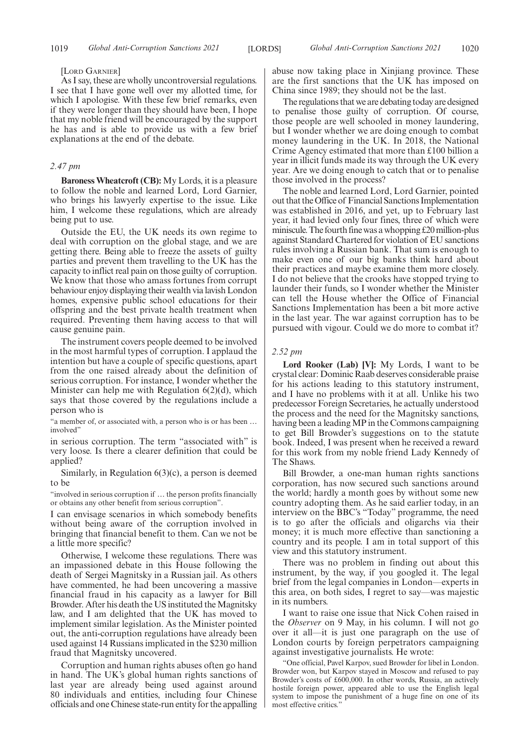#### [LORD GARNIER]

As I say, these are wholly uncontroversial regulations. I see that I have gone well over my allotted time, for which I apologise. With these few brief remarks, even if they were longer than they should have been, I hope that my noble friend will be encouraged by the support he has and is able to provide us with a few brief explanations at the end of the debate.

#### *2.47 pm*

**Baroness Wheatcroft (CB):** My Lords, it is a pleasure to follow the noble and learned Lord, Lord Garnier, who brings his lawyerly expertise to the issue. Like him, I welcome these regulations, which are already being put to use.

Outside the EU, the UK needs its own regime to deal with corruption on the global stage, and we are getting there. Being able to freeze the assets of guilty parties and prevent them travelling to the UK has the capacity to inflict real pain on those guilty of corruption. We know that those who amass fortunes from corrupt behaviour enjoy displaying their wealth via lavish London homes, expensive public school educations for their offspring and the best private health treatment when required. Preventing them having access to that will cause genuine pain.

The instrument covers people deemed to be involved in the most harmful types of corruption. I applaud the intention but have a couple of specific questions, apart from the one raised already about the definition of serious corruption. For instance, I wonder whether the Minister can help me with Regulation  $6(2)(d)$ , which says that those covered by the regulations include a person who is

"a member of, or associated with, a person who is or has been … involved'

in serious corruption. The term "associated with" is very loose. Is there a clearer definition that could be applied?

Similarly, in Regulation 6(3)(c), a person is deemed to be

"involved in serious corruption if … the person profits financially or obtains any other benefit from serious corruption".

I can envisage scenarios in which somebody benefits without being aware of the corruption involved in bringing that financial benefit to them. Can we not be a little more specific?

Otherwise, I welcome these regulations. There was an impassioned debate in this House following the death of Sergei Magnitsky in a Russian jail. As others have commented, he had been uncovering a massive financial fraud in his capacity as a lawyer for Bill Browder. After his death the US instituted the Magnitsky law, and I am delighted that the UK has moved to implement similar legislation. As the Minister pointed out, the anti-corruption regulations have already been used against 14 Russians implicated in the \$230 million fraud that Magnitsky uncovered.

Corruption and human rights abuses often go hand in hand. The UK's global human rights sanctions of last year are already being used against around 80 individuals and entities, including four Chinese officials and one Chinese state-run entity for the appalling abuse now taking place in Xinjiang province. These are the first sanctions that the UK has imposed on China since 1989; they should not be the last.

The regulations that we are debating today are designed to penalise those guilty of corruption. Of course, those people are well schooled in money laundering, but I wonder whether we are doing enough to combat money laundering in the UK. In 2018, the National Crime Agency estimated that more than £100 billion a year in illicit funds made its way through the UK every year. Are we doing enough to catch that or to penalise those involved in the process?

The noble and learned Lord, Lord Garnier, pointed out that the Office of Financial Sanctions Implementation was established in 2016, and yet, up to February last year, it had levied only four fines, three of which were miniscule. The fourth fine was a whopping £20 million-plus against Standard Chartered for violation of EU sanctions rules involving a Russian bank. That sum is enough to make even one of our big banks think hard about their practices and maybe examine them more closely. I do not believe that the crooks have stopped trying to launder their funds, so I wonder whether the Minister can tell the House whether the Office of Financial Sanctions Implementation has been a bit more active in the last year. The war against corruption has to be pursued with vigour. Could we do more to combat it?

#### *2.52 pm*

**Lord Rooker (Lab) [V]:** My Lords, I want to be crystal clear: Dominic Raab deserves considerable praise for his actions leading to this statutory instrument, and I have no problems with it at all. Unlike his two predecessor Foreign Secretaries, he actually understood the process and the need for the Magnitsky sanctions, having been a leading MP in the Commons campaigning to get Bill Browder's suggestions on to the statute book. Indeed, I was present when he received a reward for this work from my noble friend Lady Kennedy of The Shaws.

Bill Browder, a one-man human rights sanctions corporation, has now secured such sanctions around the world; hardly a month goes by without some new country adopting them. As he said earlier today, in an interview on the BBC's "Today" programme, the need is to go after the officials and oligarchs via their money; it is much more effective than sanctioning a country and its people. I am in total support of this view and this statutory instrument.

There was no problem in finding out about this instrument, by the way, if you googled it. The legal brief from the legal companies in London—experts in this area, on both sides, I regret to say—was majestic in its numbers.

I want to raise one issue that Nick Cohen raised in the *Observer* on 9 May, in his column. I will not go over it all—it is just one paragraph on the use of London courts by foreign perpetrators campaigning against investigative journalists. He wrote:

"One official, Pavel Karpov, sued Browder for libel in London. Browder won, but Karpov stayed in Moscow and refused to pay Browder's costs of £600,000. In other words, Russia, an actively hostile foreign power, appeared able to use the English legal system to impose the punishment of a huge fine on one of its most effective critics.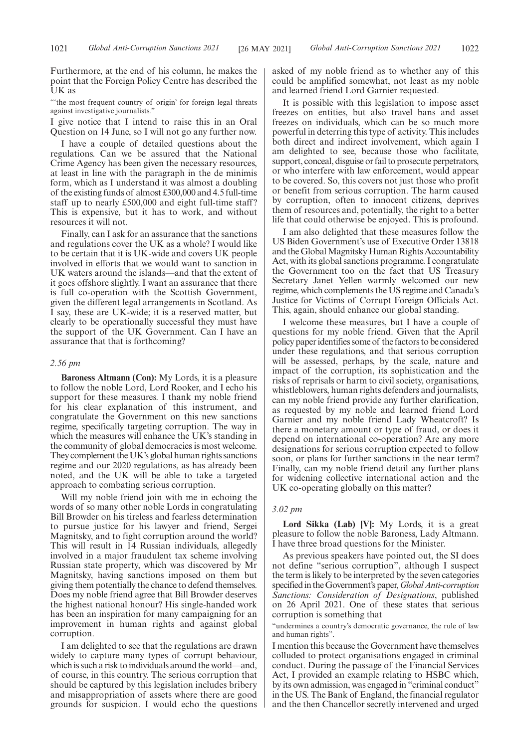Furthermore, at the end of his column, he makes the point that the Foreign Policy Centre has described the UK as

"the most frequent country of origin' for foreign legal threats against investigative journalists."

I give notice that I intend to raise this in an Oral Question on 14 June, so I will not go any further now.

I have a couple of detailed questions about the regulations. Can we be assured that the National Crime Agency has been given the necessary resources, at least in line with the paragraph in the de minimis form, which as I understand it was almost a doubling of the existing funds of almost £300,000 and 4.5 full-time staff up to nearly £500,000 and eight full-time staff? This is expensive, but it has to work, and without resources it will not.

Finally, can I ask for an assurance that the sanctions and regulations cover the UK as a whole? I would like to be certain that it is UK-wide and covers UK people involved in efforts that we would want to sanction in UK waters around the islands—and that the extent of it goes offshore slightly. I want an assurance that there is full co-operation with the Scottish Government, given the different legal arrangements in Scotland. As I say, these are UK-wide; it is a reserved matter, but clearly to be operationally successful they must have the support of the UK Government. Can I have an assurance that that is forthcoming?

#### *2.56 pm*

**Baroness Altmann (Con):** My Lords, it is a pleasure to follow the noble Lord, Lord Rooker, and I echo his support for these measures. I thank my noble friend for his clear explanation of this instrument, and congratulate the Government on this new sanctions regime, specifically targeting corruption. The way in which the measures will enhance the UK's standing in the community of global democracies is most welcome. They complement the UK's global human rights sanctions regime and our 2020 regulations, as has already been noted, and the UK will be able to take a targeted approach to combating serious corruption.

Will my noble friend join with me in echoing the words of so many other noble Lords in congratulating Bill Browder on his tireless and fearless determination to pursue justice for his lawyer and friend, Sergei Magnitsky, and to fight corruption around the world? This will result in 14 Russian individuals, allegedly involved in a major fraudulent tax scheme involving Russian state property, which was discovered by Mr Magnitsky, having sanctions imposed on them but giving them potentially the chance to defend themselves. Does my noble friend agree that Bill Browder deserves the highest national honour? His single-handed work has been an inspiration for many campaigning for an improvement in human rights and against global corruption.

I am delighted to see that the regulations are drawn widely to capture many types of corrupt behaviour, which is such a risk to individuals around the world—and, of course, in this country. The serious corruption that should be captured by this legislation includes bribery and misappropriation of assets where there are good grounds for suspicion. I would echo the questions asked of my noble friend as to whether any of this could be amplified somewhat, not least as my noble and learned friend Lord Garnier requested.

It is possible with this legislation to impose asset freezes on entities, but also travel bans and asset freezes on individuals, which can be so much more powerful in deterring this type of activity. This includes both direct and indirect involvement, which again I am delighted to see, because those who facilitate, support, conceal, disguise or fail to prosecute perpetrators, or who interfere with law enforcement, would appear to be covered. So, this covers not just those who profit or benefit from serious corruption. The harm caused by corruption, often to innocent citizens, deprives them of resources and, potentially, the right to a better life that could otherwise be enjoyed. This is profound.

I am also delighted that these measures follow the US Biden Government's use of Executive Order 13818 and the Global Magnitsky Human Rights Accountability Act, with its global sanctions programme. I congratulate the Government too on the fact that US Treasury Secretary Janet Yellen warmly welcomed our new regime, which complements the US regime and Canada's Justice for Victims of Corrupt Foreign Officials Act. This, again, should enhance our global standing.

I welcome these measures, but I have a couple of questions for my noble friend. Given that the April policy paper identifies some of the factors to be considered under these regulations, and that serious corruption will be assessed, perhaps, by the scale, nature and impact of the corruption, its sophistication and the risks of reprisals or harm to civil society, organisations, whistleblowers, human rights defenders and journalists, can my noble friend provide any further clarification, as requested by my noble and learned friend Lord Garnier and my noble friend Lady Wheatcroft? Is there a monetary amount or type of fraud, or does it depend on international co-operation? Are any more designations for serious corruption expected to follow soon, or plans for further sanctions in the near term? Finally, can my noble friend detail any further plans for widening collective international action and the UK co-operating globally on this matter?

#### *3.02 pm*

**Lord Sikka (Lab) [V]:** My Lords, it is a great pleasure to follow the noble Baroness, Lady Altmann. I have three broad questions for the Minister.

As previous speakers have pointed out, the SI does not define "serious corruption", although I suspect the term is likely to be interpreted by the seven categories specified in the Government's paper,*Global Anti-corruption Sanctions: Consideration of Designations*, published on 26 April 2021. One of these states that serious corruption is something that

"undermines a country's democratic governance, the rule of law and human rights".

I mention this because the Government have themselves colluded to protect organisations engaged in criminal conduct. During the passage of the Financial Services Act, I provided an example relating to HSBC which, by its own admission, was engaged in "criminal conduct" in the US. The Bank of England, the financial regulator and the then Chancellor secretly intervened and urged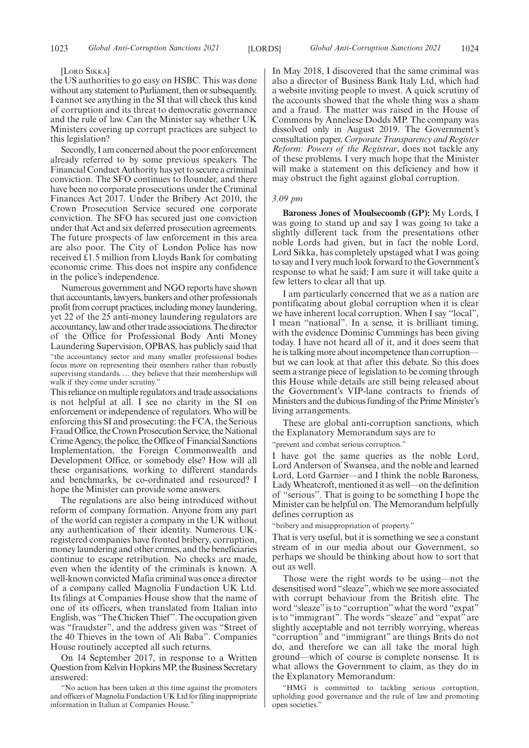#### [LORD SIKKA]

the US authorities to go easy on HSBC. This was done without any statement to Parliament, then or subsequently. I cannot see anything in the SI that will check this kind of corruption and its threat to democratic governance and the rule of law. Can the Minister say whether UK Ministers covering up corrupt practices are subject to this legislation?

Secondly, I am concerned about the poor enforcement already referred to by some previous speakers. The Financial Conduct Authority has yet to secure a criminal conviction. The SFO continues to flounder, and there have been no corporate prosecutions under the Criminal Finances Act 2017. Under the Bribery Act 2010, the Crown Prosecution Service secured one corporate conviction. The SFO has secured just one conviction under that Act and six deferred prosecution agreements. The future prospects of law enforcement in this area are also poor. The City of London Police has now received  $\bar{\pounds}1.5$  million from Lloyds Bank for combating economic crime. This does not inspire any confidence in the police's independence.

Numerous government and NGO reports have shown that accountants, lawyers, bankers and other professionals profit from corrupt practices, including money laundering, yet 22 of the 25 anti-money laundering regulators are accountancy, law and other trade associations. The director of the Office for Professional Body Anti Money Laundering Supervision, OPBAS, has publicly said that "the accountancy sector and many smaller professional bodies focus more on representing their members rather than robustly supervising standards. … they believe that their memberships will walk if they come under scrutiny."

This reliance on multiple regulators and trade associations is not helpful at all. I see no clarity in the SI on enforcement or independence of regulators. Who will be enforcing this SI and prosecuting: the FCA, the Serious Fraud Office, the Crown Prosecution Service, the National Crime Agency, the police, the Office of Financial Sanctions Implementation, the Foreign Commonwealth and Development Office, or somebody else? How will all these organisations, working to different standards and benchmarks, be co-ordinated and resourced? I hope the Minister can provide some answers.

The regulations are also being introduced without reform of company formation. Anyone from any part of the world can register a company in the UK without any authentication of their identity. Numerous UKregistered companies have fronted bribery, corruption, money laundering and other crimes, and the beneficiaries continue to escape retribution. No checks are made, even when the identity of the criminals is known. A well-known convicted Mafia criminal was once a director of a company called Magnolia Fundaction UK Ltd. Its filings at Companies House show that the name of one of its officers, when translated from Italian into English, was "The Chicken Thief". The occupation given was "fraudster", and the address given was "Street of the 40 Thieves in the town of Ali Baba". Companies House routinely accepted all such returns.

On 14 September 2017, in response to a Written Question from Kelvin Hopkins MP, the Business Secretary answered:

In May 2018, I discovered that the same criminal was also a director of Business Bank Italy Ltd, which had a website inviting people to invest. A quick scrutiny of the accounts showed that the whole thing was a sham and a fraud. The matter was raised in the House of Commons by Anneliese Dodds MP. The company was dissolved only in August 2019. The Government's consultation paper, *Corporate Transparency and Register Reform: Powers of the Registrar*, does not tackle any of these problems. I very much hope that the Minister will make a statement on this deficiency and how it may obstruct the fight against global corruption.

#### *3.09 pm*

**Baroness Jones of Moulsecoomb (GP):** My Lords, I was going to stand up and say I was going to take a slightly different tack from the presentations other noble Lords had given, but in fact the noble Lord, Lord Sikka, has completely upstaged what I was going to say and I very much look forward to the Government's response to what he said; I am sure it will take quite a few letters to clear all that up.

I am particularly concerned that we as a nation are pontificating about global corruption when it is clear we have inherent local corruption. When I say "local", I mean "national". In a sense, it is brilliant timing, with the evidence Dominic Cummings has been giving today. I have not heard all of it, and it does seem that he is talking more about incompetence than corruption but we can look at that after this debate. So this does seem a strange piece of legislation to be coming through this House while details are still being released about the Government's VIP-lane contracts to friends of Ministers and the dubious funding of the Prime Minister's living arrangements.

These are global anti-corruption sanctions, which the Explanatory Memorandum says are to

"prevent and combat serious corruption."

I have got the same queries as the noble Lord, Lord Anderson of Swansea, and the noble and learned Lord, Lord Garnier—and I think the noble Baroness, Lady Wheatcroft, mentioned it as well—on the definition of "serious". That is going to be something I hope the Minister can be helpful on. The Memorandum helpfully defines corruption as

"bribery and misappropriation of property."

That is very useful, but it is something we see a constant stream of in our media about our Government, so perhaps we should be thinking about how to sort that out as well.

Those were the right words to be using—not the desensitised word "sleaze", which we see more associated with corrupt behaviour from the British elite. The word "sleaze" is to "corruption" what the word "expat" is to "immigrant". The words "sleaze" and "expat" are slightly acceptable and not terribly worrying, whereas "corruption" and "immigrant" are things Brits do not do, and therefore we can all take the moral high ground—which of course is complete nonsense. It is what allows the Government to claim, as they do in the Explanatory Memorandum:

"HMG is committed to tackling serious corruption, upholding good governance and the rule of law and promoting open societies."

<sup>&</sup>quot;No action has been taken at this time against the promoters and officers of Magnolia Fundaction UK Ltd for filing inappropriate information in Italian at Companies House."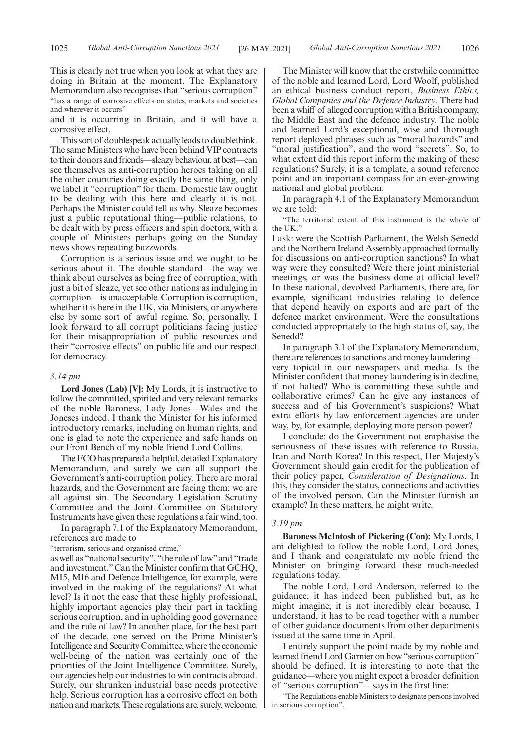This is clearly not true when you look at what they are doing in Britain at the moment. The Explanatory Memorandum also recognises that "serious corruption" "has a range of corrosive effects on states, markets and societies and wherever it occurs"—

and it is occurring in Britain, and it will have a corrosive effect.

This sort of doublespeak actually leads to doublethink. The same Ministers who have been behind VIP contracts to their donors and friends—sleazy behaviour, at best—can see themselves as anti-corruption heroes taking on all the other countries doing exactly the same thing, only we label it "corruption" for them. Domestic law ought to be dealing with this here and clearly it is not. Perhaps the Minister could tell us why. Sleaze becomes just a public reputational thing—public relations, to be dealt with by press officers and spin doctors, with a couple of Ministers perhaps going on the Sunday news shows repeating buzzwords.

Corruption is a serious issue and we ought to be serious about it. The double standard—the way we think about ourselves as being free of corruption, with just a bit of sleaze, yet see other nations as indulging in corruption—is unacceptable. Corruption is corruption, whether it is here in the UK, via Ministers, or anywhere else by some sort of awful regime. So, personally, I look forward to all corrupt politicians facing justice for their misappropriation of public resources and their "corrosive effects" on public life and our respect for democracy.

#### *3.14 pm*

**Lord Jones (Lab) [V]:** My Lords, it is instructive to follow the committed, spirited and very relevant remarks of the noble Baroness, Lady Jones—Wales and the Joneses indeed. I thank the Minister for his informed introductory remarks, including on human rights, and one is glad to note the experience and safe hands on our Front Bench of my noble friend Lord Collins.

The FCO has prepared a helpful, detailed Explanatory Memorandum, and surely we can all support the Government's anti-corruption policy. There are moral hazards, and the Government are facing them; we are all against sin. The Secondary Legislation Scrutiny Committee and the Joint Committee on Statutory Instruments have given these regulations a fair wind, too.

In paragraph 7.1 of the Explanatory Memorandum, references are made to

"terrorism, serious and organised crime,"

as well as "national security", "the rule of law"and "trade and investment."Can the Minister confirm that GCHQ, MI5, MI6 and Defence Intelligence, for example, were involved in the making of the regulations? At what level? Is it not the case that these highly professional, highly important agencies play their part in tackling serious corruption, and in upholding good governance and the rule of law? In another place, for the best part of the decade, one served on the Prime Minister's Intelligence and Security Committee, where the economic well-being of the nation was certainly one of the priorities of the Joint Intelligence Committee. Surely, our agencies help our industries to win contracts abroad. Surely, our shrunken industrial base needs protective help. Serious corruption has a corrosive effect on both nation and markets. These regulations are, surely, welcome.

The Minister will know that the erstwhile committee of the noble and learned Lord, Lord Woolf, published an ethical business conduct report, *Business Ethics, Global Companies and the Defence Industry*. There had been a whiff of alleged corruption with a British company, the Middle East and the defence industry. The noble and learned Lord's exceptional, wise and thorough report deployed phrases such as "moral hazards" and "moral justification", and the word "secrets". So, to what extent did this report inform the making of these regulations? Surely, it is a template, a sound reference point and an important compass for an ever-growing national and global problem.

In paragraph 4.1 of the Explanatory Memorandum we are told:

"The territorial extent of this instrument is the whole of the UK.

I ask: were the Scottish Parliament, the Welsh Senedd and the Northern Ireland Assembly approached formally for discussions on anti-corruption sanctions? In what way were they consulted? Were there joint ministerial meetings, or was the business done at official level? In these national, devolved Parliaments, there are, for example, significant industries relating to defence that depend heavily on exports and are part of the defence market environment. Were the consultations conducted appropriately to the high status of, say, the Senedd?

In paragraph 3.1 of the Explanatory Memorandum, there are references to sanctions and money laundering very topical in our newspapers and media. Is the Minister confident that money laundering is in decline, if not halted? Who is committing these subtle and collaborative crimes? Can he give any instances of success and of his Government's suspicions? What extra efforts by law enforcement agencies are under way, by, for example, deploying more person power?

I conclude: do the Government not emphasise the seriousness of these issues with reference to Russia, Iran and North Korea? In this respect, Her Majesty's Government should gain credit for the publication of their policy paper, *Consideration of Designations*. In this, they consider the status, connections and activities of the involved person. Can the Minister furnish an example? In these matters, he might write.

#### *3.19 pm*

**Baroness McIntosh of Pickering (Con):** My Lords, I am delighted to follow the noble Lord, Lord Jones, and I thank and congratulate my noble friend the Minister on bringing forward these much-needed regulations today.

The noble Lord, Lord Anderson, referred to the guidance; it has indeed been published but, as he might imagine, it is not incredibly clear because, I understand, it has to be read together with a number of other guidance documents from other departments issued at the same time in April.

I entirely support the point made by my noble and learned friend Lord Garnier on how "serious corruption" should be defined. It is interesting to note that the guidance—where you might expect a broader definition of "serious corruption"—says in the first line:

"The Regulations enable Ministers to designate persons involved in serious corruption",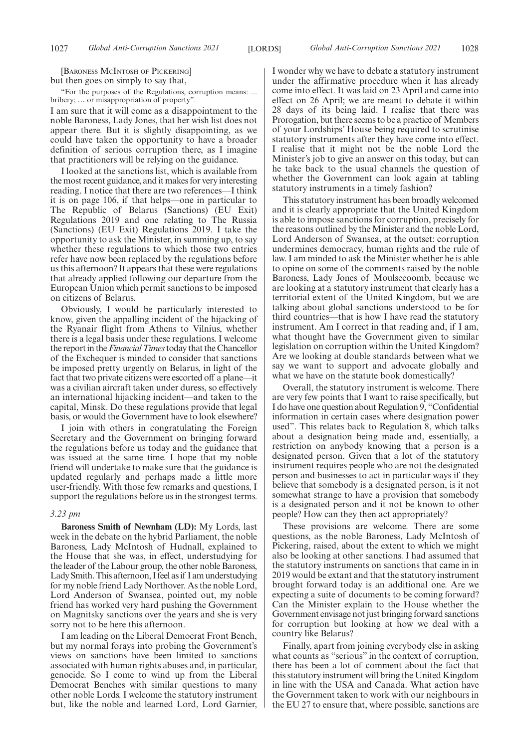[BARONESS MCINTOSH OF PICKERING] but then goes on simply to say that,

"For the purposes of the Regulations, corruption means: ... bribery; … or misappropriation of property".

I am sure that it will come as a disappointment to the noble Baroness, Lady Jones, that her wish list does not appear there. But it is slightly disappointing, as we could have taken the opportunity to have a broader definition of serious corruption there, as I imagine that practitioners will be relying on the guidance.

I looked at the sanctions list, which is available from the most recent guidance, and it makes for very interesting reading. I notice that there are two references—I think it is on page 106, if that helps—one in particular to The Republic of Belarus (Sanctions) (EU Exit) Regulations 2019 and one relating to The Russia (Sanctions) (EU Exit) Regulations 2019. I take the opportunity to ask the Minister, in summing up, to say whether these regulations to which those two entries refer have now been replaced by the regulations before us this afternoon? It appears that these were regulations that already applied following our departure from the European Union which permit sanctions to be imposed on citizens of Belarus.

Obviously, I would be particularly interested to know, given the appalling incident of the hijacking of the Ryanair flight from Athens to Vilnius, whether there is a legal basis under these regulations. I welcome the report in the*Financial Times*today that the Chancellor of the Exchequer is minded to consider that sanctions be imposed pretty urgently on Belarus, in light of the fact that two private citizens were escorted off a plane—it was a civilian aircraft taken under duress, so effectively an international hijacking incident—and taken to the capital, Minsk. Do these regulations provide that legal basis, or would the Government have to look elsewhere?

I join with others in congratulating the Foreign Secretary and the Government on bringing forward the regulations before us today and the guidance that was issued at the same time. I hope that my noble friend will undertake to make sure that the guidance is updated regularly and perhaps made a little more user-friendly. With those few remarks and questions, I support the regulations before us in the strongest terms.

#### *3.23 pm*

**Baroness Smith of Newnham (LD):** My Lords, last week in the debate on the hybrid Parliament, the noble Baroness, Lady McIntosh of Hudnall, explained to the House that she was, in effect, understudying for the leader of the Labour group, the other noble Baroness, Lady Smith. This afternoon, I feel as if I am understudying for my noble friend Lady Northover. As the noble Lord, Lord Anderson of Swansea, pointed out, my noble friend has worked very hard pushing the Government on Magnitsky sanctions over the years and she is very sorry not to be here this afternoon.

I am leading on the Liberal Democrat Front Bench, but my normal forays into probing the Government's views on sanctions have been limited to sanctions associated with human rights abuses and, in particular, genocide. So I come to wind up from the Liberal Democrat Benches with similar questions to many other noble Lords. I welcome the statutory instrument but, like the noble and learned Lord, Lord Garnier, I wonder why we have to debate a statutory instrument under the affirmative procedure when it has already come into effect. It was laid on 23 April and came into effect on 26 April; we are meant to debate it within 28 days of its being laid. I realise that there was Prorogation, but there seems to be a practice of Members of your Lordships' House being required to scrutinise statutory instruments after they have come into effect. I realise that it might not be the noble Lord the Minister's job to give an answer on this today, but can he take back to the usual channels the question of whether the Government can look again at tabling statutory instruments in a timely fashion?

This statutory instrument has been broadly welcomed and it is clearly appropriate that the United Kingdom is able to impose sanctions for corruption, precisely for the reasons outlined by the Minister and the noble Lord, Lord Anderson of Swansea, at the outset: corruption undermines democracy, human rights and the rule of law. I am minded to ask the Minister whether he is able to opine on some of the comments raised by the noble Baroness, Lady Jones of Moulsecoomb, because we are looking at a statutory instrument that clearly has a territorial extent of the United Kingdom, but we are talking about global sanctions understood to be for third countries—that is how I have read the statutory instrument. Am I correct in that reading and, if I am, what thought have the Government given to similar legislation on corruption within the United Kingdom? Are we looking at double standards between what we say we want to support and advocate globally and what we have on the statute book domestically?

Overall, the statutory instrument is welcome. There are very few points that I want to raise specifically, but I do have one question about Regulation 9, "Confidential information in certain cases where designation power used". This relates back to Regulation 8, which talks about a designation being made and, essentially, a restriction on anybody knowing that a person is a designated person. Given that a lot of the statutory instrument requires people who are not the designated person and businesses to act in particular ways if they believe that somebody is a designated person, is it not somewhat strange to have a provision that somebody is a designated person and it not be known to other people? How can they then act appropriately?

These provisions are welcome. There are some questions, as the noble Baroness, Lady McIntosh of Pickering, raised, about the extent to which we might also be looking at other sanctions. I had assumed that the statutory instruments on sanctions that came in in 2019 would be extant and that the statutory instrument brought forward today is an additional one. Are we expecting a suite of documents to be coming forward? Can the Minister explain to the House whether the Government envisage not just bringing forward sanctions for corruption but looking at how we deal with a country like Belarus?

Finally, apart from joining everybody else in asking what counts as "serious" in the context of corruption, there has been a lot of comment about the fact that this statutory instrument will bring the United Kingdom in line with the USA and Canada. What action have the Government taken to work with our neighbours in the EU 27 to ensure that, where possible, sanctions are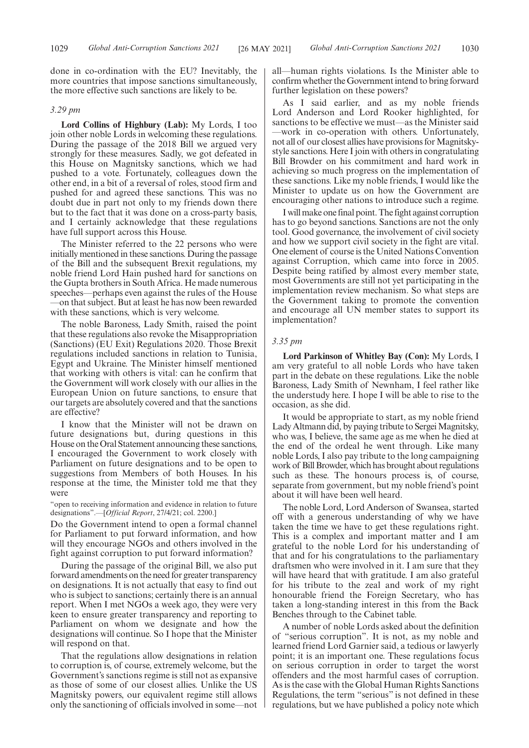done in co-ordination with the EU? Inevitably, the more countries that impose sanctions simultaneously, the more effective such sanctions are likely to be.

#### *3.29 pm*

**Lord Collins of Highbury (Lab):** My Lords, I too join other noble Lords in welcoming these regulations. During the passage of the 2018 Bill we argued very strongly for these measures. Sadly, we got defeated in this House on Magnitsky sanctions, which we had pushed to a vote. Fortunately, colleagues down the other end, in a bit of a reversal of roles, stood firm and pushed for and agreed these sanctions. This was no doubt due in part not only to my friends down there but to the fact that it was done on a cross-party basis, and I certainly acknowledge that these regulations have full support across this House.

The Minister referred to the 22 persons who were initially mentioned in these sanctions. During the passage of the Bill and the subsequent Brexit regulations, my noble friend Lord Hain pushed hard for sanctions on the Gupta brothers in South Africa. He made numerous speeches—perhaps even against the rules of the House —on that subject. But at least he has now been rewarded with these sanctions, which is very welcome.

The noble Baroness, Lady Smith, raised the point that these regulations also revoke the Misappropriation (Sanctions) (EU Exit) Regulations 2020. Those Brexit regulations included sanctions in relation to Tunisia, Egypt and Ukraine. The Minister himself mentioned that working with others is vital: can he confirm that the Government will work closely with our allies in the European Union on future sanctions, to ensure that our targets are absolutely covered and that the sanctions are effective?

I know that the Minister will not be drawn on future designations but, during questions in this House on the Oral Statement announcing these sanctions, I encouraged the Government to work closely with Parliament on future designations and to be open to suggestions from Members of both Houses. In his response at the time, the Minister told me that they were

"open to receiving information and evidence in relation to future designations".—[*Official Report*, 27/4/21; col. 2200.]

Do the Government intend to open a formal channel for Parliament to put forward information, and how will they encourage NGOs and others involved in the fight against corruption to put forward information?

During the passage of the original Bill, we also put forward amendments on the need for greater transparency on designations. It is not actually that easy to find out who is subject to sanctions; certainly there is an annual report. When I met NGOs a week ago, they were very keen to ensure greater transparency and reporting to Parliament on whom we designate and how the designations will continue. So I hope that the Minister will respond on that.

That the regulations allow designations in relation to corruption is, of course, extremely welcome, but the Government's sanctions regime is still not as expansive as those of some of our closest allies. Unlike the US Magnitsky powers, our equivalent regime still allows only the sanctioning of officials involved in some—not all—human rights violations. Is the Minister able to confirm whether the Government intend to bring forward further legislation on these powers?

As I said earlier, and as my noble friends Lord Anderson and Lord Rooker highlighted, for sanctions to be effective we must—as the Minister said —work in co-operation with others. Unfortunately, not all of our closest allies have provisions for Magnitskystyle sanctions. Here I join with others in congratulating Bill Browder on his commitment and hard work in achieving so much progress on the implementation of these sanctions. Like my noble friends, I would like the Minister to update us on how the Government are encouraging other nations to introduce such a regime.

I will make one final point. The fight against corruption has to go beyond sanctions. Sanctions are not the only tool. Good governance, the involvement of civil society and how we support civil society in the fight are vital. One element of course is the United Nations Convention against Corruption, which came into force in 2005. Despite being ratified by almost every member state, most Governments are still not yet participating in the implementation review mechanism. So what steps are the Government taking to promote the convention and encourage all UN member states to support its implementation?

#### *3.35 pm*

**Lord Parkinson of Whitley Bay (Con):** My Lords, I am very grateful to all noble Lords who have taken part in the debate on these regulations. Like the noble Baroness, Lady Smith of Newnham, I feel rather like the understudy here. I hope I will be able to rise to the occasion, as she did.

It would be appropriate to start, as my noble friend Lady Altmann did, by paying tribute to Sergei Magnitsky, who was, I believe, the same age as me when he died at the end of the ordeal he went through. Like many noble Lords, I also pay tribute to the long campaigning work of Bill Browder, which has brought about regulations such as these. The honours process is, of course, separate from government, but my noble friend's point about it will have been well heard.

The noble Lord, Lord Anderson of Swansea, started off with a generous understanding of why we have taken the time we have to get these regulations right. This is a complex and important matter and I am grateful to the noble Lord for his understanding of that and for his congratulations to the parliamentary draftsmen who were involved in it. I am sure that they will have heard that with gratitude. I am also grateful for his tribute to the zeal and work of my right honourable friend the Foreign Secretary, who has taken a long-standing interest in this from the Back Benches through to the Cabinet table.

A number of noble Lords asked about the definition of "serious corruption". It is not, as my noble and learned friend Lord Garnier said, a tedious or lawyerly point; it is an important one. These regulations focus on serious corruption in order to target the worst offenders and the most harmful cases of corruption. As is the case with the Global Human Rights Sanctions Regulations, the term "serious" is not defined in these regulations, but we have published a policy note which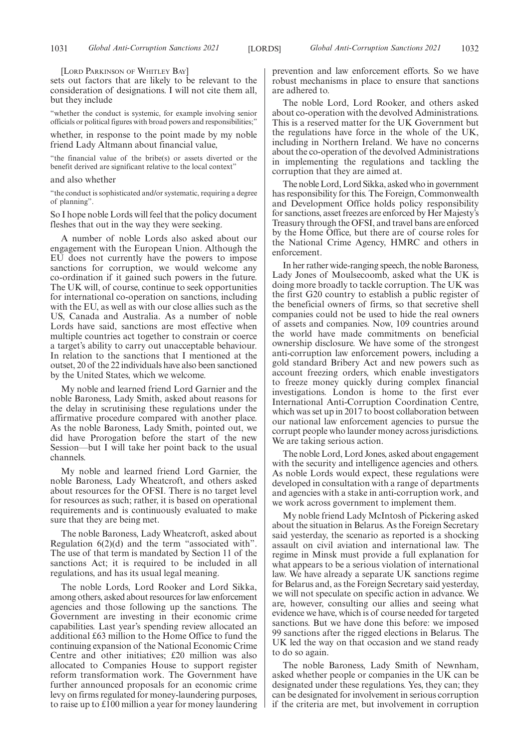[LORD PARKINSON OF WHITLEY BAY]

sets out factors that are likely to be relevant to the consideration of designations. I will not cite them all, but they include

"whether the conduct is systemic, for example involving senior officials or political figures with broad powers and responsibilities;"

whether, in response to the point made by my noble friend Lady Altmann about financial value,

"the financial value of the bribe(s) or assets diverted or the benefit derived are significant relative to the local context"

and also whether

"the conduct is sophisticated and/or systematic, requiring a degree of planning".

So I hope noble Lords will feel that the policy document fleshes that out in the way they were seeking.

A number of noble Lords also asked about our engagement with the European Union. Although the EU does not currently have the powers to impose sanctions for corruption, we would welcome any co-ordination if it gained such powers in the future. The UK will, of course, continue to seek opportunities for international co-operation on sanctions, including with the EU, as well as with our close allies such as the US, Canada and Australia. As a number of noble Lords have said, sanctions are most effective when multiple countries act together to constrain or coerce a target's ability to carry out unacceptable behaviour. In relation to the sanctions that I mentioned at the outset, 20 of the 22 individuals have also been sanctioned by the United States, which we welcome.

My noble and learned friend Lord Garnier and the noble Baroness, Lady Smith, asked about reasons for the delay in scrutinising these regulations under the affirmative procedure compared with another place. As the noble Baroness, Lady Smith, pointed out, we did have Prorogation before the start of the new Session—but I will take her point back to the usual channels.

My noble and learned friend Lord Garnier, the noble Baroness, Lady Wheatcroft, and others asked about resources for the OFSI. There is no target level for resources as such; rather, it is based on operational requirements and is continuously evaluated to make sure that they are being met.

The noble Baroness, Lady Wheatcroft, asked about Regulation 6(2)(d) and the term "associated with". The use of that term is mandated by Section 11 of the sanctions Act; it is required to be included in all regulations, and has its usual legal meaning.

The noble Lords, Lord Rooker and Lord Sikka, among others, asked about resources for law enforcement agencies and those following up the sanctions. The Government are investing in their economic crime capabilities. Last year's spending review allocated an additional £63 million to the Home Office to fund the continuing expansion of the National Economic Crime Centre and other initiatives; £20 million was also allocated to Companies House to support register reform transformation work. The Government have further announced proposals for an economic crime levy on firms regulated for money-laundering purposes, to raise up to £100 million a year for money laundering prevention and law enforcement efforts. So we have robust mechanisms in place to ensure that sanctions are adhered to.

The noble Lord, Lord Rooker, and others asked about co-operation with the devolved Administrations. This is a reserved matter for the UK Government but the regulations have force in the whole of the UK, including in Northern Ireland. We have no concerns about the co-operation of the devolved Administrations in implementing the regulations and tackling the corruption that they are aimed at.

The noble Lord, Lord Sikka, asked who in government has responsibility for this. The Foreign, Commonwealth and Development Office holds policy responsibility for sanctions, asset freezes are enforced by Her Majesty's Treasury through the OFSI, and travel bans are enforced by the Home Office, but there are of course roles for the National Crime Agency, HMRC and others in enforcement.

In her rather wide-ranging speech, the noble Baroness, Lady Jones of Moulsecoomb, asked what the UK is doing more broadly to tackle corruption. The UK was the first G20 country to establish a public register of the beneficial owners of firms, so that secretive shell companies could not be used to hide the real owners of assets and companies. Now, 109 countries around the world have made commitments on beneficial ownership disclosure. We have some of the strongest anti-corruption law enforcement powers, including a gold standard Bribery Act and new powers such as account freezing orders, which enable investigators to freeze money quickly during complex financial investigations. London is home to the first ever International Anti-Corruption Coordination Centre, which was set up in 2017 to boost collaboration between our national law enforcement agencies to pursue the corrupt people who launder money across jurisdictions. We are taking serious action.

The noble Lord, Lord Jones, asked about engagement with the security and intelligence agencies and others. As noble Lords would expect, these regulations were developed in consultation with a range of departments and agencies with a stake in anti-corruption work, and we work across government to implement them.

My noble friend Lady McIntosh of Pickering asked about the situation in Belarus. As the Foreign Secretary said yesterday, the scenario as reported is a shocking assault on civil aviation and international law. The regime in Minsk must provide a full explanation for what appears to be a serious violation of international law. We have already a separate UK sanctions regime for Belarus and, as the Foreign Secretary said yesterday, we will not speculate on specific action in advance. We are, however, consulting our allies and seeing what evidence we have, which is of course needed for targeted sanctions. But we have done this before: we imposed 99 sanctions after the rigged elections in Belarus. The UK led the way on that occasion and we stand ready to do so again.

The noble Baroness, Lady Smith of Newnham, asked whether people or companies in the UK can be designated under these regulations. Yes, they can; they can be designated for involvement in serious corruption if the criteria are met, but involvement in corruption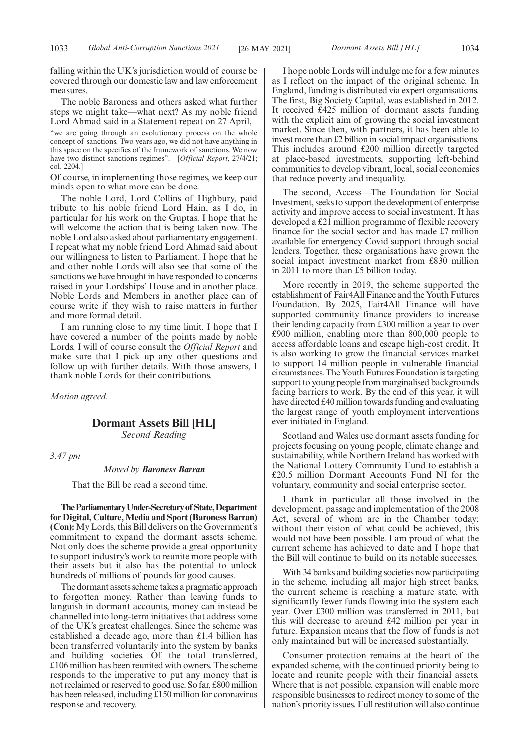falling within the UK's jurisdiction would of course be covered through our domestic law and law enforcement measures.

The noble Baroness and others asked what further steps we might take—what next? As my noble friend Lord Ahmad said in a Statement repeat on 27 April,

"we are going through an evolutionary process on the whole concept of sanctions. Two years ago, we did not have anything in this space on the specifics of the framework of sanctions. We now have two distinct sanctions regimes".—[*Official Report*, 27/4/21; col. 2204.]

Of course, in implementing those regimes, we keep our minds open to what more can be done.

The noble Lord, Lord Collins of Highbury, paid tribute to his noble friend Lord Hain, as I do, in particular for his work on the Guptas. I hope that he will welcome the action that is being taken now. The noble Lord also asked about parliamentary engagement. I repeat what my noble friend Lord Ahmad said about our willingness to listen to Parliament. I hope that he and other noble Lords will also see that some of the sanctions we have brought in have responded to concerns raised in your Lordships' House and in another place. Noble Lords and Members in another place can of course write if they wish to raise matters in further and more formal detail.

I am running close to my time limit. I hope that I have covered a number of the points made by noble Lords. I will of course consult the *Official Report* and make sure that I pick up any other questions and follow up with further details. With those answers, I thank noble Lords for their contributions.

*Motion agreed.*

## **Dormant Assets Bill [HL]** *Second Reading*

*3.47 pm*

#### *Moved by Baroness Barran*

That the Bill be read a second time.

**TheParliamentaryUnder-Secretaryof State,Department for Digital, Culture, Media and Sport (Baroness Barran) (Con):** My Lords, this Bill delivers on the Government's commitment to expand the dormant assets scheme. Not only does the scheme provide a great opportunity to support industry's work to reunite more people with their assets but it also has the potential to unlock hundreds of millions of pounds for good causes.

The dormant assets scheme takes a pragmatic approach to forgotten money. Rather than leaving funds to languish in dormant accounts, money can instead be channelled into long-term initiatives that address some of the UK's greatest challenges. Since the scheme was established a decade ago, more than £1.4 billion has been transferred voluntarily into the system by banks and building societies. Of the total transferred, £106 million has been reunited with owners. The scheme responds to the imperative to put any money that is not reclaimed or reserved to good use. So far, £800 million has been released, including £150 million for coronavirus response and recovery.

I hope noble Lords will indulge me for a few minutes as I reflect on the impact of the original scheme. In England, funding is distributed via expert organisations. The first, Big Society Capital, was established in 2012. It received £425 million of dormant assets funding with the explicit aim of growing the social investment market. Since then, with partners, it has been able to invest more than £2 billion in social impact organisations. This includes around £200 million directly targeted at place-based investments, supporting left-behind communities to develop vibrant, local, social economies that reduce poverty and inequality.

The second, Access—The Foundation for Social Investment, seeks to support the development of enterprise activity and improve access to social investment. It has developed a £21 million programme of flexible recovery finance for the social sector and has made £7 million available for emergency Covid support through social lenders. Together, these organisations have grown the social impact investment market from £830 million in 2011 to more than £5 billion today.

More recently in 2019, the scheme supported the establishment of Fair4All Finance and the Youth Futures Foundation. By 2025, Fair4All Finance will have supported community finance providers to increase their lending capacity from £300 million a year to over £900 million, enabling more than 800,000 people to access affordable loans and escape high-cost credit. It is also working to grow the financial services market to support 14 million people in vulnerable financial circumstances. The Youth Futures Foundation is targeting support to young people from marginalised backgrounds facing barriers to work. By the end of this year, it will have directed £40 million towards funding and evaluating the largest range of youth employment interventions ever initiated in England.

Scotland and Wales use dormant assets funding for projects focusing on young people, climate change and sustainability, while Northern Ireland has worked with the National Lottery Community Fund to establish a £20.5 million Dormant Accounts Fund NI for the voluntary, community and social enterprise sector.

I thank in particular all those involved in the development, passage and implementation of the 2008 Act, several of whom are in the Chamber today; without their vision of what could be achieved, this would not have been possible. I am proud of what the current scheme has achieved to date and I hope that the Bill will continue to build on its notable successes.

With 34 banks and building societies now participating in the scheme, including all major high street banks, the current scheme is reaching a mature state, with significantly fewer funds flowing into the system each year. Over £300 million was transferred in 2011, but this will decrease to around £42 million per year in future. Expansion means that the flow of funds is not only maintained but will be increased substantially.

Consumer protection remains at the heart of the expanded scheme, with the continued priority being to locate and reunite people with their financial assets. Where that is not possible, expansion will enable more responsible businesses to redirect money to some of the nation's priority issues. Full restitution will also continue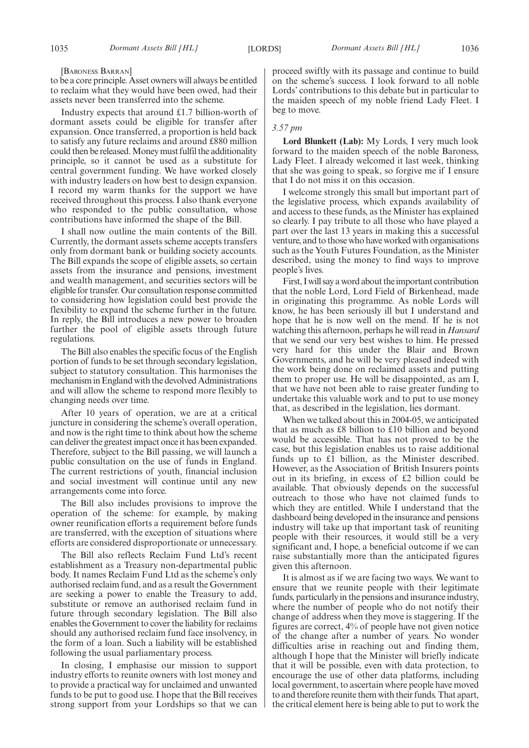[BARONESS BARRAN]

to be a core principle. Asset owners will always be entitled to reclaim what they would have been owed, had their assets never been transferred into the scheme.

Industry expects that around £1.7 billion-worth of dormant assets could be eligible for transfer after expansion. Once transferred, a proportion is held back to satisfy any future reclaims and around £880 million could then be released. Money must fulfil the additionality principle, so it cannot be used as a substitute for central government funding. We have worked closely with industry leaders on how best to design expansion. I record my warm thanks for the support we have received throughout this process. I also thank everyone who responded to the public consultation, whose contributions have informed the shape of the Bill.

I shall now outline the main contents of the Bill. Currently, the dormant assets scheme accepts transfers only from dormant bank or building society accounts. The Bill expands the scope of eligible assets, so certain assets from the insurance and pensions, investment and wealth management, and securities sectors will be eligible for transfer. Our consultation response committed to considering how legislation could best provide the flexibility to expand the scheme further in the future. In reply, the Bill introduces a new power to broaden further the pool of eligible assets through future regulations.

The Bill also enables the specific focus of the English portion of funds to be set through secondary legislation, subject to statutory consultation. This harmonises the mechanism in England with the devolved Administrations and will allow the scheme to respond more flexibly to changing needs over time.

After 10 years of operation, we are at a critical juncture in considering the scheme's overall operation, and now is the right time to think about how the scheme can deliver the greatest impact once it has been expanded. Therefore, subject to the Bill passing, we will launch a public consultation on the use of funds in England. The current restrictions of youth, financial inclusion and social investment will continue until any new arrangements come into force.

The Bill also includes provisions to improve the operation of the scheme: for example, by making owner reunification efforts a requirement before funds are transferred, with the exception of situations where efforts are considered disproportionate or unnecessary.

The Bill also reflects Reclaim Fund Ltd's recent establishment as a Treasury non-departmental public body. It names Reclaim Fund Ltd as the scheme's only authorised reclaim fund, and as a result the Government are seeking a power to enable the Treasury to add, substitute or remove an authorised reclaim fund in future through secondary legislation. The Bill also enables the Government to cover the liability for reclaims should any authorised reclaim fund face insolvency, in the form of a loan. Such a liability will be established following the usual parliamentary process.

In closing, I emphasise our mission to support industry efforts to reunite owners with lost money and to provide a practical way for unclaimed and unwanted funds to be put to good use. I hope that the Bill receives strong support from your Lordships so that we can proceed swiftly with its passage and continue to build on the scheme's success. I look forward to all noble Lords' contributions to this debate but in particular to the maiden speech of my noble friend Lady Fleet. I beg to move.

#### *3.57 pm*

**Lord Blunkett (Lab):** My Lords, I very much look forward to the maiden speech of the noble Baroness, Lady Fleet. I already welcomed it last week, thinking that she was going to speak, so forgive me if I ensure that I do not miss it on this occasion.

I welcome strongly this small but important part of the legislative process, which expands availability of and access to these funds, as the Minister has explained so clearly. I pay tribute to all those who have played a part over the last 13 years in making this a successful venture, and to those who have worked with organisations such as the Youth Futures Foundation, as the Minister described, using the money to find ways to improve people's lives.

First, I will say a word about the important contribution that the noble Lord, Lord Field of Birkenhead, made in originating this programme. As noble Lords will know, he has been seriously ill but I understand and hope that he is now well on the mend. If he is not watching this afternoon, perhaps he will read in *Hansard* that we send our very best wishes to him. He pressed very hard for this under the Blair and Brown Governments, and he will be very pleased indeed with the work being done on reclaimed assets and putting them to proper use. He will be disappointed, as am I, that we have not been able to raise greater funding to undertake this valuable work and to put to use money that, as described in the legislation, lies dormant.

When we talked about this in 2004-05, we anticipated that as much as £8 billion to £10 billion and beyond would be accessible. That has not proved to be the case, but this legislation enables us to raise additional funds up to  $\tilde{z}$  billion, as the Minister described. However, as the Association of British Insurers points out in its briefing, in excess of £2 billion could be available. That obviously depends on the successful outreach to those who have not claimed funds to which they are entitled. While I understand that the dashboard being developed in the insurance and pensions industry will take up that important task of reuniting people with their resources, it would still be a very significant and, I hope, a beneficial outcome if we can raise substantially more than the anticipated figures given this afternoon.

It is almost as if we are facing two ways. We want to ensure that we reunite people with their legitimate funds, particularly in the pensions and insurance industry, where the number of people who do not notify their change of address when they move is staggering. If the figures are correct, 4% of people have not given notice of the change after a number of years. No wonder difficulties arise in reaching out and finding them, although I hope that the Minister will briefly indicate that it will be possible, even with data protection, to encourage the use of other data platforms, including local government, to ascertain where people have moved to and therefore reunite them with their funds. That apart, the critical element here is being able to put to work the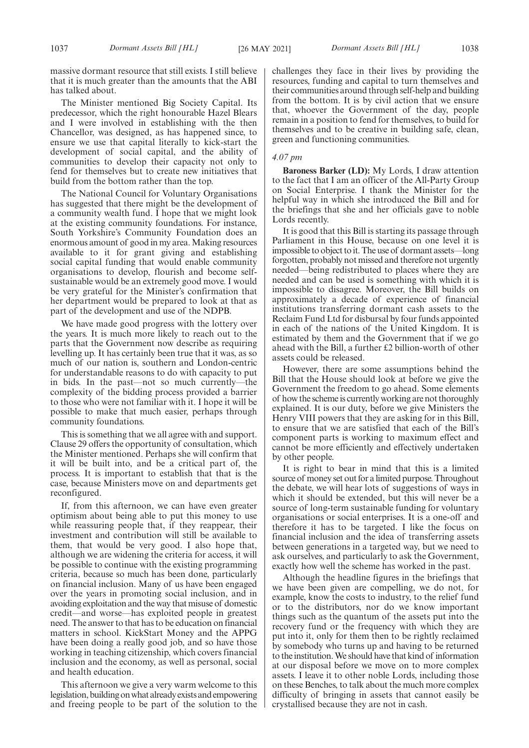massive dormant resource that still exists. I still believe that it is much greater than the amounts that the ABI has talked about.

The Minister mentioned Big Society Capital. Its predecessor, which the right honourable Hazel Blears and I were involved in establishing with the then Chancellor, was designed, as has happened since, to ensure we use that capital literally to kick-start the development of social capital, and the ability of communities to develop their capacity not only to fend for themselves but to create new initiatives that build from the bottom rather than the top.

The National Council for Voluntary Organisations has suggested that there might be the development of a community wealth fund. I hope that we might look at the existing community foundations. For instance, South Yorkshire's Community Foundation does an enormous amount of good in my area. Making resources available to it for grant giving and establishing social capital funding that would enable community organisations to develop, flourish and become selfsustainable would be an extremely good move. I would be very grateful for the Minister's confirmation that her department would be prepared to look at that as part of the development and use of the NDPB.

We have made good progress with the lottery over the years. It is much more likely to reach out to the parts that the Government now describe as requiring levelling up. It has certainly been true that it was, as so much of our nation is, southern and London-centric for understandable reasons to do with capacity to put in bids. In the past—not so much currently—the complexity of the bidding process provided a barrier to those who were not familiar with it. I hope it will be possible to make that much easier, perhaps through community foundations.

This is something that we all agree with and support. Clause 29 offers the opportunity of consultation, which the Minister mentioned. Perhaps she will confirm that it will be built into, and be a critical part of, the process. It is important to establish that that is the case, because Ministers move on and departments get reconfigured.

If, from this afternoon, we can have even greater optimism about being able to put this money to use while reassuring people that, if they reappear, their investment and contribution will still be available to them, that would be very good. I also hope that, although we are widening the criteria for access, it will be possible to continue with the existing programming criteria, because so much has been done, particularly on financial inclusion. Many of us have been engaged over the years in promoting social inclusion, and in avoiding exploitation and the way that misuse of domestic credit—and worse—has exploited people in greatest need. The answer to that has to be education on financial matters in school. KickStart Money and the APPG have been doing a really good job, and so have those working in teaching citizenship, which covers financial inclusion and the economy, as well as personal, social and health education.

This afternoon we give a very warm welcome to this legislation,buildingonwhatalreadyexistsandempowering and freeing people to be part of the solution to the challenges they face in their lives by providing the resources, funding and capital to turn themselves and their communities around through self-help and building from the bottom. It is by civil action that we ensure that, whoever the Government of the day, people remain in a position to fend for themselves, to build for themselves and to be creative in building safe, clean, green and functioning communities.

#### *4.07 pm*

**Baroness Barker (LD):** My Lords, I draw attention to the fact that I am an officer of the All-Party Group on Social Enterprise. I thank the Minister for the helpful way in which she introduced the Bill and for the briefings that she and her officials gave to noble Lords recently.

It is good that this Bill is starting its passage through Parliament in this House, because on one level it is impossible to object to it. The use of dormant assets—long forgotten, probably not missed and therefore not urgently needed—being redistributed to places where they are needed and can be used is something with which it is impossible to disagree. Moreover, the Bill builds on approximately a decade of experience of financial institutions transferring dormant cash assets to the Reclaim Fund Ltd for disbursal by four funds appointed in each of the nations of the United Kingdom. It is estimated by them and the Government that if we go ahead with the Bill, a further £2 billion-worth of other assets could be released.

However, there are some assumptions behind the Bill that the House should look at before we give the Government the freedom to go ahead. Some elements of how the scheme is currently working are not thoroughly explained. It is our duty, before we give Ministers the Henry VIII powers that they are asking for in this Bill, to ensure that we are satisfied that each of the Bill's component parts is working to maximum effect and cannot be more efficiently and effectively undertaken by other people.

It is right to bear in mind that this is a limited source of money set out for a limited purpose. Throughout the debate, we will hear lots of suggestions of ways in which it should be extended, but this will never be a source of long-term sustainable funding for voluntary organisations or social enterprises. It is a one-off and therefore it has to be targeted. I like the focus on financial inclusion and the idea of transferring assets between generations in a targeted way, but we need to ask ourselves, and particularly to ask the Government, exactly how well the scheme has worked in the past.

Although the headline figures in the briefings that we have been given are compelling, we do not, for example, know the costs to industry, to the relief fund or to the distributors, nor do we know important things such as the quantum of the assets put into the recovery fund or the frequency with which they are put into it, only for them then to be rightly reclaimed by somebody who turns up and having to be returned to the institution. We should have that kind of information at our disposal before we move on to more complex assets. I leave it to other noble Lords, including those on these Benches, to talk about the much more complex difficulty of bringing in assets that cannot easily be crystallised because they are not in cash.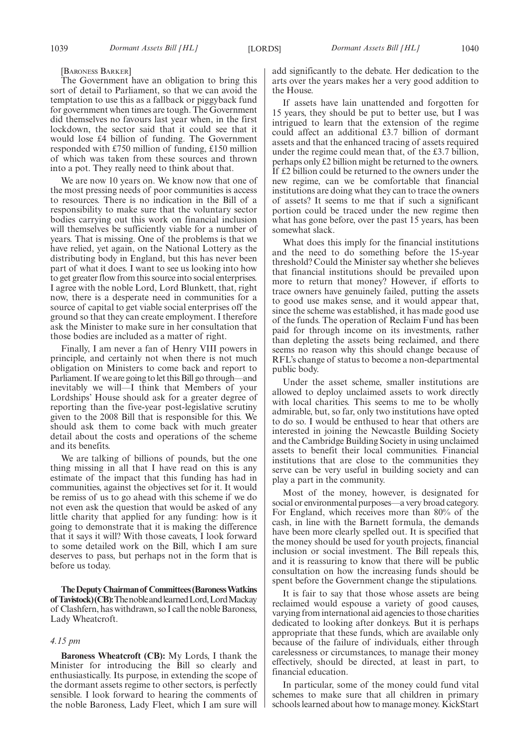[BARONESS BARKER]

The Government have an obligation to bring this sort of detail to Parliament, so that we can avoid the temptation to use this as a fallback or piggyback fund for government when times are tough. The Government did themselves no favours last year when, in the first lockdown, the sector said that it could see that it would lose £4 billion of funding. The Government responded with £750 million of funding, £150 million of which was taken from these sources and thrown into a pot. They really need to think about that.

We are now 10 years on. We know now that one of the most pressing needs of poor communities is access to resources. There is no indication in the Bill of a responsibility to make sure that the voluntary sector bodies carrying out this work on financial inclusion will themselves be sufficiently viable for a number of years. That is missing. One of the problems is that we have relied, yet again, on the National Lottery as the distributing body in England, but this has never been part of what it does. I want to see us looking into how to get greater flow from this source into social enterprises. I agree with the noble Lord, Lord Blunkett, that, right now, there is a desperate need in communities for a source of capital to get viable social enterprises off the ground so that they can create employment. I therefore ask the Minister to make sure in her consultation that those bodies are included as a matter of right.

Finally, I am never a fan of Henry VIII powers in principle, and certainly not when there is not much obligation on Ministers to come back and report to Parliament. If we are going to let this Bill go through—and inevitably we will—I think that Members of your Lordships' House should ask for a greater degree of reporting than the five-year post-legislative scrutiny given to the 2008 Bill that is responsible for this. We should ask them to come back with much greater detail about the costs and operations of the scheme and its benefits.

We are talking of billions of pounds, but the one thing missing in all that I have read on this is any estimate of the impact that this funding has had in communities, against the objectives set for it. It would be remiss of us to go ahead with this scheme if we do not even ask the question that would be asked of any little charity that applied for any funding: how is it going to demonstrate that it is making the difference that it says it will? With those caveats, I look forward to some detailed work on the Bill, which I am sure deserves to pass, but perhaps not in the form that is before us today.

**TheDeputyChairmanof Committees(BaronessWatkins** of Tavistock)(CB): The noble and learned Lord, Lord Mackay of Clashfern, has withdrawn, so I call the noble Baroness, Lady Wheatcroft.

#### *4.15 pm*

**Baroness Wheatcroft (CB):** My Lords, I thank the Minister for introducing the Bill so clearly and enthusiastically. Its purpose, in extending the scope of the dormant assets regime to other sectors, is perfectly sensible. I look forward to hearing the comments of the noble Baroness, Lady Fleet, which I am sure will add significantly to the debate. Her dedication to the arts over the years makes her a very good addition to the House.

If assets have lain unattended and forgotten for 15 years, they should be put to better use, but I was intrigued to learn that the extension of the regime could affect an additional £3.7 billion of dormant assets and that the enhanced tracing of assets required under the regime could mean that, of the £3.7 billion, perhaps only £2 billion might be returned to the owners. If £2 billion could be returned to the owners under the new regime, can we be comfortable that financial institutions are doing what they can to trace the owners of assets? It seems to me that if such a significant portion could be traced under the new regime then what has gone before, over the past 15 years, has been somewhat slack.

What does this imply for the financial institutions and the need to do something before the 15-year threshold? Could the Minister say whether she believes that financial institutions should be prevailed upon more to return that money? However, if efforts to trace owners have genuinely failed, putting the assets to good use makes sense, and it would appear that, since the scheme was established, it has made good use of the funds. The operation of Reclaim Fund has been paid for through income on its investments, rather than depleting the assets being reclaimed, and there seems no reason why this should change because of RFL's change of status to become a non-departmental public body.

Under the asset scheme, smaller institutions are allowed to deploy unclaimed assets to work directly with local charities. This seems to me to be wholly admirable, but, so far, only two institutions have opted to do so. I would be enthused to hear that others are interested in joining the Newcastle Building Society and the Cambridge Building Society in using unclaimed assets to benefit their local communities. Financial institutions that are close to the communities they serve can be very useful in building society and can play a part in the community.

Most of the money, however, is designated for social or environmental purposes—a very broad category. For England, which receives more than 80% of the cash, in line with the Barnett formula, the demands have been more clearly spelled out. It is specified that the money should be used for youth projects, financial inclusion or social investment. The Bill repeals this, and it is reassuring to know that there will be public consultation on how the increasing funds should be spent before the Government change the stipulations.

It is fair to say that those whose assets are being reclaimed would espouse a variety of good causes, varying from international aid agencies to those charities dedicated to looking after donkeys. But it is perhaps appropriate that these funds, which are available only because of the failure of individuals, either through carelessness or circumstances, to manage their money effectively, should be directed, at least in part, to financial education.

In particular, some of the money could fund vital schemes to make sure that all children in primary schools learned about how to manage money. KickStart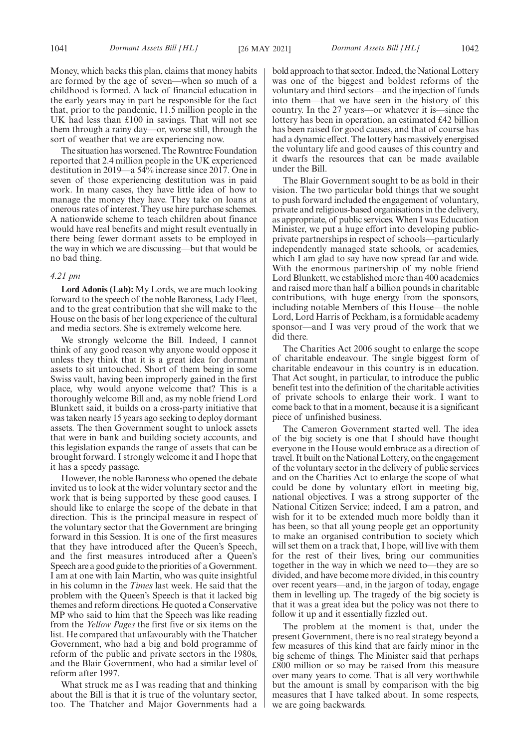Money, which backs this plan, claims that money habits are formed by the age of seven—when so much of a childhood is formed. A lack of financial education in the early years may in part be responsible for the fact that, prior to the pandemic, 11.5 million people in the UK had less than £100 in savings. That will not see them through a rainy day—or, worse still, through the sort of weather that we are experiencing now.

The situation has worsened. The Rowntree Foundation reported that 2.4 million people in the UK experienced destitution in 2019—a 54% increase since 2017. One in seven of those experiencing destitution was in paid work. In many cases, they have little idea of how to manage the money they have. They take on loans at onerous rates of interest. They use hire purchase schemes. A nationwide scheme to teach children about finance would have real benefits and might result eventually in there being fewer dormant assets to be employed in the way in which we are discussing—but that would be no bad thing.

#### *4.21 pm*

**Lord Adonis (Lab):** My Lords, we are much looking forward to the speech of the noble Baroness, Lady Fleet, and to the great contribution that she will make to the House on the basis of her long experience of the cultural and media sectors. She is extremely welcome here.

We strongly welcome the Bill. Indeed, I cannot think of any good reason why anyone would oppose it unless they think that it is a great idea for dormant assets to sit untouched. Short of them being in some Swiss vault, having been improperly gained in the first place, why would anyone welcome that? This is a thoroughly welcome Bill and, as my noble friend Lord Blunkett said, it builds on a cross-party initiative that was taken nearly 15 years ago seeking to deploy dormant assets. The then Government sought to unlock assets that were in bank and building society accounts, and this legislation expands the range of assets that can be brought forward. I strongly welcome it and I hope that it has a speedy passage.

However, the noble Baroness who opened the debate invited us to look at the wider voluntary sector and the work that is being supported by these good causes. I should like to enlarge the scope of the debate in that direction. This is the principal measure in respect of the voluntary sector that the Government are bringing forward in this Session. It is one of the first measures that they have introduced after the Queen's Speech, and the first measures introduced after a Queen's Speech are a good guide to the priorities of a Government. I am at one with Iain Martin, who was quite insightful in his column in the *Times* last week. He said that the problem with the Queen's Speech is that it lacked big themes and reform directions. He quoted a Conservative MP who said to him that the Speech was like reading from the *Yellow Pages* the first five or six items on the list. He compared that unfavourably with the Thatcher Government, who had a big and bold programme of reform of the public and private sectors in the 1980s, and the Blair Government, who had a similar level of reform after 1997.

What struck me as I was reading that and thinking about the Bill is that it is true of the voluntary sector, too. The Thatcher and Major Governments had a bold approach to that sector. Indeed, the National Lottery was one of the biggest and boldest reforms of the voluntary and third sectors—and the injection of funds into them—that we have seen in the history of this country. In the 27 years—or whatever it is—since the lottery has been in operation, an estimated £42 billion has been raised for good causes, and that of course has had a dynamic effect. The lottery has massively energised the voluntary life and good causes of this country and it dwarfs the resources that can be made available under the Bill.

The Blair Government sought to be as bold in their vision. The two particular bold things that we sought to push forward included the engagement of voluntary, private and religious-based organisations in the delivery, as appropriate, of public services. When I was Education Minister, we put a huge effort into developing publicprivate partnerships in respect of schools—particularly independently managed state schools, or academies, which I am glad to say have now spread far and wide. With the enormous partnership of my noble friend Lord Blunkett, we established more than 400 academies and raised more than half a billion pounds in charitable contributions, with huge energy from the sponsors, including notable Members of this House—the noble Lord, Lord Harris of Peckham, is a formidable academy sponsor—and I was very proud of the work that we did there.

The Charities Act 2006 sought to enlarge the scope of charitable endeavour. The single biggest form of charitable endeavour in this country is in education. That Act sought, in particular, to introduce the public benefit test into the definition of the charitable activities of private schools to enlarge their work. I want to come back to that in a moment, because it is a significant piece of unfinished business.

The Cameron Government started well. The idea of the big society is one that I should have thought everyone in the House would embrace as a direction of travel. It built on the National Lottery, on the engagement of the voluntary sector in the delivery of public services and on the Charities Act to enlarge the scope of what could be done by voluntary effort in meeting big, national objectives. I was a strong supporter of the National Citizen Service; indeed, I am a patron, and wish for it to be extended much more boldly than it has been, so that all young people get an opportunity to make an organised contribution to society which will set them on a track that, I hope, will live with them for the rest of their lives, bring our communities together in the way in which we need to—they are so divided, and have become more divided, in this country over recent years—and, in the jargon of today, engage them in levelling up. The tragedy of the big society is that it was a great idea but the policy was not there to follow it up and it essentially fizzled out.

The problem at the moment is that, under the present Government, there is no real strategy beyond a few measures of this kind that are fairly minor in the big scheme of things. The Minister said that perhaps £800 million or so may be raised from this measure over many years to come. That is all very worthwhile but the amount is small by comparison with the big measures that I have talked about. In some respects, we are going backwards.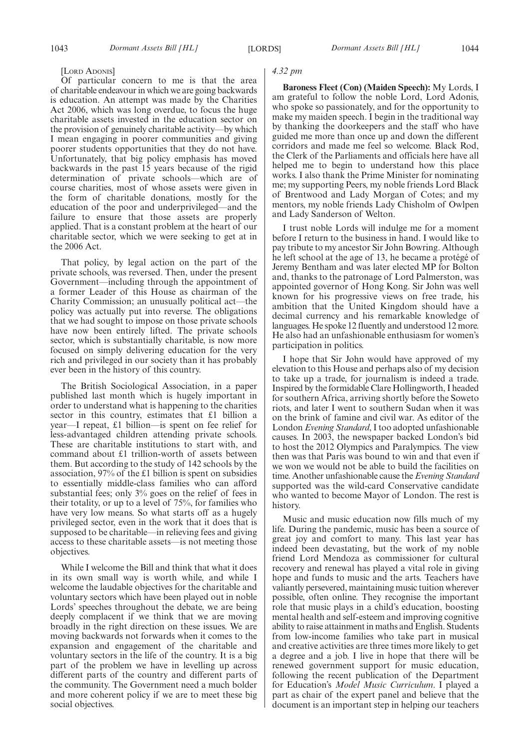#### [LORD ADONIS]

Of particular concern to me is that the area of charitable endeavour in which we are going backwards is education. An attempt was made by the Charities Act 2006, which was long overdue, to focus the huge charitable assets invested in the education sector on the provision of genuinely charitable activity—by which I mean engaging in poorer communities and giving poorer students opportunities that they do not have. Unfortunately, that big policy emphasis has moved backwards in the past 15 years because of the rigid determination of private schools—which are of course charities, most of whose assets were given in the form of charitable donations, mostly for the education of the poor and underprivileged—and the failure to ensure that those assets are properly applied. That is a constant problem at the heart of our charitable sector, which we were seeking to get at in the 2006 Act.

That policy, by legal action on the part of the private schools, was reversed. Then, under the present Government—including through the appointment of a former Leader of this House as chairman of the Charity Commission; an unusually political act—the policy was actually put into reverse. The obligations that we had sought to impose on those private schools have now been entirely lifted. The private schools sector, which is substantially charitable, is now more focused on simply delivering education for the very rich and privileged in our society than it has probably ever been in the history of this country.

The British Sociological Association, in a paper published last month which is hugely important in order to understand what is happening to the charities sector in this country, estimates that £1 billion a year—I repeat, £1 billion—is spent on fee relief for less-advantaged children attending private schools. These are charitable institutions to start with, and command about £1 trillion-worth of assets between them. But according to the study of 142 schools by the association, 97% of the £1 billion is spent on subsidies to essentially middle-class families who can afford substantial fees; only 3% goes on the relief of fees in their totality, or up to a level of 75%, for families who have very low means. So what starts off as a hugely privileged sector, even in the work that it does that is supposed to be charitable—in relieving fees and giving access to these charitable assets—is not meeting those objectives.

While I welcome the Bill and think that what it does in its own small way is worth while, and while I welcome the laudable objectives for the charitable and voluntary sectors which have been played out in noble Lords' speeches throughout the debate, we are being deeply complacent if we think that we are moving broadly in the right direction on these issues. We are moving backwards not forwards when it comes to the expansion and engagement of the charitable and voluntary sectors in the life of the country. It is a big part of the problem we have in levelling up across different parts of the country and different parts of the community. The Government need a much bolder and more coherent policy if we are to meet these big social objectives.

#### *4.32 pm*

**Baroness Fleet (Con) (Maiden Speech):** My Lords, I am grateful to follow the noble Lord, Lord Adonis, who spoke so passionately, and for the opportunity to make my maiden speech. I begin in the traditional way by thanking the doorkeepers and the staff who have guided me more than once up and down the different corridors and made me feel so welcome. Black Rod, the Clerk of the Parliaments and officials here have all helped me to begin to understand how this place works. I also thank the Prime Minister for nominating me; my supporting Peers, my noble friends Lord Black of Brentwood and Lady Morgan of Cotes; and my mentors, my noble friends Lady Chisholm of Owlpen and Lady Sanderson of Welton.

I trust noble Lords will indulge me for a moment before I return to the business in hand. I would like to pay tribute to my ancestor Sir John Bowring. Although he left school at the age of 13, he became a protégé of Jeremy Bentham and was later elected MP for Bolton and, thanks to the patronage of Lord Palmerston, was appointed governor of Hong Kong. Sir John was well known for his progressive views on free trade, his ambition that the United Kingdom should have a decimal currency and his remarkable knowledge of languages. He spoke 12 fluently and understood 12 more. He also had an unfashionable enthusiasm for women's participation in politics.

I hope that Sir John would have approved of my elevation to this House and perhaps also of my decision to take up a trade, for journalism is indeed a trade. Inspired by the formidable Clare Hollingworth, I headed for southern Africa, arriving shortly before the Soweto riots, and later I went to southern Sudan when it was on the brink of famine and civil war. As editor of the London *Evening Standard*, I too adopted unfashionable causes. In 2003, the newspaper backed London's bid to host the 2012 Olympics and Paralympics. The view then was that Paris was bound to win and that even if we won we would not be able to build the facilities on time. Another unfashionable cause the *Evening Standard* supported was the wild-card Conservative candidate who wanted to become Mayor of London. The rest is history.

Music and music education now fills much of my life. During the pandemic, music has been a source of great joy and comfort to many. This last year has indeed been devastating, but the work of my noble friend Lord Mendoza as commissioner for cultural recovery and renewal has played a vital role in giving hope and funds to music and the arts. Teachers have valiantly persevered, maintaining music tuition wherever possible, often online. They recognise the important role that music plays in a child's education, boosting mental health and self-esteem and improving cognitive ability to raise attainment in maths and English. Students from low-income families who take part in musical and creative activities are three times more likely to get a degree and a job. I live in hope that there will be renewed government support for music education, following the recent publication of the Department for Education's *Model Music Curriculum*. I played a part as chair of the expert panel and believe that the document is an important step in helping our teachers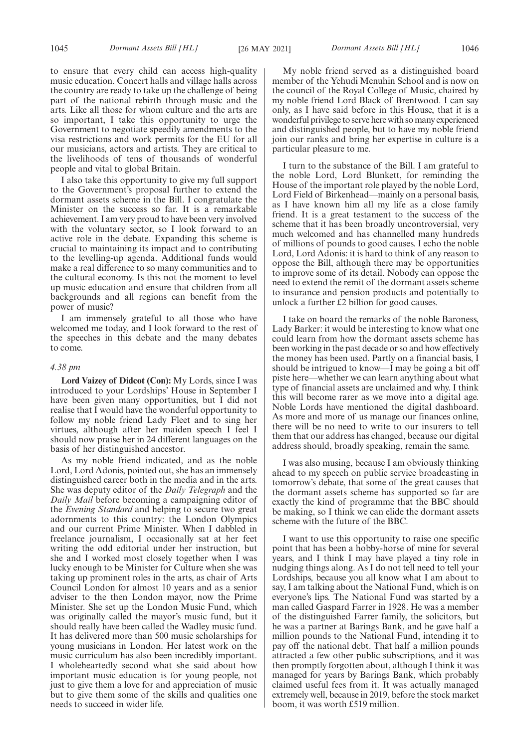to ensure that every child can access high-quality music education. Concert halls and village halls across the country are ready to take up the challenge of being part of the national rebirth through music and the arts. Like all those for whom culture and the arts are so important, I take this opportunity to urge the Government to negotiate speedily amendments to the visa restrictions and work permits for the EU for all our musicians, actors and artists. They are critical to the livelihoods of tens of thousands of wonderful people and vital to global Britain.

I also take this opportunity to give my full support to the Government's proposal further to extend the dormant assets scheme in the Bill. I congratulate the Minister on the success so far. It is a remarkable achievement. I am very proud to have been very involved with the voluntary sector, so I look forward to an active role in the debate. Expanding this scheme is crucial to maintaining its impact and to contributing to the levelling-up agenda. Additional funds would make a real difference to so many communities and to the cultural economy. Is this not the moment to level up music education and ensure that children from all backgrounds and all regions can benefit from the power of music?

I am immensely grateful to all those who have welcomed me today, and I look forward to the rest of the speeches in this debate and the many debates to come.

### *4.38 pm*

**Lord Vaizey of Didcot (Con):** My Lords, since I was introduced to your Lordships' House in September I have been given many opportunities, but I did not realise that I would have the wonderful opportunity to follow my noble friend Lady Fleet and to sing her virtues, although after her maiden speech I feel I should now praise her in 24 different languages on the basis of her distinguished ancestor.

As my noble friend indicated, and as the noble Lord, Lord Adonis, pointed out, she has an immensely distinguished career both in the media and in the arts. She was deputy editor of the *Daily Telegraph* and the *Daily Mail* before becoming a campaigning editor of the *Evening Standard* and helping to secure two great adornments to this country: the London Olympics and our current Prime Minister. When I dabbled in freelance journalism, I occasionally sat at her feet writing the odd editorial under her instruction, but she and I worked most closely together when I was lucky enough to be Minister for Culture when she was taking up prominent roles in the arts, as chair of Arts Council London for almost 10 years and as a senior adviser to the then London mayor, now the Prime Minister. She set up the London Music Fund, which was originally called the mayor's music fund, but it should really have been called the Wadley music fund. It has delivered more than 500 music scholarships for young musicians in London. Her latest work on the music curriculum has also been incredibly important. I wholeheartedly second what she said about how important music education is for young people, not just to give them a love for and appreciation of music but to give them some of the skills and qualities one needs to succeed in wider life.

My noble friend served as a distinguished board member of the Yehudi Menuhin School and is now on the council of the Royal College of Music, chaired by my noble friend Lord Black of Brentwood. I can say only, as I have said before in this House, that it is a wonderful privilege to serve here with so many experienced and distinguished people, but to have my noble friend join our ranks and bring her expertise in culture is a particular pleasure to me.

I turn to the substance of the Bill. I am grateful to the noble Lord, Lord Blunkett, for reminding the House of the important role played by the noble Lord, Lord Field of Birkenhead—mainly on a personal basis, as I have known him all my life as a close family friend. It is a great testament to the success of the scheme that it has been broadly uncontroversial, very much welcomed and has channelled many hundreds of millions of pounds to good causes. I echo the noble Lord, Lord Adonis: it is hard to think of any reason to oppose the Bill, although there may be opportunities to improve some of its detail. Nobody can oppose the need to extend the remit of the dormant assets scheme to insurance and pension products and potentially to unlock a further £2 billion for good causes.

I take on board the remarks of the noble Baroness, Lady Barker: it would be interesting to know what one could learn from how the dormant assets scheme has been working in the past decade or so and how effectively the money has been used. Partly on a financial basis, I should be intrigued to know—I may be going a bit off piste here—whether we can learn anything about what type of financial assets are unclaimed and why. I think this will become rarer as we move into a digital age. Noble Lords have mentioned the digital dashboard. As more and more of us manage our finances online, there will be no need to write to our insurers to tell them that our address has changed, because our digital address should, broadly speaking, remain the same.

I was also musing, because I am obviously thinking ahead to my speech on public service broadcasting in tomorrow's debate, that some of the great causes that the dormant assets scheme has supported so far are exactly the kind of programme that the BBC should be making, so I think we can elide the dormant assets scheme with the future of the BBC.

I want to use this opportunity to raise one specific point that has been a hobby-horse of mine for several years, and I think I may have played a tiny role in nudging things along. As I do not tell need to tell your Lordships, because you all know what I am about to say, I am talking about the National Fund, which is on everyone's lips. The National Fund was started by a man called Gaspard Farrer in 1928. He was a member of the distinguished Farrer family, the solicitors, but he was a partner at Barings Bank, and he gave half a million pounds to the National Fund, intending it to pay off the national debt. That half a million pounds attracted a few other public subscriptions, and it was then promptly forgotten about, although I think it was managed for years by Barings Bank, which probably claimed useful fees from it. It was actually managed extremely well, because in 2019, before the stock market boom, it was worth £519 million.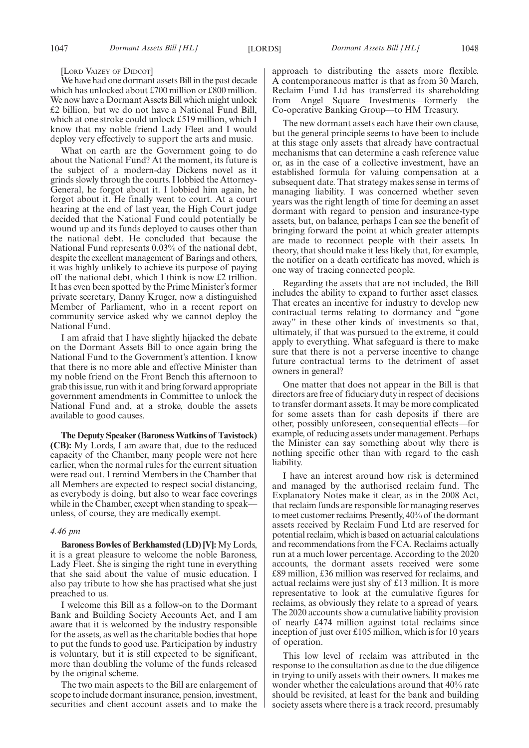[LORD VAIZEY OF DIDCOT]

We have had one dormant assets Bill in the past decade which has unlocked about £700 million or £800 million. We now have a Dormant Assets Bill which might unlock £2 billion, but we do not have a National Fund Bill, which at one stroke could unlock £519 million, which I know that my noble friend Lady Fleet and I would deploy very effectively to support the arts and music.

What on earth are the Government going to do about the National Fund? At the moment, its future is the subject of a modern-day Dickens novel as it grinds slowly through the courts. I lobbied the Attorney-General, he forgot about it. I lobbied him again, he forgot about it. He finally went to court. At a court hearing at the end of last year, the High Court judge decided that the National Fund could potentially be wound up and its funds deployed to causes other than the national debt. He concluded that because the National Fund represents 0.03% of the national debt, despite the excellent management of Barings and others, it was highly unlikely to achieve its purpose of paying off the national debt, which I think is now £2 trillion. It has even been spotted by the Prime Minister's former private secretary, Danny Kruger, now a distinguished Member of Parliament, who in a recent report on community service asked why we cannot deploy the National Fund.

I am afraid that I have slightly hijacked the debate on the Dormant Assets Bill to once again bring the National Fund to the Government's attention. I know that there is no more able and effective Minister than my noble friend on the Front Bench this afternoon to grab this issue, run with it and bring forward appropriate government amendments in Committee to unlock the National Fund and, at a stroke, double the assets available to good causes.

**The Deputy Speaker (Baroness Watkins of Tavistock) (CB):** My Lords, I am aware that, due to the reduced capacity of the Chamber, many people were not here earlier, when the normal rules for the current situation were read out. I remind Members in the Chamber that all Members are expected to respect social distancing, as everybody is doing, but also to wear face coverings while in the Chamber, except when standing to speak unless, of course, they are medically exempt.

#### *4.46 pm*

**Baroness Bowles of Berkhamsted (LD) [V]:** My Lords, it is a great pleasure to welcome the noble Baroness, Lady Fleet. She is singing the right tune in everything that she said about the value of music education. I also pay tribute to how she has practised what she just preached to us.

I welcome this Bill as a follow-on to the Dormant Bank and Building Society Accounts Act, and I am aware that it is welcomed by the industry responsible for the assets, as well as the charitable bodies that hope to put the funds to good use. Participation by industry is voluntary, but it is still expected to be significant, more than doubling the volume of the funds released by the original scheme.

The two main aspects to the Bill are enlargement of scope to include dormant insurance, pension, investment, securities and client account assets and to make the approach to distributing the assets more flexible. A contemporaneous matter is that as from 30 March, Reclaim Fund Ltd has transferred its shareholding from Angel Square Investments—formerly the Co-operative Banking Group—to HM Treasury.

The new dormant assets each have their own clause, but the general principle seems to have been to include at this stage only assets that already have contractual mechanisms that can determine a cash reference value or, as in the case of a collective investment, have an established formula for valuing compensation at a subsequent date. That strategy makes sense in terms of managing liability. I was concerned whether seven years was the right length of time for deeming an asset dormant with regard to pension and insurance-type assets, but, on balance, perhaps I can see the benefit of bringing forward the point at which greater attempts are made to reconnect people with their assets. In theory, that should make it less likely that, for example, the notifier on a death certificate has moved, which is one way of tracing connected people.

Regarding the assets that are not included, the Bill includes the ability to expand to further asset classes. That creates an incentive for industry to develop new contractual terms relating to dormancy and "gone away" in these other kinds of investments so that, ultimately, if that was pursued to the extreme, it could apply to everything. What safeguard is there to make sure that there is not a perverse incentive to change future contractual terms to the detriment of asset owners in general?

One matter that does not appear in the Bill is that directors are free of fiduciary duty in respect of decisions to transfer dormant assets. It may be more complicated for some assets than for cash deposits if there are other, possibly unforeseen, consequential effects—for example, of reducing assets under management. Perhaps the Minister can say something about why there is nothing specific other than with regard to the cash liability.

I have an interest around how risk is determined and managed by the authorised reclaim fund. The Explanatory Notes make it clear, as in the 2008 Act, that reclaim funds are responsible for managing reserves to meet customer reclaims. Presently, 40% of the dormant assets received by Reclaim Fund Ltd are reserved for potential reclaim, which is based on actuarial calculations and recommendations from the FCA. Reclaims actually run at a much lower percentage. According to the 2020 accounts, the dormant assets received were some £89 million, £36 million was reserved for reclaims, and actual reclaims were just shy of £13 million. It is more representative to look at the cumulative figures for reclaims, as obviously they relate to a spread of years. The 2020 accounts show a cumulative liability provision of nearly £474 million against total reclaims since inception of just over £105 million, which is for 10 years of operation.

This low level of reclaim was attributed in the response to the consultation as due to the due diligence in trying to unify assets with their owners. It makes me wonder whether the calculations around that 40% rate should be revisited, at least for the bank and building society assets where there is a track record, presumably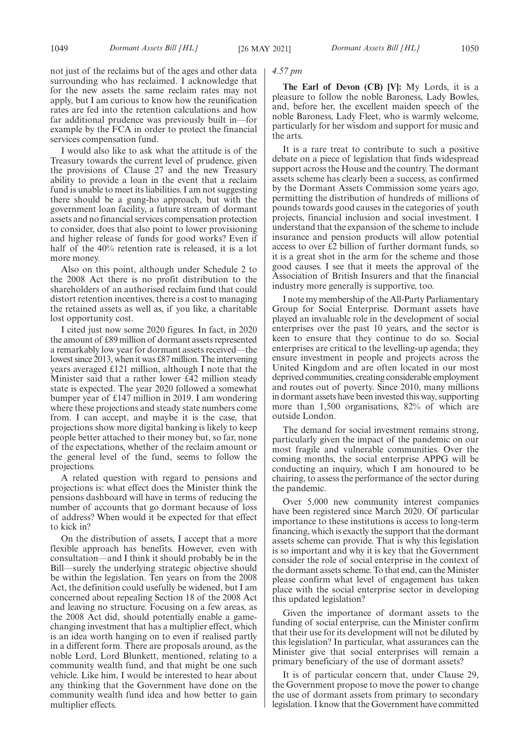not just of the reclaims but of the ages and other data surrounding who has reclaimed. I acknowledge that for the new assets the same reclaim rates may not apply, but I am curious to know how the reunification rates are fed into the retention calculations and how far additional prudence was previously built in—for example by the FCA in order to protect the financial services compensation fund.

I would also like to ask what the attitude is of the Treasury towards the current level of prudence, given the provisions of Clause 27 and the new Treasury ability to provide a loan in the event that a reclaim fund is unable to meet its liabilities. I am not suggesting there should be a gung-ho approach, but with the government loan facility, a future stream of dormant assets and no financial services compensation protection to consider, does that also point to lower provisioning and higher release of funds for good works? Even if half of the 40% retention rate is released, it is a lot more money.

Also on this point, although under Schedule 2 to the 2008 Act there is no profit distribution to the shareholders of an authorised reclaim fund that could distort retention incentives, there is a cost to managing the retained assets as well as, if you like, a charitable lost opportunity cost.

I cited just now some 2020 figures. In fact, in 2020 the amount of £89 million of dormant assets represented a remarkably low year for dormant assets received—the lowest since 2013, when it was £87 million. The intervening years averaged £121 million, although I note that the Minister said that a rather lower £42 million steady state is expected. The year 2020 followed a somewhat bumper year of £147 million in 2019. I am wondering where these projections and steady state numbers come from. I can accept, and maybe it is the case, that projections show more digital banking is likely to keep people better attached to their money but, so far, none of the expectations, whether of the reclaim amount or the general level of the fund, seems to follow the projections.

A related question with regard to pensions and projections is: what effect does the Minister think the pensions dashboard will have in terms of reducing the number of accounts that go dormant because of loss of address? When would it be expected for that effect to kick in?

On the distribution of assets, I accept that a more flexible approach has benefits. However, even with consultation—and I think it should probably be in the Bill—surely the underlying strategic objective should be within the legislation. Ten years on from the 2008 Act, the definition could usefully be widened, but I am concerned about repealing Section 18 of the 2008 Act and leaving no structure. Focusing on a few areas, as the 2008 Act did, should potentially enable a gamechanging investment that has a multiplier effect, which is an idea worth hanging on to even if realised partly in a different form. There are proposals around, as the noble Lord, Lord Blunkett, mentioned, relating to a community wealth fund, and that might be one such vehicle. Like him, I would be interested to hear about any thinking that the Government have done on the community wealth fund idea and how better to gain multiplier effects.

#### *4.57 pm*

**The Earl of Devon (CB) [V]:** My Lords, it is a pleasure to follow the noble Baroness, Lady Bowles, and, before her, the excellent maiden speech of the noble Baroness, Lady Fleet, who is warmly welcome, particularly for her wisdom and support for music and the arts.

It is a rare treat to contribute to such a positive debate on a piece of legislation that finds widespread support across the House and the country. The dormant assets scheme has clearly been a success, as confirmed by the Dormant Assets Commission some years ago, permitting the distribution of hundreds of millions of pounds towards good causes in the categories of youth projects, financial inclusion and social investment. I understand that the expansion of the scheme to include insurance and pension products will allow potential access to over £2 billion of further dormant funds, so it is a great shot in the arm for the scheme and those good causes. I see that it meets the approval of the Association of British Insurers and that the financial industry more generally is supportive, too.

I note my membership of the All-Party Parliamentary Group for Social Enterprise. Dormant assets have played an invaluable role in the development of social enterprises over the past 10 years, and the sector is keen to ensure that they continue to do so. Social enterprises are critical to the levelling-up agenda; they ensure investment in people and projects across the United Kingdom and are often located in our most deprived communities, creating considerable employment and routes out of poverty. Since 2010, many millions in dormant assets have been invested this way, supporting more than 1,500 organisations, 82% of which are outside London.

The demand for social investment remains strong, particularly given the impact of the pandemic on our most fragile and vulnerable communities. Over the coming months, the social enterprise APPG will be conducting an inquiry, which I am honoured to be chairing, to assess the performance of the sector during the pandemic.

Over 5,000 new community interest companies have been registered since March 2020. Of particular importance to these institutions is access to long-term financing, which is exactly the support that the dormant assets scheme can provide. That is why this legislation is so important and why it is key that the Government consider the role of social enterprise in the context of the dormant assets scheme. To that end, can the Minister please confirm what level of engagement has taken place with the social enterprise sector in developing this updated legislation?

Given the importance of dormant assets to the funding of social enterprise, can the Minister confirm that their use for its development will not be diluted by this legislation? In particular, what assurances can the Minister give that social enterprises will remain a primary beneficiary of the use of dormant assets?

It is of particular concern that, under Clause 29, the Government propose to move the power to change the use of dormant assets from primary to secondary legislation. I know that the Government have committed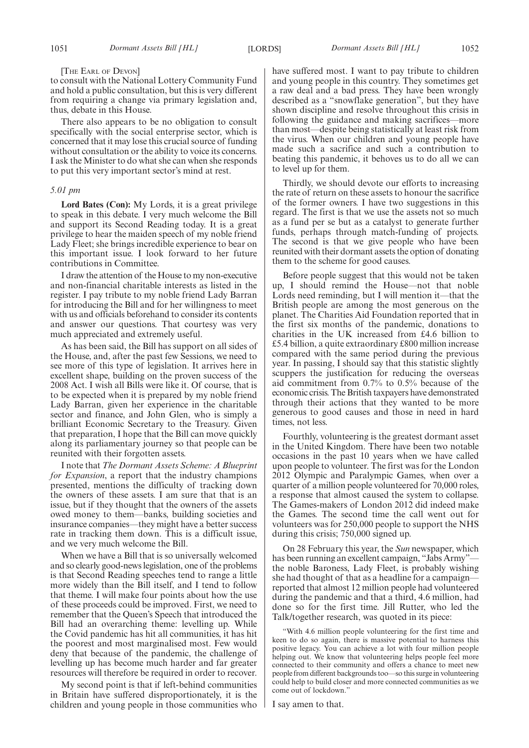#### [THE EARL OF DEVON]

to consult with the National Lottery Community Fund and hold a public consultation, but this is very different from requiring a change via primary legislation and, thus, debate in this House.

There also appears to be no obligation to consult specifically with the social enterprise sector, which is concerned that it may lose this crucial source of funding without consultation or the ability to voice its concerns. I ask the Minister to do what she can when she responds to put this very important sector's mind at rest.

#### *5.01 pm*

**Lord Bates (Con):** My Lords, it is a great privilege to speak in this debate. I very much welcome the Bill and support its Second Reading today. It is a great privilege to hear the maiden speech of my noble friend Lady Fleet; she brings incredible experience to bear on this important issue. I look forward to her future contributions in Committee.

I draw the attention of the House to my non-executive and non-financial charitable interests as listed in the register. I pay tribute to my noble friend Lady Barran for introducing the Bill and for her willingness to meet with us and officials beforehand to consider its contents and answer our questions. That courtesy was very much appreciated and extremely useful.

As has been said, the Bill has support on all sides of the House, and, after the past few Sessions, we need to see more of this type of legislation. It arrives here in excellent shape, building on the proven success of the 2008 Act. I wish all Bills were like it. Of course, that is to be expected when it is prepared by my noble friend Lady Barran, given her experience in the charitable sector and finance, and John Glen, who is simply a brilliant Economic Secretary to the Treasury. Given that preparation, I hope that the Bill can move quickly along its parliamentary journey so that people can be reunited with their forgotten assets.

I note that *The Dormant Assets Scheme: A Blueprint for Expansion*, a report that the industry champions presented, mentions the difficulty of tracking down the owners of these assets. I am sure that that is an issue, but if they thought that the owners of the assets owed money to them—banks, building societies and insurance companies—they might have a better success rate in tracking them down. This is a difficult issue, and we very much welcome the Bill.

When we have a Bill that is so universally welcomed and so clearly good-news legislation, one of the problems is that Second Reading speeches tend to range a little more widely than the Bill itself, and I tend to follow that theme. I will make four points about how the use of these proceeds could be improved. First, we need to remember that the Queen's Speech that introduced the Bill had an overarching theme: levelling up. While the Covid pandemic has hit all communities, it has hit the poorest and most marginalised most. Few would deny that because of the pandemic, the challenge of levelling up has become much harder and far greater resources will therefore be required in order to recover.

My second point is that if left-behind communities in Britain have suffered disproportionately, it is the children and young people in those communities who have suffered most. I want to pay tribute to children and young people in this country. They sometimes get a raw deal and a bad press. They have been wrongly described as a "snowflake generation", but they have shown discipline and resolve throughout this crisis in following the guidance and making sacrifices—more than most—despite being statistically at least risk from the virus. When our children and young people have made such a sacrifice and such a contribution to beating this pandemic, it behoves us to do all we can to level up for them.

Thirdly, we should devote our efforts to increasing the rate of return on these assets to honour the sacrifice of the former owners. I have two suggestions in this regard. The first is that we use the assets not so much as a fund per se but as a catalyst to generate further funds, perhaps through match-funding of projects. The second is that we give people who have been reunited with their dormant assets the option of donating them to the scheme for good causes.

Before people suggest that this would not be taken up, I should remind the House—not that noble Lords need reminding, but I will mention it—that the British people are among the most generous on the planet. The Charities Aid Foundation reported that in the first six months of the pandemic, donations to charities in the UK increased from £4.6 billion to £5.4 billion, a quite extraordinary £800 million increase compared with the same period during the previous year. In passing, I should say that this statistic slightly scuppers the justification for reducing the overseas aid commitment from 0.7% to 0.5% because of the economic crisis. The British taxpayers have demonstrated through their actions that they wanted to be more generous to good causes and those in need in hard times, not less.

Fourthly, volunteering is the greatest dormant asset in the United Kingdom. There have been two notable occasions in the past 10 years when we have called upon people to volunteer. The first was for the London 2012 Olympic and Paralympic Games, when over a quarter of a million people volunteered for 70,000 roles, a response that almost caused the system to collapse. The Games-makers of London 2012 did indeed make the Games. The second time the call went out for volunteers was for 250,000 people to support the NHS during this crisis; 750,000 signed up.

On 28 February this year, the *Sun* newspaper, which has been running an excellent campaign, "Jabs Army" the noble Baroness, Lady Fleet, is probably wishing she had thought of that as a headline for a campaign reported that almost 12 million people had volunteered during the pandemic and that a third, 4.6 million, had done so for the first time. Jill Rutter, who led the Talk/together research, was quoted in its piece:

"With 4.6 million people volunteering for the first time and keen to do so again, there is massive potential to harness this positive legacy. You can achieve a lot with four million people helping out. We know that volunteering helps people feel more connected to their community and offers a chance to meet new people from different backgrounds too—so this surge in volunteering could help to build closer and more connected communities as we come out of lockdown."

I say amen to that.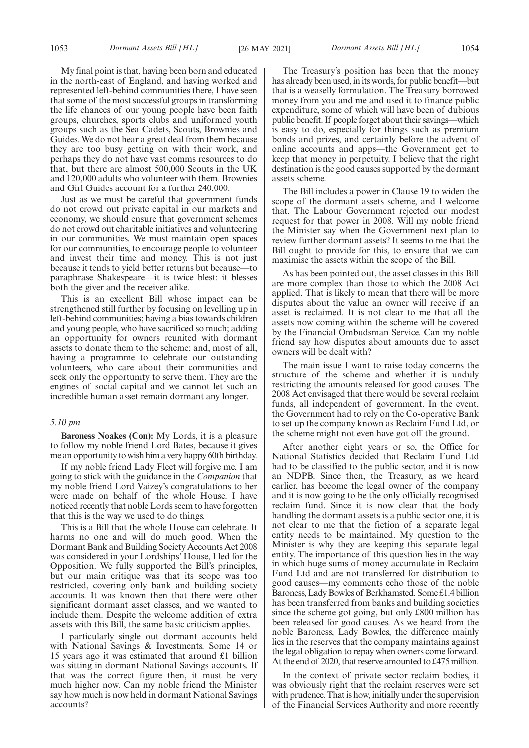My final point is that, having been born and educated in the north-east of England, and having worked and represented left-behind communities there, I have seen that some of the most successful groups in transforming the life chances of our young people have been faith groups, churches, sports clubs and uniformed youth groups such as the Sea Cadets, Scouts, Brownies and Guides. We do not hear a great deal from them because they are too busy getting on with their work, and perhaps they do not have vast comms resources to do that, but there are almost 500,000 Scouts in the UK and 120,000 adults who volunteer with them. Brownies and Girl Guides account for a further 240,000.

Just as we must be careful that government funds do not crowd out private capital in our markets and economy, we should ensure that government schemes do not crowd out charitable initiatives and volunteering in our communities. We must maintain open spaces for our communities, to encourage people to volunteer and invest their time and money. This is not just because it tends to yield better returns but because—to paraphrase Shakespeare—it is twice blest: it blesses both the giver and the receiver alike.

This is an excellent Bill whose impact can be strengthened still further by focusing on levelling up in left-behind communities; having a bias towards children and young people, who have sacrificed so much; adding an opportunity for owners reunited with dormant assets to donate them to the scheme; and, most of all, having a programme to celebrate our outstanding volunteers, who care about their communities and seek only the opportunity to serve them. They are the engines of social capital and we cannot let such an incredible human asset remain dormant any longer.

#### *5.10 pm*

**Baroness Noakes (Con):** My Lords, it is a pleasure to follow my noble friend Lord Bates, because it gives me an opportunity to wish him a very happy 60th birthday.

If my noble friend Lady Fleet will forgive me, I am going to stick with the guidance in the *Companion* that my noble friend Lord Vaizey's congratulations to her were made on behalf of the whole House. I have noticed recently that noble Lords seem to have forgotten that this is the way we used to do things.

This is a Bill that the whole House can celebrate. It harms no one and will do much good. When the Dormant Bank and Building Society Accounts Act 2008 was considered in your Lordships' House, I led for the Opposition. We fully supported the Bill's principles, but our main critique was that its scope was too restricted, covering only bank and building society accounts. It was known then that there were other significant dormant asset classes, and we wanted to include them. Despite the welcome addition of extra assets with this Bill, the same basic criticism applies.

I particularly single out dormant accounts held with National Savings & Investments. Some 14 or 15 years ago it was estimated that around £1 billion was sitting in dormant National Savings accounts. If that was the correct figure then, it must be very much higher now. Can my noble friend the Minister say how much is now held in dormant National Savings accounts?

The Treasury's position has been that the money has already been used, in its words, for public benefit—but that is a weaselly formulation. The Treasury borrowed money from you and me and used it to finance public expenditure, some of which will have been of dubious public benefit. If people forget about their savings—which is easy to do, especially for things such as premium bonds and prizes, and certainly before the advent of online accounts and apps—the Government get to keep that money in perpetuity. I believe that the right destination is the good causes supported by the dormant assets scheme.

The Bill includes a power in Clause 19 to widen the scope of the dormant assets scheme, and I welcome that. The Labour Government rejected our modest request for that power in 2008. Will my noble friend the Minister say when the Government next plan to review further dormant assets? It seems to me that the Bill ought to provide for this, to ensure that we can maximise the assets within the scope of the Bill.

As has been pointed out, the asset classes in this Bill are more complex than those to which the 2008 Act applied. That is likely to mean that there will be more disputes about the value an owner will receive if an asset is reclaimed. It is not clear to me that all the assets now coming within the scheme will be covered by the Financial Ombudsman Service. Can my noble friend say how disputes about amounts due to asset owners will be dealt with?

The main issue I want to raise today concerns the structure of the scheme and whether it is unduly restricting the amounts released for good causes. The 2008 Act envisaged that there would be several reclaim funds, all independent of government. In the event, the Government had to rely on the Co-operative Bank to set up the company known as Reclaim Fund Ltd, or the scheme might not even have got off the ground.

After another eight years or so, the Office for National Statistics decided that Reclaim Fund Ltd had to be classified to the public sector, and it is now an NDPB. Since then, the Treasury, as we heard earlier, has become the legal owner of the company and it is now going to be the only officially recognised reclaim fund. Since it is now clear that the body handling the dormant assets is a public sector one, it is not clear to me that the fiction of a separate legal entity needs to be maintained. My question to the Minister is why they are keeping this separate legal entity. The importance of this question lies in the way in which huge sums of money accumulate in Reclaim Fund Ltd and are not transferred for distribution to good causes—my comments echo those of the noble Baroness, Lady Bowles of Berkhamsted. Some £1.4 billion has been transferred from banks and building societies since the scheme got going, but only £800 million has been released for good causes. As we heard from the noble Baroness, Lady Bowles, the difference mainly lies in the reserves that the company maintains against the legal obligation to repay when owners come forward. At the end of 2020, that reserve amounted to £475 million.

In the context of private sector reclaim bodies, it was obviously right that the reclaim reserves were set with prudence. That is how, initially under the supervision of the Financial Services Authority and more recently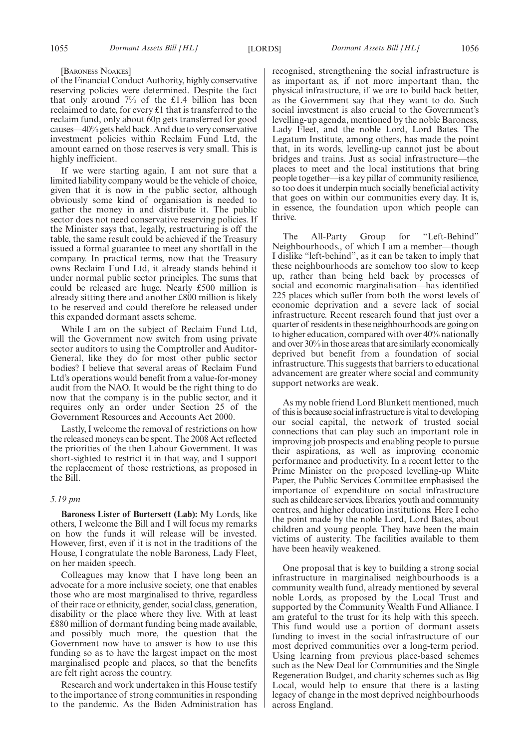#### [BARONESS NOAKES]

of the Financial Conduct Authority, highly conservative reserving policies were determined. Despite the fact that only around 7% of the £1.4 billion has been reclaimed to date, for every £1 that is transferred to the reclaim fund, only about 60p gets transferred for good causes—40% gets held back. And due to very conservative investment policies within Reclaim Fund Ltd, the amount earned on those reserves is very small. This is highly inefficient.

If we were starting again, I am not sure that a limited liability company would be the vehicle of choice, given that it is now in the public sector, although obviously some kind of organisation is needed to gather the money in and distribute it. The public sector does not need conservative reserving policies. If the Minister says that, legally, restructuring is off the table, the same result could be achieved if the Treasury issued a formal guarantee to meet any shortfall in the company. In practical terms, now that the Treasury owns Reclaim Fund Ltd, it already stands behind it under normal public sector principles. The sums that could be released are huge. Nearly £500 million is already sitting there and another £800 million is likely to be reserved and could therefore be released under this expanded dormant assets scheme.

While I am on the subject of Reclaim Fund Ltd, will the Government now switch from using private sector auditors to using the Comptroller and Auditor-General, like they do for most other public sector bodies? I believe that several areas of Reclaim Fund Ltd's operations would benefit from a value-for-money audit from the NAO. It would be the right thing to do now that the company is in the public sector, and it requires only an order under Section 25 of the Government Resources and Accounts Act 2000.

Lastly, I welcome the removal of restrictions on how the released moneys can be spent. The 2008 Act reflected the priorities of the then Labour Government. It was short-sighted to restrict it in that way, and I support the replacement of those restrictions, as proposed in the Bill.

#### *5.19 pm*

**Baroness Lister of Burtersett (Lab):** My Lords, like others, I welcome the Bill and I will focus my remarks on how the funds it will release will be invested. However, first, even if it is not in the traditions of the House, I congratulate the noble Baroness, Lady Fleet, on her maiden speech.

Colleagues may know that I have long been an advocate for a more inclusive society, one that enables those who are most marginalised to thrive, regardless of their race or ethnicity, gender, social class, generation, disability or the place where they live. With at least £880 million of dormant funding being made available, and possibly much more, the question that the Government now have to answer is how to use this funding so as to have the largest impact on the most marginalised people and places, so that the benefits are felt right across the country.

Research and work undertaken in this House testify to the importance of strong communities in responding to the pandemic. As the Biden Administration has recognised, strengthening the social infrastructure is as important as, if not more important than, the physical infrastructure, if we are to build back better, as the Government say that they want to do. Such social investment is also crucial to the Government's levelling-up agenda, mentioned by the noble Baroness, Lady Fleet, and the noble Lord, Lord Bates. The Legatum Institute, among others, has made the point that, in its words, levelling-up cannot just be about bridges and trains. Just as social infrastructure—the places to meet and the local institutions that bring people together—is a key pillar of community resilience, so too does it underpin much socially beneficial activity that goes on within our communities every day. It is, in essence, the foundation upon which people can thrive.

The All-Party Group for "Left-Behind" Neighbourhoods., of which I am a member—though I dislike "left-behind", as it can be taken to imply that these neighbourhoods are somehow too slow to keep up, rather than being held back by processes of social and economic marginalisation—has identified 225 places which suffer from both the worst levels of economic deprivation and a severe lack of social infrastructure. Recent research found that just over a quarter of residents in these neighbourhoods are going on to higher education, compared with over 40% nationally and over 30% in those areas that are similarly economically deprived but benefit from a foundation of social infrastructure. This suggests that barriers to educational advancement are greater where social and community support networks are weak.

As my noble friend Lord Blunkett mentioned, much of this is because social infrastructure is vital to developing our social capital, the network of trusted social connections that can play such an important role in improving job prospects and enabling people to pursue their aspirations, as well as improving economic performance and productivity. In a recent letter to the Prime Minister on the proposed levelling-up White Paper, the Public Services Committee emphasised the importance of expenditure on social infrastructure such as childcare services, libraries, youth and community centres, and higher education institutions. Here I echo the point made by the noble Lord, Lord Bates, about children and young people. They have been the main victims of austerity. The facilities available to them have been heavily weakened.

One proposal that is key to building a strong social infrastructure in marginalised neighbourhoods is a community wealth fund, already mentioned by several noble Lords, as proposed by the Local Trust and supported by the Community Wealth Fund Alliance. I am grateful to the trust for its help with this speech. This fund would use a portion of dormant assets funding to invest in the social infrastructure of our most deprived communities over a long-term period. Using learning from previous place-based schemes such as the New Deal for Communities and the Single Regeneration Budget, and charity schemes such as Big Local, would help to ensure that there is a lasting legacy of change in the most deprived neighbourhoods across England.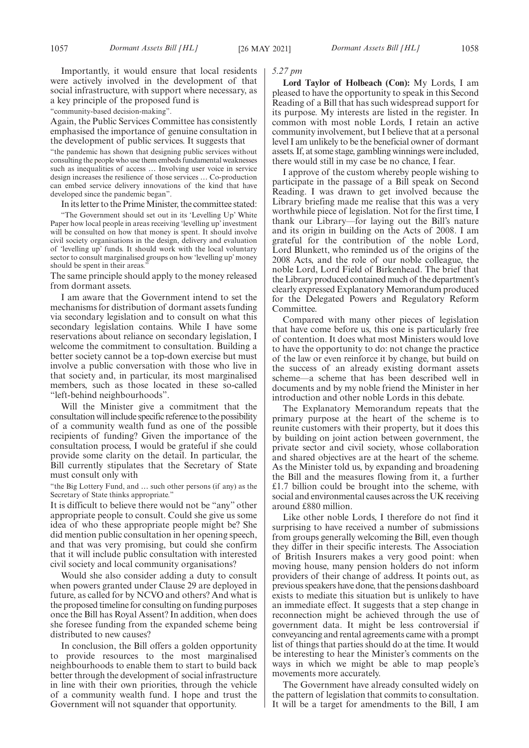Importantly, it would ensure that local residents were actively involved in the development of that social infrastructure, with support where necessary, as a key principle of the proposed fund is

"community-based decision-making".

Again, the Public Services Committee has consistently emphasised the importance of genuine consultation in the development of public services. It suggests that

"the pandemic has shown that designing public services without consulting the people who use them embeds fundamental weaknesses such as inequalities of access … Involving user voice in service design increases the resilience of those services … Co-production can embed service delivery innovations of the kind that have developed since the pandemic began".

In its letter to the Prime Minister, the committee stated:

"The Government should set out in its 'Levelling Up' White Paper how local people in areas receiving 'levelling up' investment will be consulted on how that money is spent. It should involve civil society organisations in the design, delivery and evaluation of 'levelling up' funds. It should work with the local voluntary sector to consult marginalised groups on how 'levelling up' money should be spent in their areas."

The same principle should apply to the money released from dormant assets.

I am aware that the Government intend to set the mechanisms for distribution of dormant assets funding via secondary legislation and to consult on what this secondary legislation contains. While I have some reservations about reliance on secondary legislation, I welcome the commitment to consultation. Building a better society cannot be a top-down exercise but must involve a public conversation with those who live in that society and, in particular, its most marginalised members, such as those located in these so-called "left-behind neighbourhoods".

Will the Minister give a commitment that the consultation will include specific reference to the possibility of a community wealth fund as one of the possible recipients of funding? Given the importance of the consultation process, I would be grateful if she could provide some clarity on the detail. In particular, the Bill currently stipulates that the Secretary of State must consult only with

"the Big Lottery Fund, and … such other persons (if any) as the Secretary of State thinks appropriate."

It is difficult to believe there would not be "any" other appropriate people to consult. Could she give us some idea of who these appropriate people might be? She did mention public consultation in her opening speech, and that was very promising, but could she confirm that it will include public consultation with interested civil society and local community organisations?

Would she also consider adding a duty to consult when powers granted under Clause 29 are deployed in future, as called for by NCVO and others? And what is the proposed timeline for consulting on funding purposes once the Bill has Royal Assent? In addition, when does she foresee funding from the expanded scheme being distributed to new causes?

In conclusion, the Bill offers a golden opportunity to provide resources to the most marginalised neighbourhoods to enable them to start to build back better through the development of social infrastructure in line with their own priorities, through the vehicle of a community wealth fund. I hope and trust the Government will not squander that opportunity.

#### *5.27 pm*

**Lord Taylor of Holbeach (Con):** My Lords, I am pleased to have the opportunity to speak in this Second Reading of a Bill that has such widespread support for its purpose. My interests are listed in the register. In common with most noble Lords, I retain an active community involvement, but I believe that at a personal level I am unlikely to be the beneficial owner of dormant assets. If, at some stage, gambling winnings were included, there would still in my case be no chance, I fear.

I approve of the custom whereby people wishing to participate in the passage of a Bill speak on Second Reading. I was drawn to get involved because the Library briefing made me realise that this was a very worthwhile piece of legislation. Not for the first time, I thank our Library—for laying out the Bill's nature and its origin in building on the Acts of 2008. I am grateful for the contribution of the noble Lord, Lord Blunkett, who reminded us of the origins of the 2008 Acts, and the role of our noble colleague, the noble Lord, Lord Field of Birkenhead. The brief that the Library produced contained much of the department's clearly expressed Explanatory Memorandum produced for the Delegated Powers and Regulatory Reform Committee.

Compared with many other pieces of legislation that have come before us, this one is particularly free of contention. It does what most Ministers would love to have the opportunity to do: not change the practice of the law or even reinforce it by change, but build on the success of an already existing dormant assets scheme—a scheme that has been described well in documents and by my noble friend the Minister in her introduction and other noble Lords in this debate.

The Explanatory Memorandum repeats that the primary purpose at the heart of the scheme is to reunite customers with their property, but it does this by building on joint action between government, the private sector and civil society, whose collaboration and shared objectives are at the heart of the scheme. As the Minister told us, by expanding and broadening the Bill and the measures flowing from it, a further £1.7 billion could be brought into the scheme, with social and environmental causes across the UK receiving around £880 million.

Like other noble Lords, I therefore do not find it surprising to have received a number of submissions from groups generally welcoming the Bill, even though they differ in their specific interests. The Association of British Insurers makes a very good point: when moving house, many pension holders do not inform providers of their change of address. It points out, as previous speakers have done, that the pensions dashboard exists to mediate this situation but is unlikely to have an immediate effect. It suggests that a step change in reconnection might be achieved through the use of government data. It might be less controversial if conveyancing and rental agreements came with a prompt list of things that parties should do at the time. It would be interesting to hear the Minister's comments on the ways in which we might be able to map people's movements more accurately.

The Government have already consulted widely on the pattern of legislation that commits to consultation. It will be a target for amendments to the Bill, I am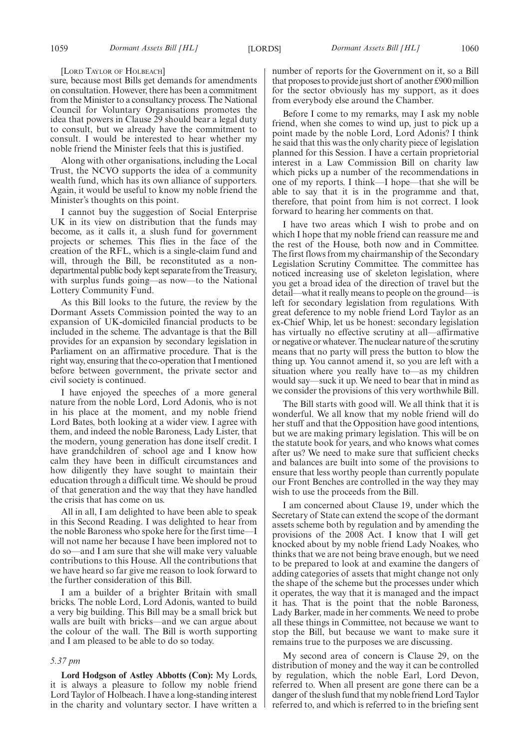[LORD TAYLOR OF HOLBEACH]

sure, because most Bills get demands for amendments on consultation. However, there has been a commitment from the Minister to a consultancy process. The National Council for Voluntary Organisations promotes the idea that powers in Clause 29 should bear a legal duty to consult, but we already have the commitment to consult. I would be interested to hear whether my noble friend the Minister feels that this is justified.

Along with other organisations, including the Local Trust, the NCVO supports the idea of a community wealth fund, which has its own alliance of supporters. Again, it would be useful to know my noble friend the Minister's thoughts on this point.

I cannot buy the suggestion of Social Enterprise UK in its view on distribution that the funds may become, as it calls it, a slush fund for government projects or schemes. This flies in the face of the creation of the RFL, which is a single-claim fund and will, through the Bill, be reconstituted as a nondepartmental public body kept separate from the Treasury, with surplus funds going—as now—to the National Lottery Community Fund.

As this Bill looks to the future, the review by the Dormant Assets Commission pointed the way to an expansion of UK-domiciled financial products to be included in the scheme. The advantage is that the Bill provides for an expansion by secondary legislation in Parliament on an affirmative procedure. That is the right way, ensuring that the co-operation that I mentioned before between government, the private sector and civil society is continued.

I have enjoyed the speeches of a more general nature from the noble Lord, Lord Adonis, who is not in his place at the moment, and my noble friend Lord Bates, both looking at a wider view. I agree with them, and indeed the noble Baroness, Lady Lister, that the modern, young generation has done itself credit. I have grandchildren of school age and I know how calm they have been in difficult circumstances and how diligently they have sought to maintain their education through a difficult time. We should be proud of that generation and the way that they have handled the crisis that has come on us.

All in all, I am delighted to have been able to speak in this Second Reading. I was delighted to hear from the noble Baroness who spoke here for the first time—I will not name her because I have been implored not to do so—and I am sure that she will make very valuable contributions to this House. All the contributions that we have heard so far give me reason to look forward to the further consideration of this Bill.

I am a builder of a brighter Britain with small bricks. The noble Lord, Lord Adonis, wanted to build a very big building. This Bill may be a small brick but walls are built with bricks—and we can argue about the colour of the wall. The Bill is worth supporting and I am pleased to be able to do so today.

#### *5.37 pm*

**Lord Hodgson of Astley Abbotts (Con):** My Lords, it is always a pleasure to follow my noble friend Lord Taylor of Holbeach. I have a long-standing interest in the charity and voluntary sector. I have written a number of reports for the Government on it, so a Bill that proposes to provide just short of another £900 million for the sector obviously has my support, as it does from everybody else around the Chamber.

Before I come to my remarks, may I ask my noble friend, when she comes to wind up, just to pick up a point made by the noble Lord, Lord Adonis? I think he said that this was the only charity piece of legislation planned for this Session. I have a certain proprietorial interest in a Law Commission Bill on charity law which picks up a number of the recommendations in one of my reports. I think—I hope—that she will be able to say that it is in the programme and that, therefore, that point from him is not correct. I look forward to hearing her comments on that.

I have two areas which I wish to probe and on which I hope that my noble friend can reassure me and the rest of the House, both now and in Committee. The first flows from my chairmanship of the Secondary Legislation Scrutiny Committee. The committee has noticed increasing use of skeleton legislation, where you get a broad idea of the direction of travel but the detail—what it really means to people on the ground—is left for secondary legislation from regulations. With great deference to my noble friend Lord Taylor as an ex-Chief Whip, let us be honest: secondary legislation has virtually no effective scrutiny at all—affirmative or negative or whatever. The nuclear nature of the scrutiny means that no party will press the button to blow the thing up. You cannot amend it, so you are left with a situation where you really have to—as my children would say—suck it up. We need to bear that in mind as we consider the provisions of this very worthwhile Bill.

The Bill starts with good will. We all think that it is wonderful. We all know that my noble friend will do her stuff and that the Opposition have good intentions, but we are making primary legislation. This will be on the statute book for years, and who knows what comes after us? We need to make sure that sufficient checks and balances are built into some of the provisions to ensure that less worthy people than currently populate our Front Benches are controlled in the way they may wish to use the proceeds from the Bill.

I am concerned about Clause 19, under which the Secretary of State can extend the scope of the dormant assets scheme both by regulation and by amending the provisions of the 2008 Act. I know that I will get knocked about by my noble friend Lady Noakes, who thinks that we are not being brave enough, but we need to be prepared to look at and examine the dangers of adding categories of assets that might change not only the shape of the scheme but the processes under which it operates, the way that it is managed and the impact it has. That is the point that the noble Baroness, Lady Barker, made in her comments. We need to probe all these things in Committee, not because we want to stop the Bill, but because we want to make sure it remains true to the purposes we are discussing.

My second area of concern is Clause 29, on the distribution of money and the way it can be controlled by regulation, which the noble Earl, Lord Devon, referred to. When all present are gone there can be a danger of the slush fund that my noble friend Lord Taylor referred to, and which is referred to in the briefing sent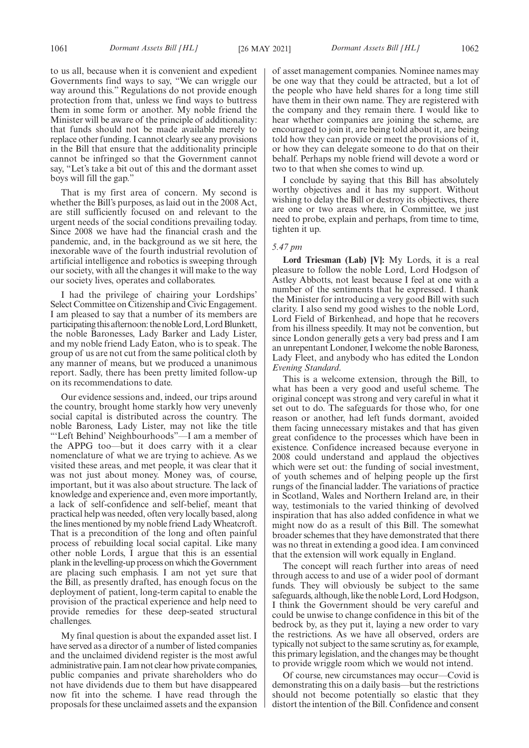to us all, because when it is convenient and expedient Governments find ways to say, "We can wriggle our way around this." Regulations do not provide enough protection from that, unless we find ways to buttress them in some form or another. My noble friend the Minister will be aware of the principle of additionality: that funds should not be made available merely to replace other funding. I cannot clearly see any provisions in the Bill that ensure that the additionality principle cannot be infringed so that the Government cannot say, "Let's take a bit out of this and the dormant asset boys will fill the gap."

That is my first area of concern. My second is whether the Bill's purposes, as laid out in the 2008 Act, are still sufficiently focused on and relevant to the urgent needs of the social conditions prevailing today. Since 2008 we have had the financial crash and the pandemic, and, in the background as we sit here, the inexorable wave of the fourth industrial revolution of artificial intelligence and robotics is sweeping through our society, with all the changes it will make to the way our society lives, operates and collaborates.

I had the privilege of chairing your Lordships' Select Committee on Citizenship and Civic Engagement. I am pleased to say that a number of its members are participating this afternoon: the noble Lord, Lord Blunkett, the noble Baronesses, Lady Barker and Lady Lister, and my noble friend Lady Eaton, who is to speak. The group of us are not cut from the same political cloth by any manner of means, but we produced a unanimous report. Sadly, there has been pretty limited follow-up on its recommendations to date.

Our evidence sessions and, indeed, our trips around the country, brought home starkly how very unevenly social capital is distributed across the country. The noble Baroness, Lady Lister, may not like the title "'Left Behind' Neighbourhoods"—I am a member of the APPG too—but it does carry with it a clear nomenclature of what we are trying to achieve. As we visited these areas, and met people, it was clear that it was not just about money. Money was, of course, important, but it was also about structure. The lack of knowledge and experience and, even more importantly, a lack of self-confidence and self-belief, meant that practical help was needed, often very locally based, along the lines mentioned by my noble friend Lady Wheatcroft. That is a precondition of the long and often painful process of rebuilding local social capital. Like many other noble Lords, I argue that this is an essential plank in the levelling-up process on which the Government are placing such emphasis. I am not yet sure that the Bill, as presently drafted, has enough focus on the deployment of patient, long-term capital to enable the provision of the practical experience and help need to provide remedies for these deep-seated structural challenges.

My final question is about the expanded asset list. I have served as a director of a number of listed companies and the unclaimed dividend register is the most awful administrative pain. I am not clear how private companies, public companies and private shareholders who do not have dividends due to them but have disappeared now fit into the scheme. I have read through the proposals for these unclaimed assets and the expansion of asset management companies. Nominee names may be one way that they could be attracted, but a lot of the people who have held shares for a long time still have them in their own name. They are registered with the company and they remain there. I would like to hear whether companies are joining the scheme, are encouraged to join it, are being told about it, are being told how they can provide or meet the provisions of it, or how they can delegate someone to do that on their behalf. Perhaps my noble friend will devote a word or two to that when she comes to wind up.

I conclude by saying that this Bill has absolutely worthy objectives and it has my support. Without wishing to delay the Bill or destroy its objectives, there are one or two areas where, in Committee, we just need to probe, explain and perhaps, from time to time, tighten it up.

## *5.47 pm*

**Lord Triesman (Lab) [V]:** My Lords, it is a real pleasure to follow the noble Lord, Lord Hodgson of Astley Abbotts, not least because I feel at one with a number of the sentiments that he expressed. I thank the Minister for introducing a very good Bill with such clarity. I also send my good wishes to the noble Lord, Lord Field of Birkenhead, and hope that he recovers from his illness speedily. It may not be convention, but since London generally gets a very bad press and I am an unrepentant Londoner, I welcome the noble Baroness, Lady Fleet, and anybody who has edited the London *Evening Standard*.

This is a welcome extension, through the Bill, to what has been a very good and useful scheme. The original concept was strong and very careful in what it set out to do. The safeguards for those who, for one reason or another, had left funds dormant, avoided them facing unnecessary mistakes and that has given great confidence to the processes which have been in existence. Confidence increased because everyone in 2008 could understand and applaud the objectives which were set out: the funding of social investment, of youth schemes and of helping people up the first rungs of the financial ladder. The variations of practice in Scotland, Wales and Northern Ireland are, in their way, testimonials to the varied thinking of devolved inspiration that has also added confidence in what we might now do as a result of this Bill. The somewhat broader schemes that they have demonstrated that there was no threat in extending a good idea. I am convinced that the extension will work equally in England.

The concept will reach further into areas of need through access to and use of a wider pool of dormant funds. They will obviously be subject to the same safeguards, although, like the noble Lord, Lord Hodgson, I think the Government should be very careful and could be unwise to change confidence in this bit of the bedrock by, as they put it, laying a new order to vary the restrictions. As we have all observed, orders are typically not subject to the same scrutiny as, for example, this primary legislation, and the changes may be thought to provide wriggle room which we would not intend.

Of course, new circumstances may occur—Covid is demonstrating this on a daily basis—but the restrictions should not become potentially so elastic that they distort the intention of the Bill. Confidence and consent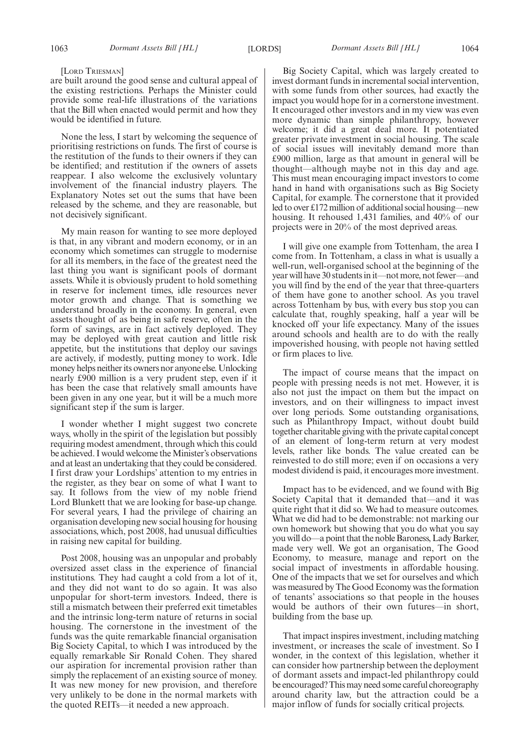#### [LORD TRIESMAN]

are built around the good sense and cultural appeal of the existing restrictions. Perhaps the Minister could provide some real-life illustrations of the variations that the Bill when enacted would permit and how they would be identified in future.

None the less, I start by welcoming the sequence of prioritising restrictions on funds. The first of course is the restitution of the funds to their owners if they can be identified; and restitution if the owners of assets reappear. I also welcome the exclusively voluntary involvement of the financial industry players. The Explanatory Notes set out the sums that have been released by the scheme, and they are reasonable, but not decisively significant.

My main reason for wanting to see more deployed is that, in any vibrant and modern economy, or in an economy which sometimes can struggle to modernise for all its members, in the face of the greatest need the last thing you want is significant pools of dormant assets. While it is obviously prudent to hold something in reserve for inclement times, idle resources never motor growth and change. That is something we understand broadly in the economy. In general, even assets thought of as being in safe reserve, often in the form of savings, are in fact actively deployed. They may be deployed with great caution and little risk appetite, but the institutions that deploy our savings are actively, if modestly, putting money to work. Idle money helps neither its owners nor anyone else. Unlocking nearly £900 million is a very prudent step, even if it has been the case that relatively small amounts have been given in any one year, but it will be a much more significant step if the sum is larger.

I wonder whether I might suggest two concrete ways, wholly in the spirit of the legislation but possibly requiring modest amendment, through which this could be achieved. I would welcome the Minister's observations and at least an undertaking that they could be considered. I first draw your Lordships' attention to my entries in the register, as they bear on some of what I want to say. It follows from the view of my noble friend Lord Blunkett that we are looking for base-up change. For several years, I had the privilege of chairing an organisation developing new social housing for housing associations, which, post 2008, had unusual difficulties in raising new capital for building.

Post 2008, housing was an unpopular and probably oversized asset class in the experience of financial institutions. They had caught a cold from a lot of it, and they did not want to do so again. It was also unpopular for short-term investors. Indeed, there is still a mismatch between their preferred exit timetables and the intrinsic long-term nature of returns in social housing. The cornerstone in the investment of the funds was the quite remarkable financial organisation Big Society Capital, to which I was introduced by the equally remarkable Sir Ronald Cohen. They shared our aspiration for incremental provision rather than simply the replacement of an existing source of money. It was new money for new provision, and therefore very unlikely to be done in the normal markets with the quoted REITs—it needed a new approach.

Big Society Capital, which was largely created to invest dormant funds in incremental social intervention, with some funds from other sources, had exactly the impact you would hope for in a cornerstone investment. It encouraged other investors and in my view was even more dynamic than simple philanthropy, however welcome; it did a great deal more. It potentiated greater private investment in social housing. The scale of social issues will inevitably demand more than £900 million, large as that amount in general will be thought—although maybe not in this day and age. This must mean encouraging impact investors to come hand in hand with organisations such as Big Society Capital, for example. The cornerstone that it provided led to over £172 million of additional social housing—new housing. It rehoused 1,431 families, and 40% of our projects were in 20% of the most deprived areas.

I will give one example from Tottenham, the area I come from. In Tottenham, a class in what is usually a well-run, well-organised school at the beginning of the year will have 30 students in it—not more, not fewer—and you will find by the end of the year that three-quarters of them have gone to another school. As you travel across Tottenham by bus, with every bus stop you can calculate that, roughly speaking, half a year will be knocked off your life expectancy. Many of the issues around schools and health are to do with the really impoverished housing, with people not having settled or firm places to live.

The impact of course means that the impact on people with pressing needs is not met. However, it is also not just the impact on them but the impact on investors, and on their willingness to impact invest over long periods. Some outstanding organisations, such as Philanthropy Impact, without doubt build together charitable giving with the private capital concept of an element of long-term return at very modest levels, rather like bonds. The value created can be reinvested to do still more; even if on occasions a very modest dividend is paid, it encourages more investment.

Impact has to be evidenced, and we found with Big Society Capital that it demanded that—and it was quite right that it did so. We had to measure outcomes. What we did had to be demonstrable: not marking our own homework but showing that you do what you say you will do—a point that the noble Baroness, Lady Barker, made very well. We got an organisation, The Good Economy, to measure, manage and report on the social impact of investments in affordable housing. One of the impacts that we set for ourselves and which was measured by The Good Economy was the formation of tenants' associations so that people in the houses would be authors of their own futures—in short, building from the base up.

That impact inspires investment, including matching investment, or increases the scale of investment. So I wonder, in the context of this legislation, whether it can consider how partnership between the deployment of dormant assets and impact-led philanthropy could be encouraged? This may need some careful choreography around charity law, but the attraction could be a major inflow of funds for socially critical projects.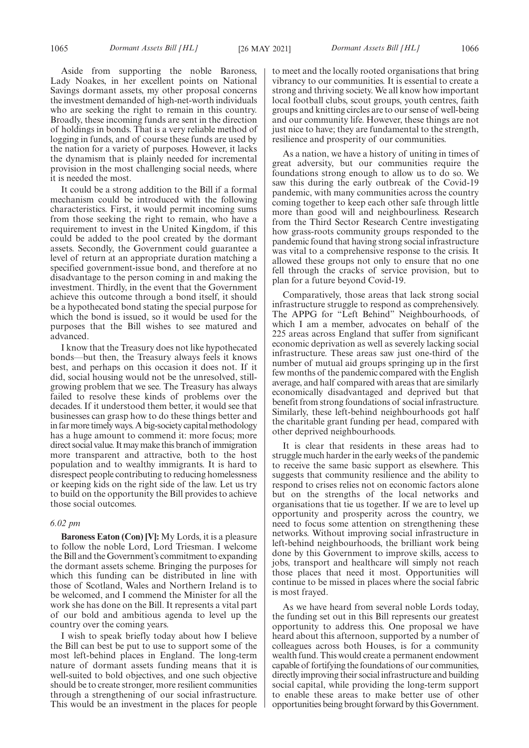Aside from supporting the noble Baroness, Lady Noakes, in her excellent points on National Savings dormant assets, my other proposal concerns the investment demanded of high-net-worth individuals who are seeking the right to remain in this country. Broadly, these incoming funds are sent in the direction of holdings in bonds. That is a very reliable method of logging in funds, and of course these funds are used by the nation for a variety of purposes. However, it lacks the dynamism that is plainly needed for incremental provision in the most challenging social needs, where it is needed the most.

It could be a strong addition to the Bill if a formal mechanism could be introduced with the following characteristics. First, it would permit incoming sums from those seeking the right to remain, who have a requirement to invest in the United Kingdom, if this could be added to the pool created by the dormant assets. Secondly, the Government could guarantee a level of return at an appropriate duration matching a specified government-issue bond, and therefore at no disadvantage to the person coming in and making the investment. Thirdly, in the event that the Government achieve this outcome through a bond itself, it should be a hypothecated bond stating the special purpose for which the bond is issued, so it would be used for the purposes that the Bill wishes to see matured and advanced.

I know that the Treasury does not like hypothecated bonds—but then, the Treasury always feels it knows best, and perhaps on this occasion it does not. If it did, social housing would not be the unresolved, stillgrowing problem that we see. The Treasury has always failed to resolve these kinds of problems over the decades. If it understood them better, it would see that businesses can grasp how to do these things better and in far more timely ways. A big-society capital methodology has a huge amount to commend it: more focus; more direct social value. It may make this branch of immigration more transparent and attractive, both to the host population and to wealthy immigrants. It is hard to disrespect people contributing to reducing homelessness or keeping kids on the right side of the law. Let us try to build on the opportunity the Bill provides to achieve those social outcomes.

#### *6.02 pm*

**Baroness Eaton (Con) [V]:** My Lords, it is a pleasure to follow the noble Lord, Lord Triesman. I welcome the Bill and the Government's commitment to expanding the dormant assets scheme. Bringing the purposes for which this funding can be distributed in line with those of Scotland, Wales and Northern Ireland is to be welcomed, and I commend the Minister for all the work she has done on the Bill. It represents a vital part of our bold and ambitious agenda to level up the country over the coming years.

I wish to speak briefly today about how I believe the Bill can best be put to use to support some of the most left-behind places in England. The long-term nature of dormant assets funding means that it is well-suited to bold objectives, and one such objective should be to create stronger, more resilient communities through a strengthening of our social infrastructure. This would be an investment in the places for people to meet and the locally rooted organisations that bring vibrancy to our communities. It is essential to create a strong and thriving society. We all know how important local football clubs, scout groups, youth centres, faith groups and knitting circles are to our sense of well-being and our community life. However, these things are not just nice to have; they are fundamental to the strength, resilience and prosperity of our communities.

As a nation, we have a history of uniting in times of great adversity, but our communities require the foundations strong enough to allow us to do so. We saw this during the early outbreak of the Covid-19 pandemic, with many communities across the country coming together to keep each other safe through little more than good will and neighbourliness. Research from the Third Sector Research Centre investigating how grass-roots community groups responded to the pandemic found that having strong social infrastructure was vital to a comprehensive response to the crisis. It allowed these groups not only to ensure that no one fell through the cracks of service provision, but to plan for a future beyond Covid-19.

Comparatively, those areas that lack strong social infrastructure struggle to respond as comprehensively. The APPG for "Left Behind" Neighbourhoods, of which I am a member, advocates on behalf of the 225 areas across England that suffer from significant economic deprivation as well as severely lacking social infrastructure. These areas saw just one-third of the number of mutual aid groups springing up in the first few months of the pandemic compared with the English average, and half compared with areas that are similarly economically disadvantaged and deprived but that benefit from strong foundations of social infrastructure. Similarly, these left-behind neighbourhoods got half the charitable grant funding per head, compared with other deprived neighbourhoods.

It is clear that residents in these areas had to struggle much harder in the early weeks of the pandemic to receive the same basic support as elsewhere. This suggests that community resilience and the ability to respond to crises relies not on economic factors alone but on the strengths of the local networks and organisations that tie us together. If we are to level up opportunity and prosperity across the country, we need to focus some attention on strengthening these networks. Without improving social infrastructure in left-behind neighbourhoods, the brilliant work being done by this Government to improve skills, access to jobs, transport and healthcare will simply not reach those places that need it most. Opportunities will continue to be missed in places where the social fabric is most frayed.

As we have heard from several noble Lords today, the funding set out in this Bill represents our greatest opportunity to address this. One proposal we have heard about this afternoon, supported by a number of colleagues across both Houses, is for a community wealth fund. This would create a permanent endowment capable of fortifying the foundations of our communities, directly improving their social infrastructure and building social capital, while providing the long-term support to enable these areas to make better use of other opportunities being brought forward by this Government.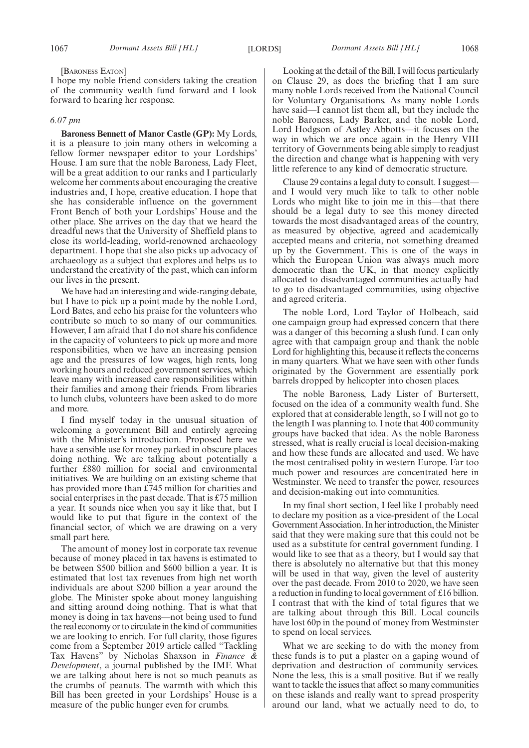#### [BARONESS EATON]

I hope my noble friend considers taking the creation of the community wealth fund forward and I look forward to hearing her response.

#### *6.07 pm*

**Baroness Bennett of Manor Castle (GP):** My Lords, it is a pleasure to join many others in welcoming a fellow former newspaper editor to your Lordships' House. I am sure that the noble Baroness, Lady Fleet, will be a great addition to our ranks and I particularly welcome her comments about encouraging the creative industries and, I hope, creative education. I hope that she has considerable influence on the government Front Bench of both your Lordships' House and the other place. She arrives on the day that we heard the dreadful news that the University of Sheffield plans to close its world-leading, world-renowned archaeology department. I hope that she also picks up advocacy of archaeology as a subject that explores and helps us to understand the creativity of the past, which can inform our lives in the present.

We have had an interesting and wide-ranging debate, but I have to pick up a point made by the noble Lord, Lord Bates, and echo his praise for the volunteers who contribute so much to so many of our communities. However, I am afraid that I do not share his confidence in the capacity of volunteers to pick up more and more responsibilities, when we have an increasing pension age and the pressures of low wages, high rents, long working hours and reduced government services, which leave many with increased care responsibilities within their families and among their friends. From libraries to lunch clubs, volunteers have been asked to do more and more.

I find myself today in the unusual situation of welcoming a government Bill and entirely agreeing with the Minister's introduction. Proposed here we have a sensible use for money parked in obscure places doing nothing. We are talking about potentially a further £880 million for social and environmental initiatives. We are building on an existing scheme that has provided more than £745 million for charities and social enterprises in the past decade. That is £75 million a year. It sounds nice when you say it like that, but I would like to put that figure in the context of the financial sector, of which we are drawing on a very small part here.

The amount of money lost in corporate tax revenue because of money placed in tax havens is estimated to be between \$500 billion and \$600 billion a year. It is estimated that lost tax revenues from high net worth individuals are about \$200 billion a year around the globe. The Minister spoke about money languishing and sitting around doing nothing. That is what that money is doing in tax havens—not being used to fund the real economy or to circulate in the kind of communities we are looking to enrich. For full clarity, those figures come from a September 2019 article called "Tackling Tax Havens" by Nicholas Shaxson in *Finance & Development*, a journal published by the IMF. What we are talking about here is not so much peanuts as the crumbs of peanuts. The warmth with which this Bill has been greeted in your Lordships' House is a measure of the public hunger even for crumbs.

Looking at the detail of the Bill, I will focus particularly on Clause 29, as does the briefing that I am sure many noble Lords received from the National Council for Voluntary Organisations. As many noble Lords have said—I cannot list them all, but they include the noble Baroness, Lady Barker, and the noble Lord, Lord Hodgson of Astley Abbotts—it focuses on the way in which we are once again in the Henry VIII territory of Governments being able simply to readjust the direction and change what is happening with very little reference to any kind of democratic structure.

Clause 29 contains a legal duty to consult. I suggest and I would very much like to talk to other noble Lords who might like to join me in this—that there should be a legal duty to see this money directed towards the most disadvantaged areas of the country, as measured by objective, agreed and academically accepted means and criteria, not something dreamed up by the Government. This is one of the ways in which the European Union was always much more democratic than the UK, in that money explicitly allocated to disadvantaged communities actually had to go to disadvantaged communities, using objective and agreed criteria.

The noble Lord, Lord Taylor of Holbeach, said one campaign group had expressed concern that there was a danger of this becoming a slush fund. I can only agree with that campaign group and thank the noble Lord for highlighting this, because it reflects the concerns in many quarters. What we have seen with other funds originated by the Government are essentially pork barrels dropped by helicopter into chosen places.

The noble Baroness, Lady Lister of Burtersett, focused on the idea of a community wealth fund. She explored that at considerable length, so I will not go to the length I was planning to. I note that 400 community groups have backed that idea. As the noble Baroness stressed, what is really crucial is local decision-making and how these funds are allocated and used. We have the most centralised polity in western Europe. Far too much power and resources are concentrated here in Westminster. We need to transfer the power, resources and decision-making out into communities.

In my final short section, I feel like I probably need to declare my position as a vice-president of the Local Government Association. In her introduction, the Minister said that they were making sure that this could not be used as a substitute for central government funding. I would like to see that as a theory, but I would say that there is absolutely no alternative but that this money will be used in that way, given the level of austerity over the past decade. From 2010 to 2020, we have seen a reduction in funding to local government of £16 billion. I contrast that with the kind of total figures that we are talking about through this Bill. Local councils have lost 60p in the pound of money from Westminster to spend on local services.

What we are seeking to do with the money from these funds is to put a plaster on a gaping wound of deprivation and destruction of community services. None the less, this is a small positive. But if we really want to tackle the issues that affect so many communities on these islands and really want to spread prosperity around our land, what we actually need to do, to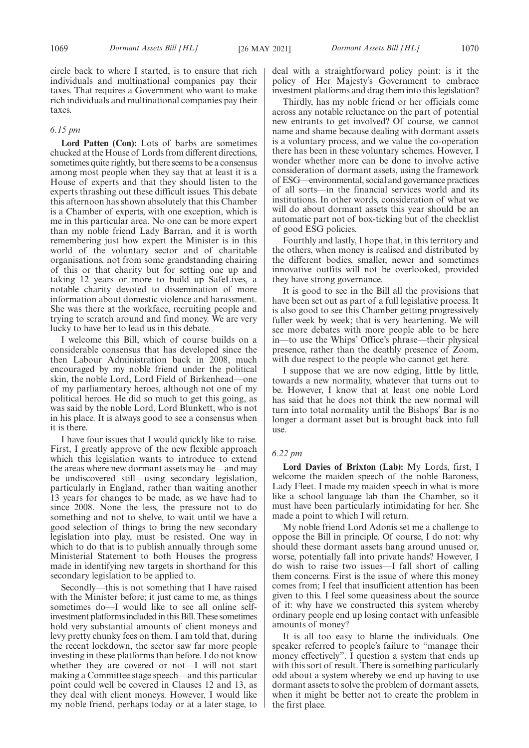circle back to where I started, is to ensure that rich individuals and multinational companies pay their taxes. That requires a Government who want to make rich individuals and multinational companies pay their taxes.

#### *6.15 pm*

**Lord Patten (Con):** Lots of barbs are sometimes chucked at the House of Lords from different directions, sometimes quite rightly, but there seems to be a consensus among most people when they say that at least it is a House of experts and that they should listen to the experts thrashing out these difficult issues. This debate this afternoon has shown absolutely that this Chamber is a Chamber of experts, with one exception, which is me in this particular area. No one can be more expert than my noble friend Lady Barran, and it is worth remembering just how expert the Minister is in this world of the voluntary sector and of charitable organisations, not from some grandstanding chairing of this or that charity but for setting one up and taking 12 years or more to build up SafeLives, a notable charity devoted to dissemination of more information about domestic violence and harassment. She was there at the workface, recruiting people and trying to scratch around and find money. We are very lucky to have her to lead us in this debate.

I welcome this Bill, which of course builds on a considerable consensus that has developed since the then Labour Administration back in 2008, much encouraged by my noble friend under the political skin, the noble Lord, Lord Field of Birkenhead—one of my parliamentary heroes, although not one of my political heroes. He did so much to get this going, as was said by the noble Lord, Lord Blunkett, who is not in his place. It is always good to see a consensus when it is there.

I have four issues that I would quickly like to raise. First, I greatly approve of the new flexible approach which this legislation wants to introduce to extend the areas where new dormant assets may lie—and may be undiscovered still—using secondary legislation, particularly in England, rather than waiting another 13 years for changes to be made, as we have had to since 2008. None the less, the pressure not to do something and not to shelve, to wait until we have a good selection of things to bring the new secondary legislation into play, must be resisted. One way in which to do that is to publish annually through some Ministerial Statement to both Houses the progress made in identifying new targets in shorthand for this secondary legislation to be applied to.

Secondly—this is not something that I have raised with the Minister before; it just came to me, as things sometimes do—I would like to see all online selfinvestment platforms included in this Bill. These sometimes hold very substantial amounts of client moneys and levy pretty chunky fees on them. I am told that, during the recent lockdown, the sector saw far more people investing in these platforms than before. I do not know whether they are covered or not—I will not start making a Committee stage speech—and this particular point could well be covered in Clauses 12 and 13, as they deal with client moneys. However, I would like my noble friend, perhaps today or at a later stage, to deal with a straightforward policy point: is it the policy of Her Majesty's Government to embrace investment platforms and drag them into this legislation?

Thirdly, has my noble friend or her officials come across any notable reluctance on the part of potential new entrants to get involved? Of course, we cannot name and shame because dealing with dormant assets is a voluntary process, and we value the co-operation there has been in these voluntary schemes. However, I wonder whether more can be done to involve active consideration of dormant assets, using the framework of ESG—environmental, social and governance practices of all sorts—in the financial services world and its institutions. In other words, consideration of what we will do about dormant assets this year should be an automatic part not of box-ticking but of the checklist of good ESG policies.

Fourthly and lastly, I hope that, in this territory and the others, when money is realised and distributed by the different bodies, smaller, newer and sometimes innovative outfits will not be overlooked, provided they have strong governance.

It is good to see in the Bill all the provisions that have been set out as part of a full legislative process. It is also good to see this Chamber getting progressively fuller week by week; that is very heartening. We will see more debates with more people able to be here in—to use the Whips' Office's phrase—their physical presence, rather than the deathly presence of Zoom, with due respect to the people who cannot get here.

I suppose that we are now edging, little by little, towards a new normality, whatever that turns out to be. However, I know that at least one noble Lord has said that he does not think the new normal will turn into total normality until the Bishops' Bar is no longer a dormant asset but is brought back into full use.

#### *6.22 pm*

**Lord Davies of Brixton (Lab):** My Lords, first, I welcome the maiden speech of the noble Baroness, Lady Fleet. I made my maiden speech in what is more like a school language lab than the Chamber, so it must have been particularly intimidating for her. She made a point to which I will return.

My noble friend Lord Adonis set me a challenge to oppose the Bill in principle. Of course, I do not: why should these dormant assets hang around unused or, worse, potentially fall into private hands? However, I do wish to raise two issues—I fall short of calling them concerns. First is the issue of where this money comes from; I feel that insufficient attention has been given to this. I feel some queasiness about the source of it: why have we constructed this system whereby ordinary people end up losing contact with unfeasible amounts of money?

It is all too easy to blame the individuals. One speaker referred to people's failure to "manage their money effectively". I question a system that ends up with this sort of result. There is something particularly odd about a system whereby we end up having to use dormant assets to solve the problem of dormant assets, when it might be better not to create the problem in the first place.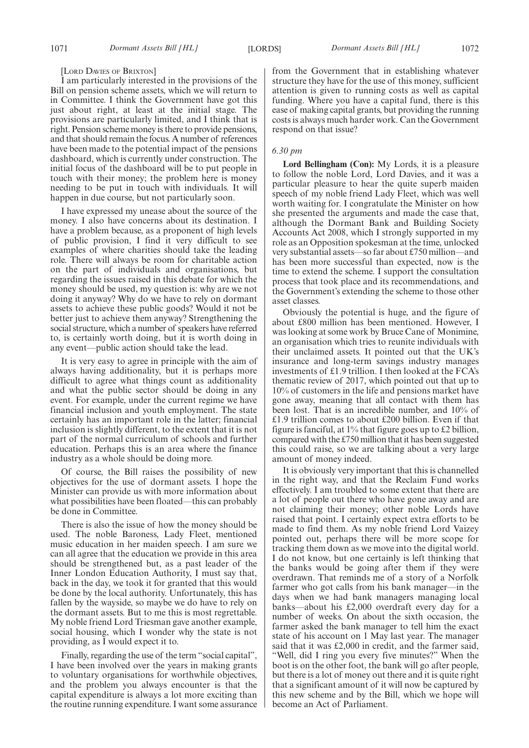[LORD DAVIES OF BRIXTON]

I am particularly interested in the provisions of the Bill on pension scheme assets, which we will return to in Committee. I think the Government have got this just about right, at least at the initial stage. The provisions are particularly limited, and I think that is right. Pension scheme money is there to provide pensions, and that should remain the focus. A number of references have been made to the potential impact of the pensions dashboard, which is currently under construction. The initial focus of the dashboard will be to put people in touch with their money; the problem here is money needing to be put in touch with individuals. It will happen in due course, but not particularly soon.

I have expressed my unease about the source of the money. I also have concerns about its destination. I have a problem because, as a proponent of high levels of public provision, I find it very difficult to see examples of where charities should take the leading role. There will always be room for charitable action on the part of individuals and organisations, but regarding the issues raised in this debate for which the money should be used, my question is: why are we not doing it anyway? Why do we have to rely on dormant assets to achieve these public goods? Would it not be better just to achieve them anyway? Strengthening the social structure, which a number of speakers have referred to, is certainly worth doing, but it is worth doing in any event—public action should take the lead.

It is very easy to agree in principle with the aim of always having additionality, but it is perhaps more difficult to agree what things count as additionality and what the public sector should be doing in any event. For example, under the current regime we have financial inclusion and youth employment. The state certainly has an important role in the latter; financial inclusion is slightly different, to the extent that it is not part of the normal curriculum of schools and further education. Perhaps this is an area where the finance industry as a whole should be doing more.

Of course, the Bill raises the possibility of new objectives for the use of dormant assets. I hope the Minister can provide us with more information about what possibilities have been floated—this can probably be done in Committee.

There is also the issue of how the money should be used. The noble Baroness, Lady Fleet, mentioned music education in her maiden speech. I am sure we can all agree that the education we provide in this area should be strengthened but, as a past leader of the Inner London Education Authority, I must say that, back in the day, we took it for granted that this would be done by the local authority. Unfortunately, this has fallen by the wayside, so maybe we do have to rely on the dormant assets. But to me this is most regrettable. My noble friend Lord Triesman gave another example, social housing, which I wonder why the state is not providing, as I would expect it to.

Finally, regarding the use of the term "social capital", I have been involved over the years in making grants to voluntary organisations for worthwhile objectives, and the problem you always encounter is that the capital expenditure is always a lot more exciting than the routine running expenditure. I want some assurance from the Government that in establishing whatever structure they have for the use of this money, sufficient attention is given to running costs as well as capital funding. Where you have a capital fund, there is this ease of making capital grants, but providing the running costs is always much harder work. Can the Government respond on that issue?

#### *6.30 pm*

**Lord Bellingham (Con):** My Lords, it is a pleasure to follow the noble Lord, Lord Davies, and it was a particular pleasure to hear the quite superb maiden speech of my noble friend Lady Fleet, which was well worth waiting for. I congratulate the Minister on how she presented the arguments and made the case that, although the Dormant Bank and Building Society Accounts Act 2008, which I strongly supported in my role as an Opposition spokesman at the time, unlocked very substantial assets—so far about £750 million—and has been more successful than expected, now is the time to extend the scheme. I support the consultation process that took place and its recommendations, and the Government's extending the scheme to those other asset classes.

Obviously the potential is huge, and the figure of about £800 million has been mentioned. However, I was looking at some work by Bruce Cane of Monimine, an organisation which tries to reunite individuals with their unclaimed assets. It pointed out that the UK's insurance and long-term savings industry manages investments of £1.9 trillion. I then looked at the FCA's thematic review of 2017, which pointed out that up to 10% of customers in the life and pensions market have gone away, meaning that all contact with them has been lost. That is an incredible number, and 10% of £1.9 trillion comes to about £200 billion. Even if that figure is fanciful, at 1% that figure goes up to £2 billion, compared with the £750 million that it has been suggested this could raise, so we are talking about a very large amount of money indeed.

It is obviously very important that this is channelled in the right way, and that the Reclaim Fund works effectively. I am troubled to some extent that there are a lot of people out there who have gone away and are not claiming their money; other noble Lords have raised that point. I certainly expect extra efforts to be made to find them. As my noble friend Lord Vaizey pointed out, perhaps there will be more scope for tracking them down as we move into the digital world. I do not know, but one certainly is left thinking that the banks would be going after them if they were overdrawn. That reminds me of a story of a Norfolk farmer who got calls from his bank manager—in the days when we had bank managers managing local banks—about his £2,000 overdraft every day for a number of weeks. On about the sixth occasion, the farmer asked the bank manager to tell him the exact state of his account on 1 May last year. The manager said that it was £2,000 in credit, and the farmer said, "Well, did I ring you every five minutes?" When the boot is on the other foot, the bank will go after people, but there is a lot of money out there and it is quite right that a significant amount of it will now be captured by this new scheme and by the Bill, which we hope will become an Act of Parliament.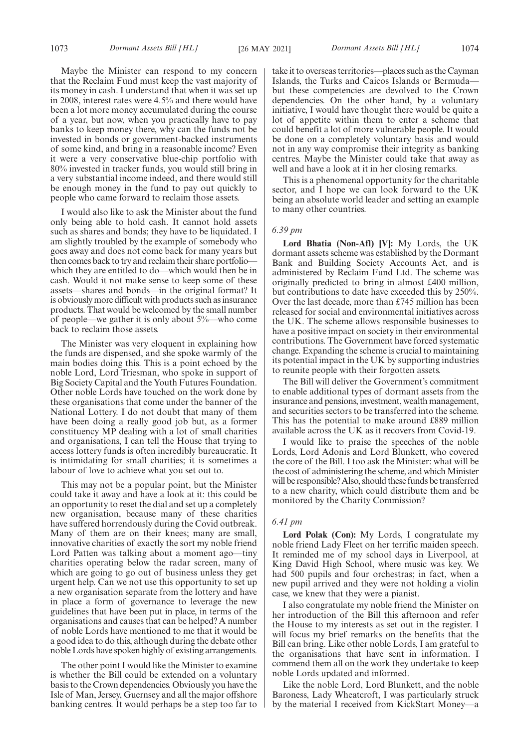Maybe the Minister can respond to my concern that the Reclaim Fund must keep the vast majority of its money in cash. I understand that when it was set up in 2008, interest rates were 4.5% and there would have been a lot more money accumulated during the course of a year, but now, when you practically have to pay banks to keep money there, why can the funds not be invested in bonds or government-backed instruments of some kind, and bring in a reasonable income? Even it were a very conservative blue-chip portfolio with 80% invested in tracker funds, you would still bring in a very substantial income indeed, and there would still be enough money in the fund to pay out quickly to people who came forward to reclaim those assets.

I would also like to ask the Minister about the fund only being able to hold cash. It cannot hold assets such as shares and bonds; they have to be liquidated. I am slightly troubled by the example of somebody who goes away and does not come back for many years but then comes back to try and reclaim their share portfolio which they are entitled to do—which would then be in cash. Would it not make sense to keep some of these assets—shares and bonds—in the original format? It is obviously more difficult with products such as insurance products. That would be welcomed by the small number of people—we gather it is only about 5%—who come back to reclaim those assets.

The Minister was very eloquent in explaining how the funds are dispensed, and she spoke warmly of the main bodies doing this. This is a point echoed by the noble Lord, Lord Triesman, who spoke in support of Big Society Capital and the Youth Futures Foundation. Other noble Lords have touched on the work done by these organisations that come under the banner of the National Lottery. I do not doubt that many of them have been doing a really good job but, as a former constituency MP dealing with a lot of small charities and organisations, I can tell the House that trying to access lottery funds is often incredibly bureaucratic. It is intimidating for small charities; it is sometimes a labour of love to achieve what you set out to.

This may not be a popular point, but the Minister could take it away and have a look at it: this could be an opportunity to reset the dial and set up a completely new organisation, because many of these charities have suffered horrendously during the Covid outbreak. Many of them are on their knees; many are small, innovative charities of exactly the sort my noble friend Lord Patten was talking about a moment ago—tiny charities operating below the radar screen, many of which are going to go out of business unless they get urgent help. Can we not use this opportunity to set up a new organisation separate from the lottery and have in place a form of governance to leverage the new guidelines that have been put in place, in terms of the organisations and causes that can be helped? A number of noble Lords have mentioned to me that it would be a good idea to do this, although during the debate other noble Lords have spoken highly of existing arrangements.

The other point I would like the Minister to examine is whether the Bill could be extended on a voluntary basis to the Crown dependencies. Obviously you have the Isle of Man, Jersey, Guernsey and all the major offshore banking centres. It would perhaps be a step too far to take it to overseas territories—places such as the Cayman Islands, the Turks and Caicos Islands or Bermuda but these competencies are devolved to the Crown dependencies. On the other hand, by a voluntary initiative, I would have thought there would be quite a lot of appetite within them to enter a scheme that could benefit a lot of more vulnerable people. It would be done on a completely voluntary basis and would not in any way compromise their integrity as banking centres. Maybe the Minister could take that away as well and have a look at it in her closing remarks.

This is a phenomenal opportunity for the charitable sector, and I hope we can look forward to the UK being an absolute world leader and setting an example to many other countries.

### *6.39 pm*

**Lord Bhatia (Non-Afl) [V]:** My Lords, the UK dormant assets scheme was established by the Dormant Bank and Building Society Accounts Act, and is administered by Reclaim Fund Ltd. The scheme was originally predicted to bring in almost £400 million, but contributions to date have exceeded this by 250%. Over the last decade, more than £745 million has been released for social and environmental initiatives across the UK. The scheme allows responsible businesses to have a positive impact on society in their environmental contributions. The Government have forced systematic change. Expanding the scheme is crucial to maintaining its potential impact in the UK by supporting industries to reunite people with their forgotten assets.

The Bill will deliver the Government's commitment to enable additional types of dormant assets from the insurance and pensions, investment, wealth management, and securities sectors to be transferred into the scheme. This has the potential to make around £889 million available across the UK as it recovers from Covid-19.

I would like to praise the speeches of the noble Lords, Lord Adonis and Lord Blunkett, who covered the core of the Bill. I too ask the Minister: what will be the cost of administering the scheme, and which Minister will be responsible? Also, should these funds be transferred to a new charity, which could distribute them and be monitored by the Charity Commission?

#### *6.41 pm*

**Lord Polak (Con):** My Lords, I congratulate my noble friend Lady Fleet on her terrific maiden speech. It reminded me of my school days in Liverpool, at King David High School, where music was key. We had 500 pupils and four orchestras; in fact, when a new pupil arrived and they were not holding a violin case, we knew that they were a pianist.

I also congratulate my noble friend the Minister on her introduction of the Bill this afternoon and refer the House to my interests as set out in the register. I will focus my brief remarks on the benefits that the Bill can bring. Like other noble Lords, I am grateful to the organisations that have sent in information. I commend them all on the work they undertake to keep noble Lords updated and informed.

Like the noble Lord, Lord Blunkett, and the noble Baroness, Lady Wheatcroft, I was particularly struck by the material I received from KickStart Money—a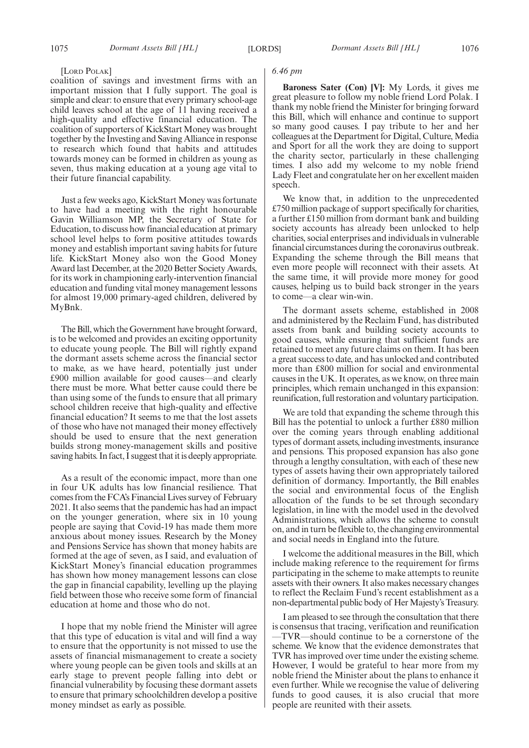#### [LORD POLAK]

coalition of savings and investment firms with an important mission that I fully support. The goal is simple and clear: to ensure that every primary school-age child leaves school at the age of 11 having received a high-quality and effective financial education. The coalition of supporters of KickStart Money was brought together by the Investing and Saving Alliance in response to research which found that habits and attitudes towards money can be formed in children as young as seven, thus making education at a young age vital to their future financial capability.

Just a few weeks ago, KickStart Money was fortunate to have had a meeting with the right honourable Gavin Williamson MP, the Secretary of State for Education, to discuss how financial education at primary school level helps to form positive attitudes towards money and establish important saving habits for future life. KickStart Money also won the Good Money Award last December, at the 2020 Better Society Awards, for its work in championing early-intervention financial education and funding vital money management lessons for almost 19,000 primary-aged children, delivered by MyBnk.

The Bill, which the Government have brought forward, is to be welcomed and provides an exciting opportunity to educate young people. The Bill will rightly expand the dormant assets scheme across the financial sector to make, as we have heard, potentially just under £900 million available for good causes—and clearly there must be more. What better cause could there be than using some of the funds to ensure that all primary school children receive that high-quality and effective financial education? It seems to me that the lost assets of those who have not managed their money effectively should be used to ensure that the next generation builds strong money-management skills and positive saving habits. In fact, I suggest that it is deeply appropriate.

As a result of the economic impact, more than one in four UK adults has low financial resilience. That comes from the FCA's Financial Lives survey of February 2021. It also seems that the pandemic has had an impact on the younger generation, where six in 10 young people are saying that Covid-19 has made them more anxious about money issues. Research by the Money and Pensions Service has shown that money habits are formed at the age of seven, as I said, and evaluation of KickStart Money's financial education programmes has shown how money management lessons can close the gap in financial capability, levelling up the playing field between those who receive some form of financial education at home and those who do not.

I hope that my noble friend the Minister will agree that this type of education is vital and will find a way to ensure that the opportunity is not missed to use the assets of financial mismanagement to create a society where young people can be given tools and skills at an early stage to prevent people falling into debt or financial vulnerability by focusing these dormant assets to ensure that primary schoolchildren develop a positive money mindset as early as possible.

#### *6.46 pm*

**Baroness Sater (Con) [V]:** My Lords, it gives me great pleasure to follow my noble friend Lord Polak. I thank my noble friend the Minister for bringing forward this Bill, which will enhance and continue to support so many good causes. I pay tribute to her and her colleagues at the Department for Digital, Culture, Media and Sport for all the work they are doing to support the charity sector, particularly in these challenging times. I also add my welcome to my noble friend Lady Fleet and congratulate her on her excellent maiden speech.

We know that, in addition to the unprecedented £750 million package of support specifically for charities, a further £150 million from dormant bank and building society accounts has already been unlocked to help charities, social enterprises and individuals in vulnerable financial circumstances during the coronavirus outbreak. Expanding the scheme through the Bill means that even more people will reconnect with their assets. At the same time, it will provide more money for good causes, helping us to build back stronger in the years to come—a clear win-win.

The dormant assets scheme, established in 2008 and administered by the Reclaim Fund, has distributed assets from bank and building society accounts to good causes, while ensuring that sufficient funds are retained to meet any future claims on them. It has been a great success to date, and has unlocked and contributed more than £800 million for social and environmental causes in the UK. It operates, as we know, on three main principles, which remain unchanged in this expansion: reunification, full restoration and voluntary participation.

We are told that expanding the scheme through this Bill has the potential to unlock a further £880 million over the coming years through enabling additional types of dormant assets, including investments, insurance and pensions. This proposed expansion has also gone through a lengthy consultation, with each of these new types of assets having their own appropriately tailored definition of dormancy. Importantly, the Bill enables the social and environmental focus of the English allocation of the funds to be set through secondary legislation, in line with the model used in the devolved Administrations, which allows the scheme to consult on, and in turn be flexible to, the changing environmental and social needs in England into the future.

I welcome the additional measures in the Bill, which include making reference to the requirement for firms participating in the scheme to make attempts to reunite assets with their owners. It also makes necessary changes to reflect the Reclaim Fund's recent establishment as a non-departmental public body of Her Majesty's Treasury.

I am pleased to see through the consultation that there is consensus that tracing, verification and reunification —TVR—should continue to be a cornerstone of the scheme. We know that the evidence demonstrates that TVR has improved over time under the existing scheme. However, I would be grateful to hear more from my noble friend the Minister about the plans to enhance it even further. While we recognise the value of delivering funds to good causes, it is also crucial that more people are reunited with their assets.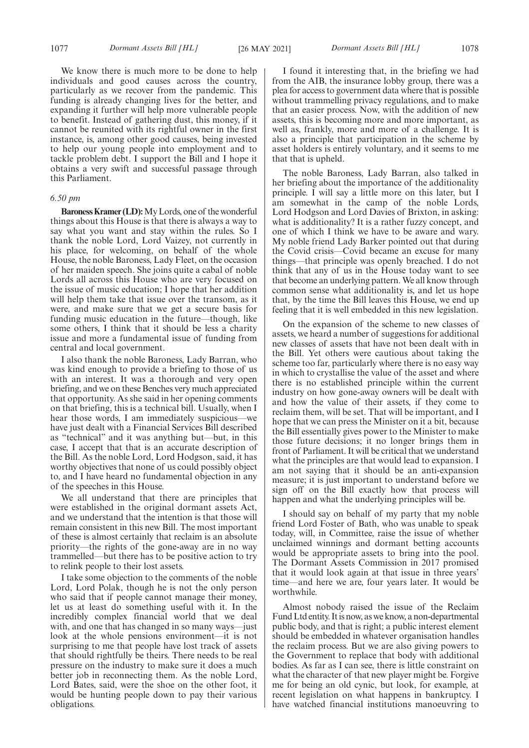We know there is much more to be done to help individuals and good causes across the country, particularly as we recover from the pandemic. This funding is already changing lives for the better, and expanding it further will help more vulnerable people to benefit. Instead of gathering dust, this money, if it cannot be reunited with its rightful owner in the first instance, is, among other good causes, being invested to help our young people into employment and to tackle problem debt. I support the Bill and I hope it obtains a very swift and successful passage through this Parliament.

#### *6.50 pm*

**Baroness Kramer (LD):**My Lords, one of the wonderful things about this House is that there is always a way to say what you want and stay within the rules. So I thank the noble Lord, Lord Vaizey, not currently in his place, for welcoming, on behalf of the whole House, the noble Baroness, Lady Fleet, on the occasion of her maiden speech. She joins quite a cabal of noble Lords all across this House who are very focused on the issue of music education; I hope that her addition will help them take that issue over the transom, as it were, and make sure that we get a secure basis for funding music education in the future—though, like some others, I think that it should be less a charity issue and more a fundamental issue of funding from central and local government.

I also thank the noble Baroness, Lady Barran, who was kind enough to provide a briefing to those of us with an interest. It was a thorough and very open briefing, and we on these Benches very much appreciated that opportunity. As she said in her opening comments on that briefing, this is a technical bill. Usually, when I hear those words, I am immediately suspicious—we have just dealt with a Financial Services Bill described as "technical" and it was anything but—but, in this case, I accept that that is an accurate description of the Bill. As the noble Lord, Lord Hodgson, said, it has worthy objectives that none of us could possibly object to, and I have heard no fundamental objection in any of the speeches in this House.

We all understand that there are principles that were established in the original dormant assets Act, and we understand that the intention is that those will remain consistent in this new Bill. The most important of these is almost certainly that reclaim is an absolute priority—the rights of the gone-away are in no way trammelled—but there has to be positive action to try to relink people to their lost assets.

I take some objection to the comments of the noble Lord, Lord Polak, though he is not the only person who said that if people cannot manage their money, let us at least do something useful with it. In the incredibly complex financial world that we deal with, and one that has changed in so many ways—just look at the whole pensions environment—it is not surprising to me that people have lost track of assets that should rightfully be theirs. There needs to be real pressure on the industry to make sure it does a much better job in reconnecting them. As the noble Lord, Lord Bates, said, were the shoe on the other foot, it would be hunting people down to pay their various obligations.

I found it interesting that, in the briefing we had from the AIB, the insurance lobby group, there was a plea for access to government data where that is possible without trammelling privacy regulations, and to make that an easier process. Now, with the addition of new assets, this is becoming more and more important, as well as, frankly, more and more of a challenge. It is also a principle that participation in the scheme by asset holders is entirely voluntary, and it seems to me that that is upheld.

The noble Baroness, Lady Barran, also talked in her briefing about the importance of the additionality principle. I will say a little more on this later, but I am somewhat in the camp of the noble Lords, Lord Hodgson and Lord Davies of Brixton, in asking: what is additionality? It is a rather fuzzy concept, and one of which I think we have to be aware and wary. My noble friend Lady Barker pointed out that during the Covid crisis—Covid became an excuse for many things—that principle was openly breached. I do not think that any of us in the House today want to see that become an underlying pattern. We all know through common sense what additionality is, and let us hope that, by the time the Bill leaves this House, we end up feeling that it is well embedded in this new legislation.

On the expansion of the scheme to new classes of assets, we heard a number of suggestions for additional new classes of assets that have not been dealt with in the Bill. Yet others were cautious about taking the scheme too far, particularly where there is no easy way in which to crystallise the value of the asset and where there is no established principle within the current industry on how gone-away owners will be dealt with and how the value of their assets, if they come to reclaim them, will be set. That will be important, and I hope that we can press the Minister on it a bit, because the Bill essentially gives power to the Minister to make those future decisions; it no longer brings them in front of Parliament. It will be critical that we understand what the principles are that would lead to expansion. I am not saying that it should be an anti-expansion measure; it is just important to understand before we sign off on the Bill exactly how that process will happen and what the underlying principles will be.

I should say on behalf of my party that my noble friend Lord Foster of Bath, who was unable to speak today, will, in Committee, raise the issue of whether unclaimed winnings and dormant betting accounts would be appropriate assets to bring into the pool. The Dormant Assets Commission in 2017 promised that it would look again at that issue in three years' time—and here we are, four years later. It would be worthwhile.

Almost nobody raised the issue of the Reclaim Fund Ltd entity. It is now, as we know, a non-departmental public body, and that is right; a public interest element should be embedded in whatever organisation handles the reclaim process. But we are also giving powers to the Government to replace that body with additional bodies. As far as I can see, there is little constraint on what the character of that new player might be. Forgive me for being an old cynic, but look, for example, at recent legislation on what happens in bankruptcy. I have watched financial institutions manoeuvring to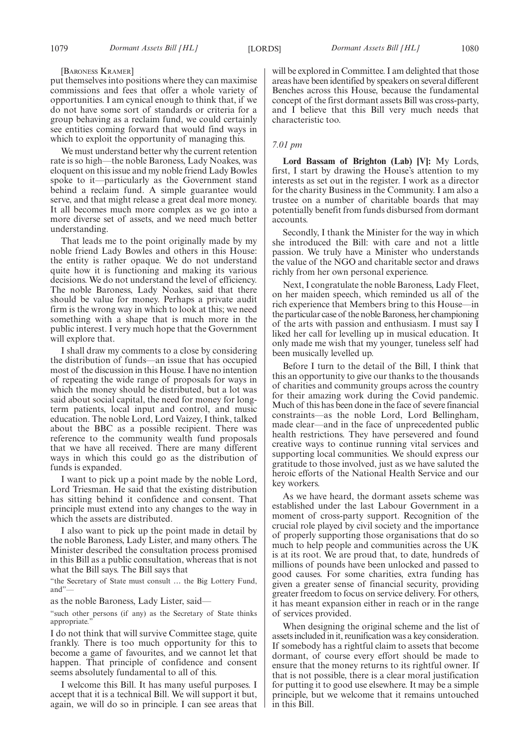#### [BARONESS KRAMER]

put themselves into positions where they can maximise commissions and fees that offer a whole variety of opportunities. I am cynical enough to think that, if we do not have some sort of standards or criteria for a group behaving as a reclaim fund, we could certainly see entities coming forward that would find ways in which to exploit the opportunity of managing this.

We must understand better why the current retention rate is so high—the noble Baroness, Lady Noakes, was eloquent on this issue and my noble friend Lady Bowles spoke to it—particularly as the Government stand behind a reclaim fund. A simple guarantee would serve, and that might release a great deal more money. It all becomes much more complex as we go into a more diverse set of assets, and we need much better understanding.

That leads me to the point originally made by my noble friend Lady Bowles and others in this House: the entity is rather opaque. We do not understand quite how it is functioning and making its various decisions. We do not understand the level of efficiency. The noble Baroness, Lady Noakes, said that there should be value for money. Perhaps a private audit firm is the wrong way in which to look at this; we need something with a shape that is much more in the public interest. I very much hope that the Government will explore that.

I shall draw my comments to a close by considering the distribution of funds—an issue that has occupied most of the discussion in this House. I have no intention of repeating the wide range of proposals for ways in which the money should be distributed, but a lot was said about social capital, the need for money for longterm patients, local input and control, and music education. The noble Lord, Lord Vaizey, I think, talked about the BBC as a possible recipient. There was reference to the community wealth fund proposals that we have all received. There are many different ways in which this could go as the distribution of funds is expanded.

I want to pick up a point made by the noble Lord, Lord Triesman. He said that the existing distribution has sitting behind it confidence and consent. That principle must extend into any changes to the way in which the assets are distributed.

I also want to pick up the point made in detail by the noble Baroness, Lady Lister, and many others. The Minister described the consultation process promised in this Bill as a public consultation, whereas that is not what the Bill says. The Bill says that

"the Secretary of State must consult … the Big Lottery Fund, and"—

as the noble Baroness, Lady Lister, said—

"such other persons (if any) as the Secretary of State thinks appropriate.

I do not think that will survive Committee stage, quite frankly. There is too much opportunity for this to become a game of favourites, and we cannot let that happen. That principle of confidence and consent seems absolutely fundamental to all of this.

I welcome this Bill. It has many useful purposes. I accept that it is a technical Bill. We will support it but, again, we will do so in principle. I can see areas that will be explored in Committee. I am delighted that those areas have been identified by speakers on several different Benches across this House, because the fundamental concept of the first dormant assets Bill was cross-party, and I believe that this Bill very much needs that characteristic too.

#### *7.01 pm*

**Lord Bassam of Brighton (Lab) [V]:** My Lords, first, I start by drawing the House's attention to my interests as set out in the register. I work as a director for the charity Business in the Community. I am also a trustee on a number of charitable boards that may potentially benefit from funds disbursed from dormant accounts.

Secondly, I thank the Minister for the way in which she introduced the Bill: with care and not a little passion. We truly have a Minister who understands the value of the NGO and charitable sector and draws richly from her own personal experience.

Next, I congratulate the noble Baroness, Lady Fleet, on her maiden speech, which reminded us all of the rich experience that Members bring to this House—in the particular case of the noble Baroness, her championing of the arts with passion and enthusiasm. I must say I liked her call for levelling up in musical education. It only made me wish that my younger, tuneless self had been musically levelled up.

Before I turn to the detail of the Bill, I think that this an opportunity to give our thanks to the thousands of charities and community groups across the country for their amazing work during the Covid pandemic. Much of this has been done in the face of severe financial constraints—as the noble Lord, Lord Bellingham, made clear—and in the face of unprecedented public health restrictions. They have persevered and found creative ways to continue running vital services and supporting local communities. We should express our gratitude to those involved, just as we have saluted the heroic efforts of the National Health Service and our key workers.

As we have heard, the dormant assets scheme was established under the last Labour Government in a moment of cross-party support. Recognition of the crucial role played by civil society and the importance of properly supporting those organisations that do so much to help people and communities across the UK is at its root. We are proud that, to date, hundreds of millions of pounds have been unlocked and passed to good causes. For some charities, extra funding has given a greater sense of financial security, providing greater freedom to focus on service delivery. For others, it has meant expansion either in reach or in the range of services provided.

When designing the original scheme and the list of assets included in it, reunification was a key consideration. If somebody has a rightful claim to assets that become dormant, of course every effort should be made to ensure that the money returns to its rightful owner. If that is not possible, there is a clear moral justification for putting it to good use elsewhere. It may be a simple principle, but we welcome that it remains untouched in this Bill.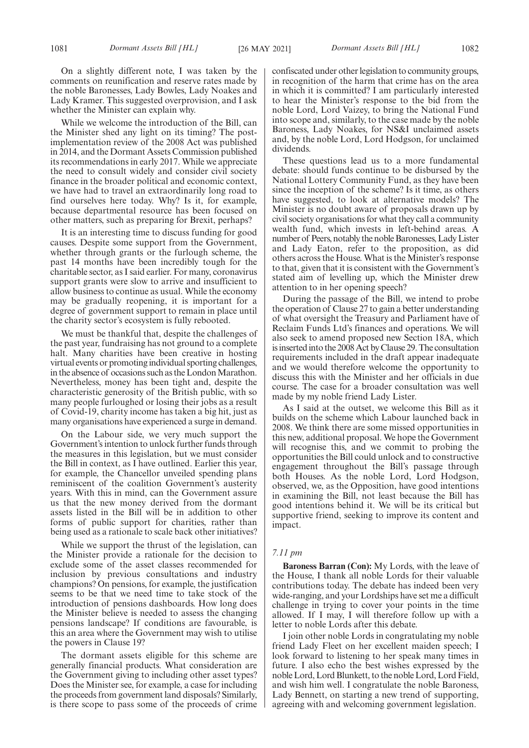On a slightly different note, I was taken by the comments on reunification and reserve rates made by the noble Baronesses, Lady Bowles, Lady Noakes and Lady Kramer. This suggested overprovision, and I ask whether the Minister can explain why.

While we welcome the introduction of the Bill, can the Minister shed any light on its timing? The postimplementation review of the 2008 Act was published in 2014, and the Dormant Assets Commission published its recommendations in early 2017. While we appreciate the need to consult widely and consider civil society finance in the broader political and economic context, we have had to travel an extraordinarily long road to find ourselves here today. Why? Is it, for example, because departmental resource has been focused on other matters, such as preparing for Brexit, perhaps?

It is an interesting time to discuss funding for good causes. Despite some support from the Government, whether through grants or the furlough scheme, the past 14 months have been incredibly tough for the charitable sector, as I said earlier. For many, coronavirus support grants were slow to arrive and insufficient to allow business to continue as usual. While the economy may be gradually reopening, it is important for a degree of government support to remain in place until the charity sector's ecosystem is fully rebooted.

We must be thankful that, despite the challenges of the past year, fundraising has not ground to a complete halt. Many charities have been creative in hosting virtual events or promoting individual sporting challenges, in the absence of occasions such as the London Marathon. Nevertheless, money has been tight and, despite the characteristic generosity of the British public, with so many people furloughed or losing their jobs as a result of Covid-19, charity income has taken a big hit, just as many organisations have experienced a surge in demand.

On the Labour side, we very much support the Government's intention to unlock further funds through the measures in this legislation, but we must consider the Bill in context, as I have outlined. Earlier this year, for example, the Chancellor unveiled spending plans reminiscent of the coalition Government's austerity years. With this in mind, can the Government assure us that the new money derived from the dormant assets listed in the Bill will be in addition to other forms of public support for charities, rather than being used as a rationale to scale back other initiatives?

While we support the thrust of the legislation, can the Minister provide a rationale for the decision to exclude some of the asset classes recommended for inclusion by previous consultations and industry champions? On pensions, for example, the justification seems to be that we need time to take stock of the introduction of pensions dashboards. How long does the Minister believe is needed to assess the changing pensions landscape? If conditions are favourable, is this an area where the Government may wish to utilise the powers in Clause 19?

The dormant assets eligible for this scheme are generally financial products. What consideration are the Government giving to including other asset types? Does the Minister see, for example, a case for including the proceeds from government land disposals? Similarly, is there scope to pass some of the proceeds of crime confiscated under other legislation to community groups, in recognition of the harm that crime has on the area in which it is committed? I am particularly interested to hear the Minister's response to the bid from the noble Lord, Lord Vaizey, to bring the National Fund into scope and, similarly, to the case made by the noble Baroness, Lady Noakes, for NS&I unclaimed assets and, by the noble Lord, Lord Hodgson, for unclaimed dividends.

These questions lead us to a more fundamental debate: should funds continue to be disbursed by the National Lottery Community Fund, as they have been since the inception of the scheme? Is it time, as others have suggested, to look at alternative models? The Minister is no doubt aware of proposals drawn up by civil society organisations for what they call a community wealth fund, which invests in left-behind areas. A number of Peers, notably the noble Baronesses, Lady Lister and Lady Eaton, refer to the proposition, as did others across the House. What is the Minister's response to that, given that it is consistent with the Government's stated aim of levelling up, which the Minister drew attention to in her opening speech?

During the passage of the Bill, we intend to probe the operation of Clause 27 to gain a better understanding of what oversight the Treasury and Parliament have of Reclaim Funds Ltd's finances and operations. We will also seek to amend proposed new Section 18A, which is inserted into the 2008 Act by Clause 29. The consultation requirements included in the draft appear inadequate and we would therefore welcome the opportunity to discuss this with the Minister and her officials in due course. The case for a broader consultation was well made by my noble friend Lady Lister.

As I said at the outset, we welcome this Bill as it builds on the scheme which Labour launched back in 2008. We think there are some missed opportunities in this new, additional proposal. We hope the Government will recognise this, and we commit to probing the opportunities the Bill could unlock and to constructive engagement throughout the Bill's passage through both Houses. As the noble Lord, Lord Hodgson, observed, we, as the Opposition, have good intentions in examining the Bill, not least because the Bill has good intentions behind it. We will be its critical but supportive friend, seeking to improve its content and impact.

#### *7.11 pm*

**Baroness Barran (Con):** My Lords, with the leave of the House, I thank all noble Lords for their valuable contributions today. The debate has indeed been very wide-ranging, and your Lordships have set me a difficult challenge in trying to cover your points in the time allowed. If I may, I will therefore follow up with a letter to noble Lords after this debate.

I join other noble Lords in congratulating my noble friend Lady Fleet on her excellent maiden speech; I look forward to listening to her speak many times in future. I also echo the best wishes expressed by the noble Lord, Lord Blunkett, to the noble Lord, Lord Field, and wish him well. I congratulate the noble Baroness, Lady Bennett, on starting a new trend of supporting, agreeing with and welcoming government legislation.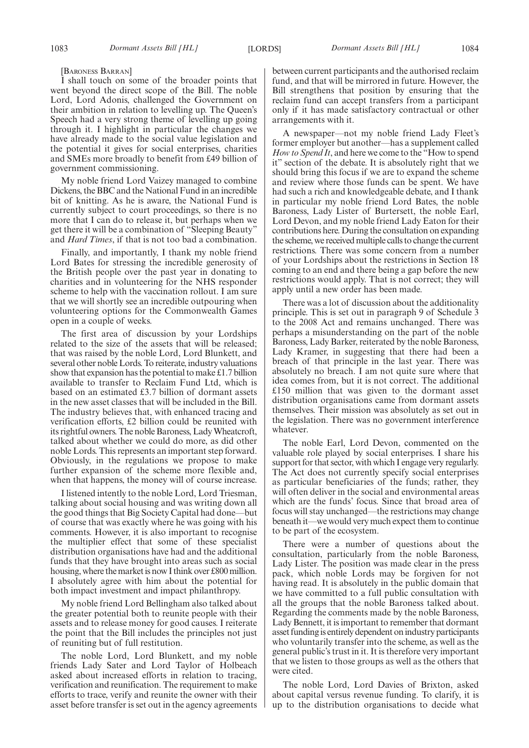[BARONESS BARRAN]

I shall touch on some of the broader points that went beyond the direct scope of the Bill. The noble Lord, Lord Adonis, challenged the Government on their ambition in relation to levelling up. The Queen's Speech had a very strong theme of levelling up going through it. I highlight in particular the changes we have already made to the social value legislation and the potential it gives for social enterprises, charities and SMEs more broadly to benefit from £49 billion of government commissioning.

My noble friend Lord Vaizey managed to combine Dickens, the BBC and the National Fund in an incredible bit of knitting. As he is aware, the National Fund is currently subject to court proceedings, so there is no more that I can do to release it, but perhaps when we get there it will be a combination of "Sleeping Beauty" and *Hard Times*, if that is not too bad a combination.

Finally, and importantly, I thank my noble friend Lord Bates for stressing the incredible generosity of the British people over the past year in donating to charities and in volunteering for the NHS responder scheme to help with the vaccination rollout. I am sure that we will shortly see an incredible outpouring when volunteering options for the Commonwealth Games open in a couple of weeks.

The first area of discussion by your Lordships related to the size of the assets that will be released; that was raised by the noble Lord, Lord Blunkett, and several other noble Lords. To reiterate, industry valuations show that expansion has the potential to make £1.7 billion available to transfer to Reclaim Fund Ltd, which is based on an estimated £3.7 billion of dormant assets in the new asset classes that will be included in the Bill. The industry believes that, with enhanced tracing and verification efforts, £2 billion could be reunited with its rightful owners. The noble Baroness, Lady Wheatcroft, talked about whether we could do more, as did other noble Lords. This represents an important step forward. Obviously, in the regulations we propose to make further expansion of the scheme more flexible and, when that happens, the money will of course increase.

I listened intently to the noble Lord, Lord Triesman, talking about social housing and was writing down all the good things that Big Society Capital had done—but of course that was exactly where he was going with his comments. However, it is also important to recognise the multiplier effect that some of these specialist distribution organisations have had and the additional funds that they have brought into areas such as social housing, where the market is now I think over £800 million. I absolutely agree with him about the potential for both impact investment and impact philanthropy.

My noble friend Lord Bellingham also talked about the greater potential both to reunite people with their assets and to release money for good causes. I reiterate the point that the Bill includes the principles not just of reuniting but of full restitution.

The noble Lord, Lord Blunkett, and my noble friends Lady Sater and Lord Taylor of Holbeach asked about increased efforts in relation to tracing, verification and reunification. The requirement to make efforts to trace, verify and reunite the owner with their asset before transfer is set out in the agency agreements between current participants and the authorised reclaim fund, and that will be mirrored in future. However, the Bill strengthens that position by ensuring that the reclaim fund can accept transfers from a participant only if it has made satisfactory contractual or other arrangements with it.

A newspaper—not my noble friend Lady Fleet's former employer but another—has a supplement called *How to Spend It*, and here we come to the "How to spend it" section of the debate. It is absolutely right that we should bring this focus if we are to expand the scheme and review where those funds can be spent. We have had such a rich and knowledgeable debate, and I thank in particular my noble friend Lord Bates, the noble Baroness, Lady Lister of Burtersett, the noble Earl, Lord Devon, and my noble friend Lady Eaton for their contributions here. During the consultation on expanding the scheme, we received multiple calls to change the current restrictions. There was some concern from a number of your Lordships about the restrictions in Section 18 coming to an end and there being a gap before the new restrictions would apply. That is not correct; they will apply until a new order has been made.

There was a lot of discussion about the additionality principle. This is set out in paragraph 9 of Schedule 3 to the 2008 Act and remains unchanged. There was perhaps a misunderstanding on the part of the noble Baroness, Lady Barker, reiterated by the noble Baroness, Lady Kramer, in suggesting that there had been a breach of that principle in the last year. There was absolutely no breach. I am not quite sure where that idea comes from, but it is not correct. The additional £150 million that was given to the dormant asset distribution organisations came from dormant assets themselves. Their mission was absolutely as set out in the legislation. There was no government interference whatever.

The noble Earl, Lord Devon, commented on the valuable role played by social enterprises. I share his support for that sector, with which I engage very regularly. The Act does not currently specify social enterprises as particular beneficiaries of the funds; rather, they will often deliver in the social and environmental areas which are the funds' focus. Since that broad area of focus will stay unchanged—the restrictions may change beneath it—we would very much expect them to continue to be part of the ecosystem.

There were a number of questions about the consultation, particularly from the noble Baroness, Lady Lister. The position was made clear in the press pack, which noble Lords may be forgiven for not having read. It is absolutely in the public domain that we have committed to a full public consultation with all the groups that the noble Baroness talked about. Regarding the comments made by the noble Baroness, Lady Bennett, it is important to remember that dormant asset funding is entirely dependent on industry participants who voluntarily transfer into the scheme, as well as the general public's trust in it. It is therefore very important that we listen to those groups as well as the others that were cited.

The noble Lord, Lord Davies of Brixton, asked about capital versus revenue funding. To clarify, it is up to the distribution organisations to decide what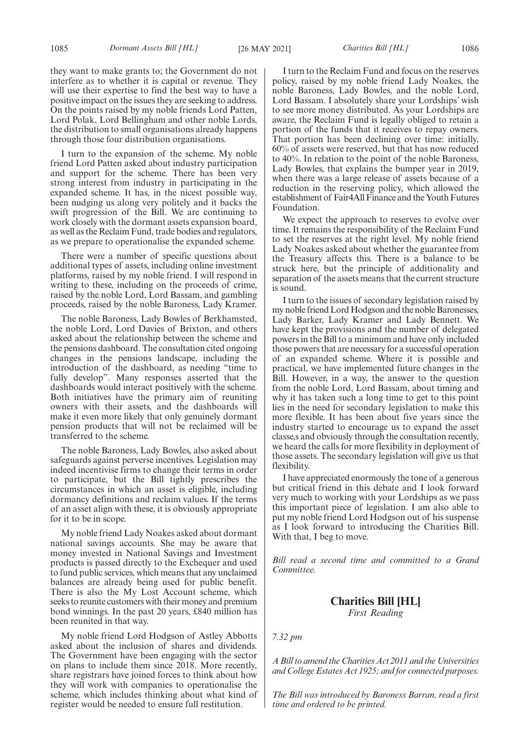I turn to the expansion of the scheme. My noble friend Lord Patten asked about industry participation and support for the scheme. There has been very strong interest from industry in participating in the expanded scheme. It has, in the nicest possible way, been nudging us along very politely and it backs the swift progression of the Bill. We are continuing to work closely with the dormant assets expansion board, as well as the Reclaim Fund, trade bodies and regulators, as we prepare to operationalise the expanded scheme.

There were a number of specific questions about additional types of assets, including online investment platforms, raised by my noble friend. I will respond in writing to these, including on the proceeds of crime, raised by the noble Lord, Lord Bassam, and gambling proceeds, raised by the noble Baroness, Lady Kramer.

The noble Baroness, Lady Bowles of Berkhamsted, the noble Lord, Lord Davies of Brixton, and others asked about the relationship between the scheme and the pensions dashboard. The consultation cited ongoing changes in the pensions landscape, including the introduction of the dashboard, as needing "time to fully develop". Many responses asserted that the dashboards would interact positively with the scheme. Both initiatives have the primary aim of reuniting owners with their assets, and the dashboards will make it even more likely that only genuinely dormant pension products that will not be reclaimed will be transferred to the scheme.

The noble Baroness, Lady Bowles, also asked about safeguards against perverse incentives. Legislation may indeed incentivise firms to change their terms in order to participate, but the Bill tightly prescribes the circumstances in which an asset is eligible, including dormancy definitions and reclaim values. If the terms of an asset align with these, it is obviously appropriate for it to be in scope.

My noble friend Lady Noakes asked about dormant national savings accounts. She may be aware that money invested in National Savings and Investment products is passed directly to the Exchequer and used to fund public services, which means that any unclaimed balances are already being used for public benefit. There is also the My Lost Account scheme, which seeks to reunite customers with their money and premium bond winnings. In the past 20 years, £840 million has been reunited in that way.

My noble friend Lord Hodgson of Astley Abbotts asked about the inclusion of shares and dividends. The Government have been engaging with the sector on plans to include them since 2018. More recently, share registrars have joined forces to think about how they will work with companies to operationalise the scheme, which includes thinking about what kind of register would be needed to ensure full restitution.

I turn to the Reclaim Fund and focus on the reserves policy, raised by my noble friend Lady Noakes, the noble Baroness, Lady Bowles, and the noble Lord, Lord Bassam. I absolutely share your Lordships' wish to see more money distributed. As your Lordships are aware, the Reclaim Fund is legally obliged to retain a portion of the funds that it receives to repay owners. That portion has been declining over time: initially, 60% of assets were reserved, but that has now reduced to 40%. In relation to the point of the noble Baroness, Lady Bowles, that explains the bumper year in 2019, when there was a large release of assets because of a reduction in the reserving policy, which allowed the establishment of Fair4All Finance and the Youth Futures Foundation.

We expect the approach to reserves to evolve over time. It remains the responsibility of the Reclaim Fund to set the reserves at the right level. My noble friend Lady Noakes asked about whether the guarantee from the Treasury affects this. There is a balance to be struck here, but the principle of additionality and separation of the assets means that the current structure is sound.

I turn to the issues of secondary legislation raised by my noble friend Lord Hodgson and the noble Baronesses, Lady Barker, Lady Kramer and Lady Bennett. We have kept the provisions and the number of delegated powers in the Bill to a minimum and have only included those powers that are necessary for a successful operation of an expanded scheme. Where it is possible and practical, we have implemented future changes in the Bill. However, in a way, the answer to the question from the noble Lord, Lord Bassam, about timing and why it has taken such a long time to get to this point lies in the need for secondary legislation to make this more flexible. It has been about five years since the industry started to encourage us to expand the asset classe,s and obviously through the consultation recently, we heard the calls for more flexibility in deployment of those assets. The secondary legislation will give us that flexibility.

I have appreciated enormously the tone of a generous but critical friend in this debate and I look forward very much to working with your Lordships as we pass this important piece of legislation. I am also able to put my noble friend Lord Hodgson out of his suspense as I look forward to introducing the Charities Bill. With that, I beg to move.

*Bill read a second time and committed to a Grand Committee.*

## **Charities Bill [HL]** *First Reading*

*7.32 pm*

*A Bill to amend the Charities Act 2011 and the Universities and College Estates Act 1925; and for connected purposes.*

*The Bill was introduced by Baroness Barran, read a first time and ordered to be printed.*